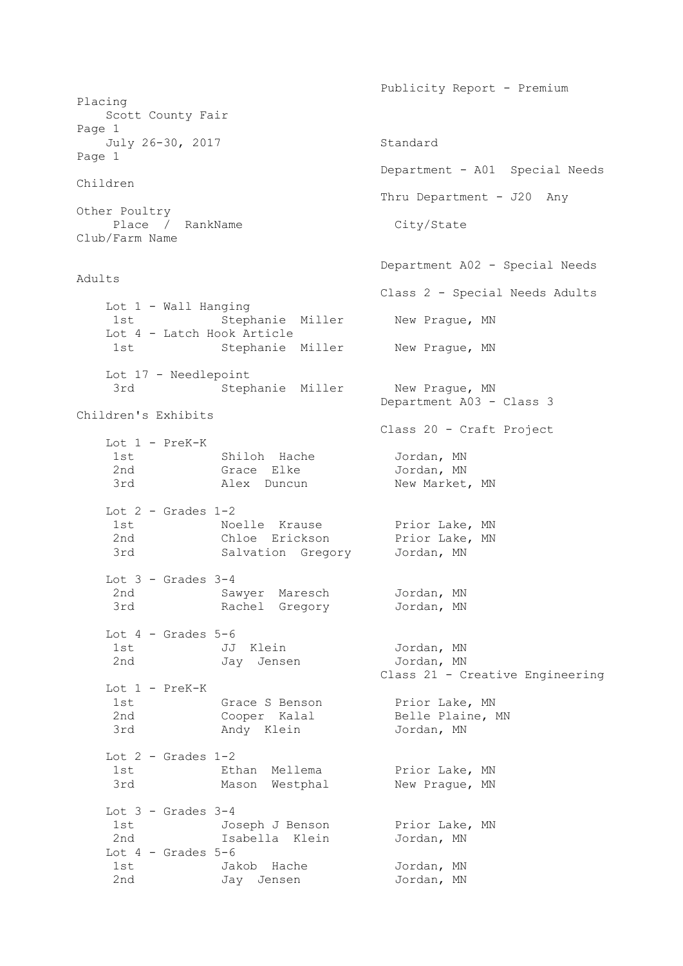Placing Scott County Fair Page 1 July 26-30, 2017 Standard Page 1 Department - A01 Special Needs Children Thru Department - J20 Any Other Poultry Place / RankName City/State Club/Farm Name Department A02 - Special Needs Adults Class 2 - Special Needs Adults Lot 1 - Wall Hanging 1st Stephanie Miller New Prague, MN Lot 4 - Latch Hook Article 1st Stephanie Miller New Prague, MN Lot 17 - Needlepoint 3rd <sup>Stephanie Miller New Prague, MN</sup> Department A03 - Class 3 Children's Exhibits Class 20 - Craft Project Lot 1 - PreK-K 1st Shiloh Hache Jordan, MN 2nd Grace Elke Jordan, MN 3rd Market, MN Alex Duncun New Market, MN Lot  $2$  - Grades  $1-2$ 1st Moelle Krause Prior Lake, MN 2nd Chloe Erickson Prior Lake, MN 3rd Salvation Gregory Jordan, MN Lot  $3 -$  Grades  $3-4$  2nd Sawyer Maresch Jordan, MN 3rd Rachel Gregory Jordan, MN Lot  $4$  - Grades  $5-6$ 1st JJ Klein Jordan, MN 2nd Jay Jensen Jordan, MN Jordan, MN<br>Jordan, MN<br>Class 21 - Creative Engineering Lot 1 - PreK-K 1st Grace S Benson Prior Lake, MN 2nd Cooper Kalal Belle Plaine, MN 3rd Andy Klein Jordan, MN Lot  $2$  - Grades  $1-2$ 1st **Ethan Mellema** Prior Lake, MN 3rd Mason Westphal New Prague, MN Lot  $3 -$  Grades  $3-4$ 1st Joseph J Benson Prior Lake, MN 2nd Isabella Klein Jordan, MN Lot  $4$  - Grades  $5-6$ 1st Jakob Hache Jordan, MN 2nd Jay Jensen Jordan, MN

Publicity Report - Premium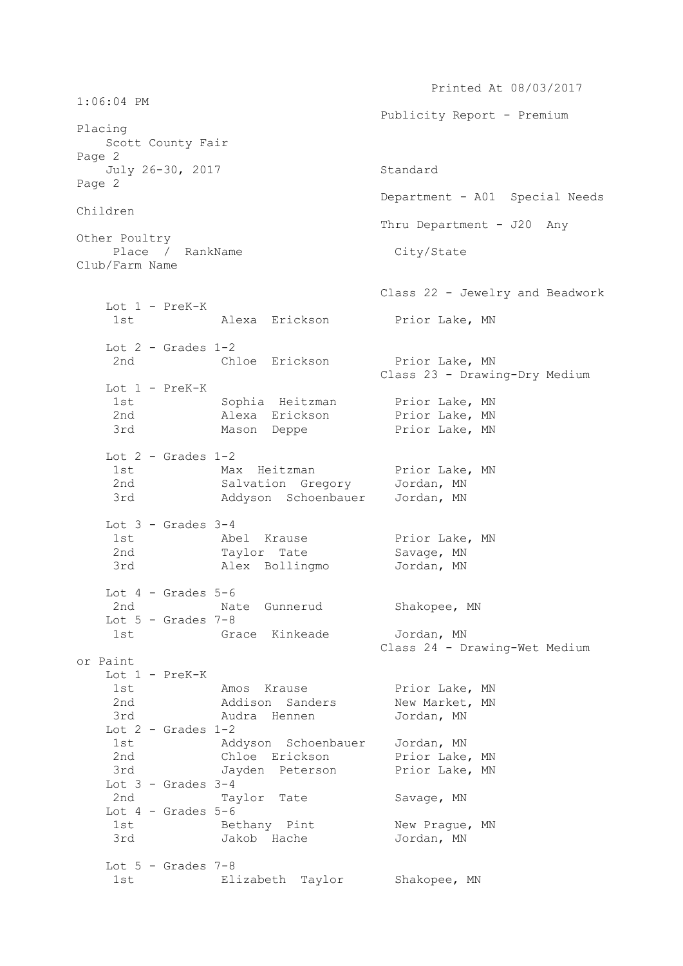Printed At 08/03/2017 1:06:04 PM Publicity Report - Premium Placing Scott County Fair Page 2 July 26-30, 2017 Standard Page 2 Department - A01 Special Needs Children Thru Department - J20 Any Other Poultry Place / RankName City/State Club/Farm Name Class 22 - Jewelry and Beadwork Lot 1 - PreK-K 1st Alexa Erickson Prior Lake, MN Lot  $2$  - Grades  $1-2$ 2nd Chloe Erickson Prior Lake, MN Class 23 - Drawing-Dry Medium Lot 1 - PreK-K 1st Sophia Heitzman Prior Lake, MN 2nd Alexa Erickson Prior Lake, MN 3rd Mason Deppe Prior Lake, MN Lot  $2$  - Grades  $1-2$ 1st Max Heitzman Prior Lake, MN 2nd Salvation Gregory Jordan, MN 3rd Addyson Schoenbauer Jordan, MN Lot  $3 -$  Grades  $3-4$ 1st Mbel Krause **Prior Lake, MN** 2nd Taylor Tate Savage, MN 3rd Alex Bollingmo Jordan, MN Lot  $4$  - Grades  $5-6$  2nd Nate Gunnerud Shakopee, MN Lot  $5$  - Grades  $7-8$ 1st Grace Kinkeade Jordan, MN Class 24 - Drawing-Wet Medium or Paint Lot 1 - PreK-K 1st Mos Krause Prior Lake, MN 2nd Maddison Sanders New Market, MN 3rd Audra Hennen Jordan, MN Lot  $2$  - Grades  $1-2$  1st Addyson Schoenbauer Jordan, MN 2nd Chloe Erickson Prior Lake, MN 3rd Jayden Peterson Prior Lake, MN Lot  $3$  - Grades  $3-4$ 2nd Taylor Tate Savage, MN Lot  $4$  - Grades  $5-6$ 1st Bethany Pint New Prague, MN 3rd Jakob Hache Jordan, MN Lot  $5 -$  Grades  $7-8$ 1st Elizabeth Taylor Shakopee, MN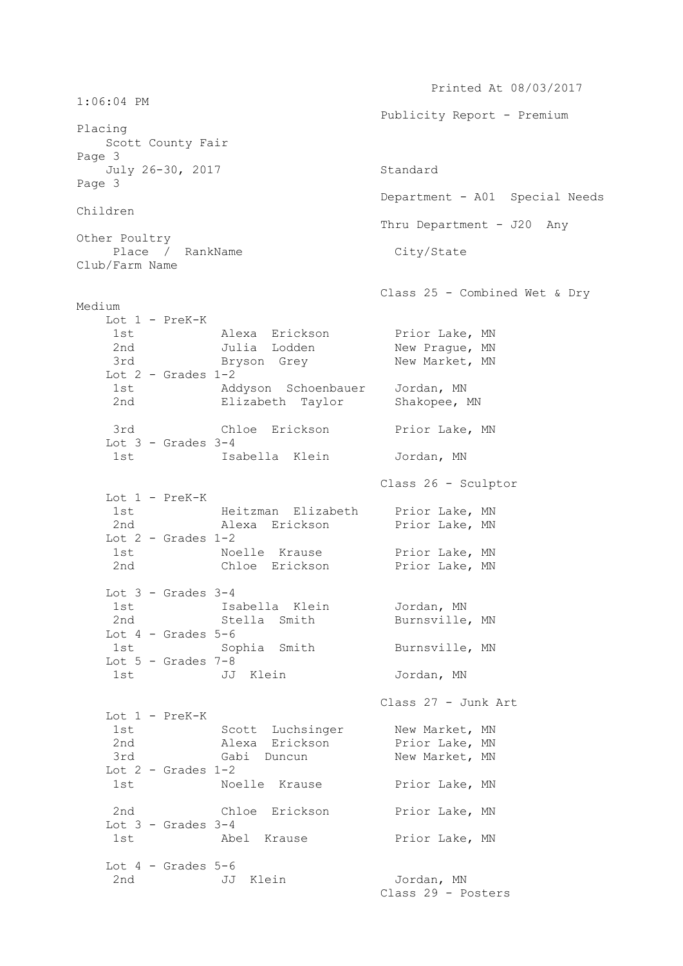Printed At 08/03/2017 1:06:04 PM Publicity Report - Premium Placing Scott County Fair Page 3 July 26-30, 2017 Standard Page 3 Department - A01 Special Needs Children Thru Department - J20 Any Other Poultry Place / RankName City/State Club/Farm Name Class 25 - Combined Wet & Dry Medium Lot 1 - PreK-K 1st Alexa Erickson Prior Lake, MN 2nd Julia Lodden New Prague, MN 3rd Bryson Grey New Market, MN Lot  $2$  - Grades  $1-2$  1st Addyson Schoenbauer Jordan, MN 2nd Elizabeth Taylor Shakopee, MN 3rd Chloe Erickson Prior Lake, MN Lot  $3 -$  Grades  $3-4$  1st Isabella Klein Jordan, MN Class 26 - Sculptor Lot 1 - PreK-K 1st Meitzman Elizabeth Prior Lake, MN 2nd Malexa Erickson Prior Lake, MN Lot  $2$  - Grades  $1-2$ 1st Moelle Krause Prior Lake, MN 2nd Chloe Erickson Prior Lake, MN Lot  $3$  - Grades  $3-4$ 1st 1sabella Klein 1916 Jordan, MN 2nd Stella Smith Burnsville, MN Lot  $4$  - Grades  $5-6$ 1st Sophia Smith Burnsville, MN Lot  $5$  - Grades  $7-8$  1st JJ Klein Jordan, MN Class 27 - Junk Art Lot 1 - PreK-K 1st Scott Luchsinger New Market, MN 2nd Alexa Erickson Prior Lake, MN 3rd Gabi Duncun New Market, MN Lot  $2$  - Grades  $1-2$ 1st Moelle Krause Prior Lake, MN 2nd Chloe Erickson Prior Lake, MN Lot  $3 -$  Grades  $3-4$ 1st Abel Krause Prior Lake, MN Lot  $4$  - Grades  $5-6$ 2nd JJ Klein Jordan, MN Class 29 - Posters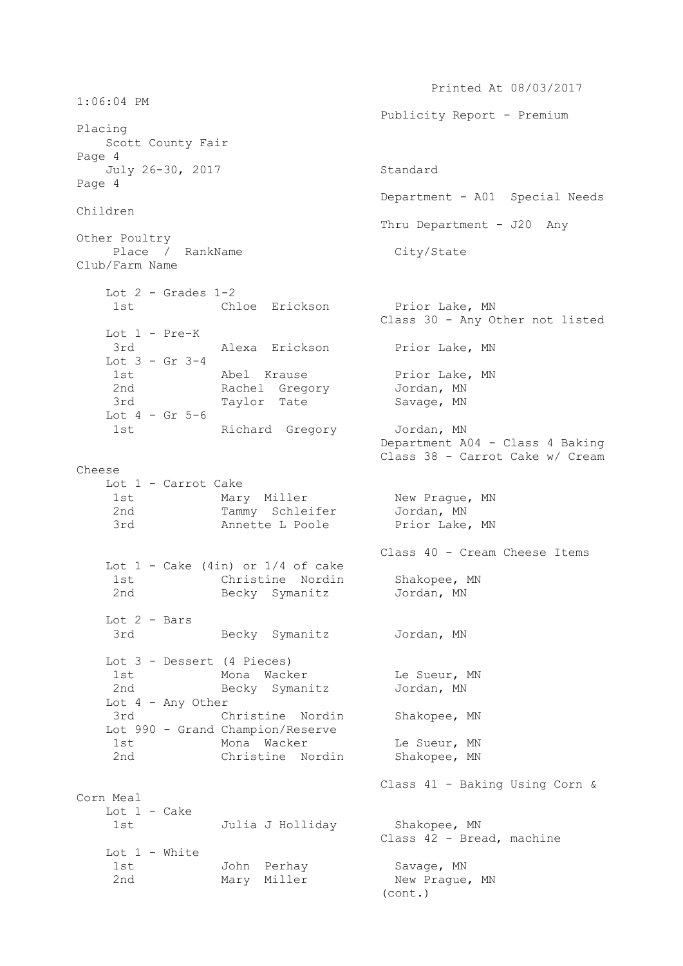Printed At 08/03/2017 1:06:04 PM Publicity Report - Premium Placing Scott County Fair Page 4 July 26-30, 2017 Standard Page 4 Department - A01 Special Needs Children Thru Department - J20 Any Other Poultry Place / RankName City/State Club/Farm Name Lot  $2$  - Grades  $1-2$ 1st Chloe Erickson Prior Lake, MN Class 30 - Any Other not listed Lot 1 - Pre-K 3rd **Alexa Erickson** Prior Lake, MN Lot 3 - Gr 3-4 Abel Krause Prior Lake, MN 2nd Rachel Gregory Jordan, MN 3rd Taylor Tate Savage, MN Lot  $4$  - Gr  $5-6$ 1st Richard Gregory Jordan, MN Department A04 - Class 4 Baking Class 38 - Carrot Cake w/ Cream Cheese Lot 1 - Carrot Cake 1st Mary Miller New Prague, MN 2nd Tammy Schleifer Jordan, MN 3rd **Annette L Poole** Prior Lake, MN Class 40 - Cream Cheese Items Lot  $1$  - Cake (4in) or  $1/4$  of cake 1st Christine Nordin Shakopee, MN 2nd Becky Symanitz Jordan, MN Lot 2 - Bars 3rd Becky Symanitz Jordan, MN Lot 3 - Dessert (4 Pieces) 1st Mona Wacker Le Sueur, MN 2nd Becky Symanitz Jordan, MN Lot 4 - Any Other 3rd Christine Nordin Shakopee, MN Lot 990 - Grand Champion/Reserve 1st Mona Wacker Le Sueur, MN 2nd Christine Nordin Shakopee, MN Class 41 - Baking Using Corn & Corn Meal Lot 1 - Cake 1st Julia J Holliday Shakopee, MN Class 42 - Bread, machine Lot 1 - White 1st John Perhay Savage, MN 2nd Mary Miller New Prague, MN

(cont.)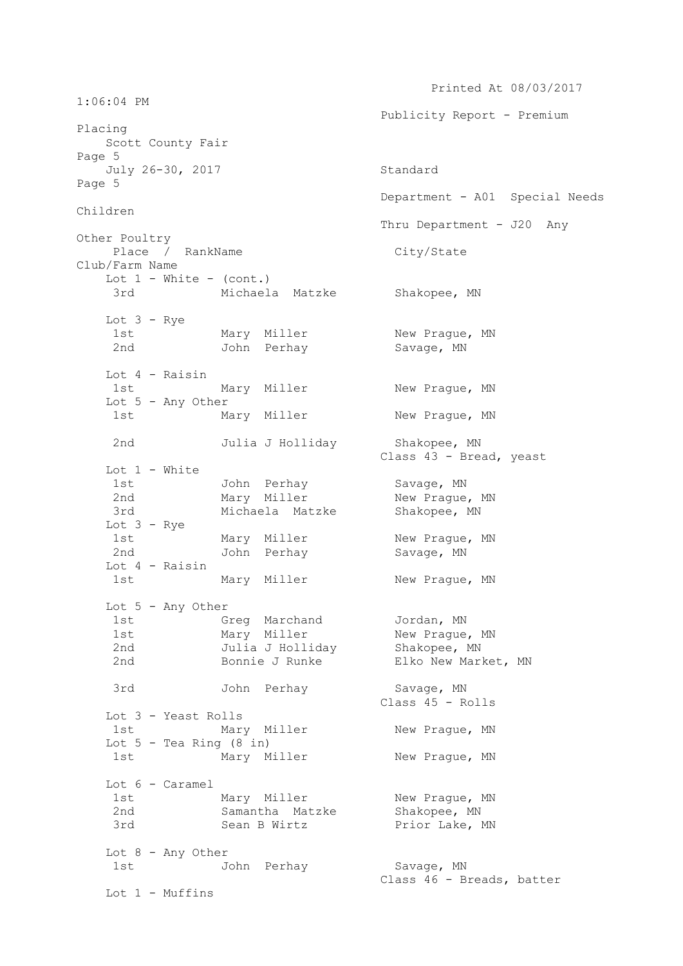Printed At 08/03/2017 1:06:04 PM Publicity Report - Premium Placing Scott County Fair Page 5 July 26-30, 2017 Standard Page 5 Department - A01 Special Needs Children Thru Department - J20 Any Other Poultry Place / RankName City/State Club/Farm Name Lot  $1$  - White - (cont.) 3rd Michaela Matzke Shakopee, MN Lot  $3 - Rye$ 1st Mary Miller New Prague, MN 2nd John Perhay Savage, MN Lot 4 - Raisin 1st Mary Miller New Prague, MN Lot 5 - Any Other 1st Mary Miller New Praque, MN 2nd Julia J Holliday Shakopee, MN Class 43 - Bread, yeast Lot 1 - White 1st John Perhay Savage, MN 2nd Mary Miller New Prague, MN 3rd Michaela Matzke Shakopee, MN Lot 3 - Rye 1st Mary Miller New Prague, MN<br>2nd John Perhay Savage, MN John Perhay Savage, MN Lot 4 - Raisin 1st Mary Miller New Prague, MN Lot 5 - Any Other 1st Greg Marchand Jordan, MN 1st Mary Miller New Prague, MN 2nd Julia J Holliday Shakopee, MN 2nd Bonnie J Runke Elko New Market, MN 3rd John Perhay Savage, MN Class 45 - Rolls Lot 3 - Yeast Rolls 1st Mary Miller New Praque, MN Lot  $5$  - Tea Ring  $(8$  in) 1st Mary Miller New Praque, MN Lot 6 - Caramel 1st Mary Miller New Prague, MN 2nd Samantha Matzke Shakopee, MN 3rd Sean B Wirtz Prior Lake, MN Lot 8 - Any Other 1st John Perhay Savage, MN Class 46 - Breads, batter Lot 1 - Muffins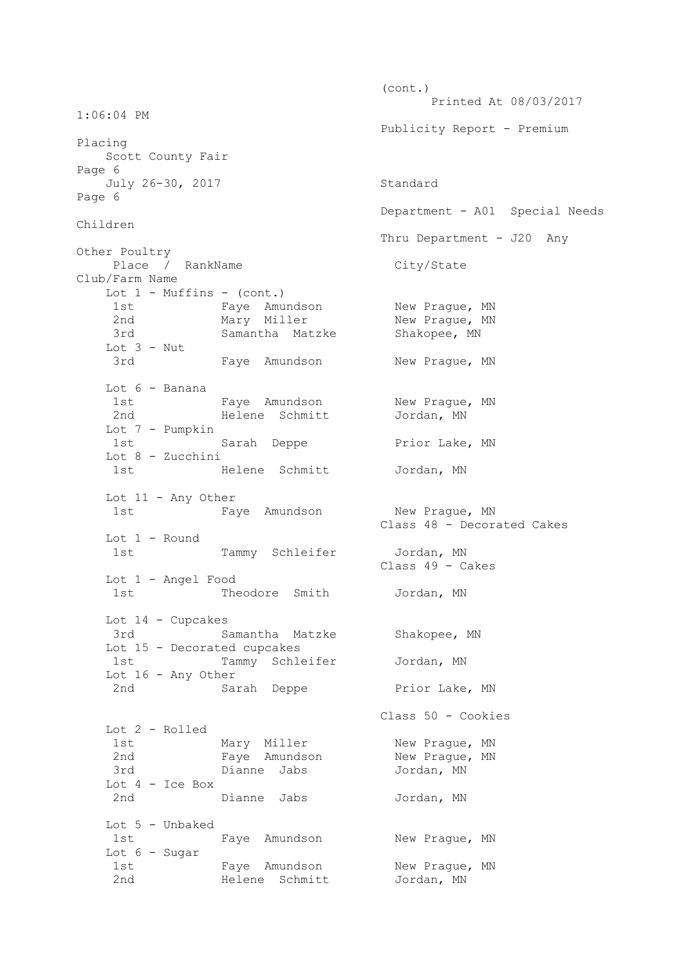(cont.) Printed At 08/03/2017 1:06:04 PM Publicity Report - Premium Placing Scott County Fair Page 6 July 26-30, 2017 Standard Page 6 Department - A01 Special Needs Children Thru Department - J20 Any Other Poultry Place / RankName City/State Club/Farm Name Lot  $1$  - Muffins - (cont.) 1st Faye Amundson New Praque, MN 2nd Mary Miller New Prague, MN 3rd Samantha Matzke Shakopee, MN Lot 3 - Nut 3rd Faye Amundson New Praque, MN Lot 6 - Banana 1st Faye Amundson New Prague, MN<br>2nd Helene Schmitt Jordan, MN Helene Schmitt Jordan, MN Lot 7 - Pumpkin Sarah Deppe Prior Lake, MN Lot 8 - Zucchini 1st Helene Schmitt Jordan, MN Lot 11 - Any Other 1st Faye Amundson New Praque, MN Class 48 - Decorated Cakes Lot 1 - Round 1st Tammy Schleifer Jordan, MN Class 49 - Cakes Lot 1 - Angel Food 1st Theodore Smith Jordan, MN Lot 14 - Cupcakes 3rd Samantha Matzke Shakopee, MN Lot 15 - Decorated cupcakes 1st Tammy Schleifer Jordan, MN Lot 16 - Any Other 2nd Sarah Deppe Prior Lake, MN Class 50 - Cookies Lot 2 - Rolled 1st Mary Miller New Prague, MN 1st  $\frac{1}{2}$   $\frac{1}{2}$   $\frac{1}{2}$   $\frac{1}{2}$   $\frac{1}{2}$   $\frac{1}{2}$   $\frac{1}{2}$   $\frac{1}{2}$   $\frac{1}{2}$   $\frac{1}{2}$   $\frac{1}{2}$   $\frac{1}{2}$   $\frac{1}{2}$   $\frac{1}{2}$   $\frac{1}{2}$   $\frac{1}{2}$   $\frac{1}{2}$   $\frac{1}{2}$   $\frac{1}{2}$   $\frac{1}{2}$   $\frac{1}{2}$   $\frac{1}{2}$  3rd Dianne Jabs Jordan, MN Lot 4 - Ice Box 2nd Dianne Jabs Jordan, MN Lot 5 - Unbaked 1st Faye Amundson New Prague, MN Lot 6 - Sugar 1st Faye Amundson New Prague, MN 2nd Melene Schmitt Jordan, MN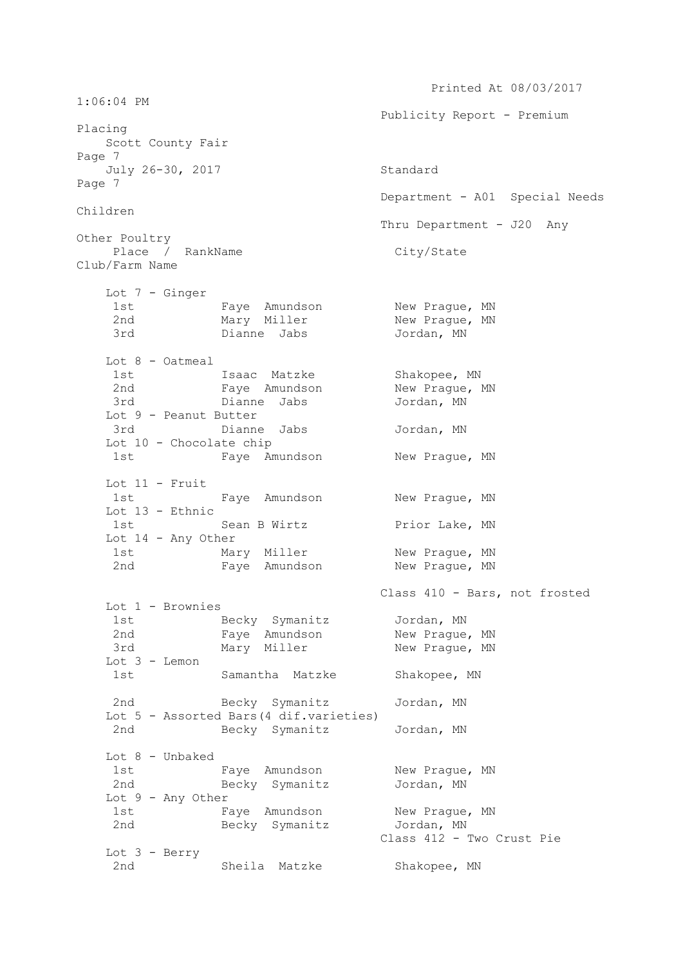Printed At 08/03/2017 1:06:04 PM Publicity Report - Premium Placing Scott County Fair Page 7 July 26-30, 2017 Standard Page 7 Department - A01 Special Needs Children Thru Department - J20 Any Other Poultry Place / RankName City/State Club/Farm Name Lot 7 - Ginger 1st Faye Amundson New Prague, MN<br>2nd Mary Miller New Prague, MN 2nd Mary Miller 3rd Dianne Jabs Jordan, MN Lot 8 - Oatmeal 1st 1saac Matzke Shakopee, MN 2nd Faye Amundson New Prague, MN 3rd Dianne Jabs Jordan, MN Lot 9 - Peanut Butter 3rd Dianne Jabs Jordan, MN Lot 10 - Chocolate chip 1st Faye Amundson New Praque, MN Lot 11 - Fruit 1st Faye Amundson New Prague, MN Lot 13 - Ethnic 1st Sean B Wirtz Prior Lake, MN Lot 14 - Any Other 1st Mary Miller New Prague, MN 2nd Faye Amundson New Praque, MN Class 410 - Bars, not frosted Lot 1 - Brownies 1st Diennies<br>1st Becky Symanitz Jordan, MN 2nd Faye Amundson New Prague, MN 3rd Mary Miller New Prague, MN Lot 3 - Lemon 1st Samantha Matzke Shakopee, MN 2nd Becky Symanitz Jordan, MN Lot 5 - Assorted Bars(4 dif.varieties) 2nd Becky Symanitz Jordan, MN Lot 8 - Unbaked 1st Faye Amundson New Prague, MN 2nd Becky Symanitz Jordan, MN Lot 9 - Any Other 1st Faye Amundson New Prague, MN 2nd Becky Symanitz Jordan, MN Class 412 - Two Crust Pie Lot 3 - Berry 2nd Sheila Matzke Shakopee, MN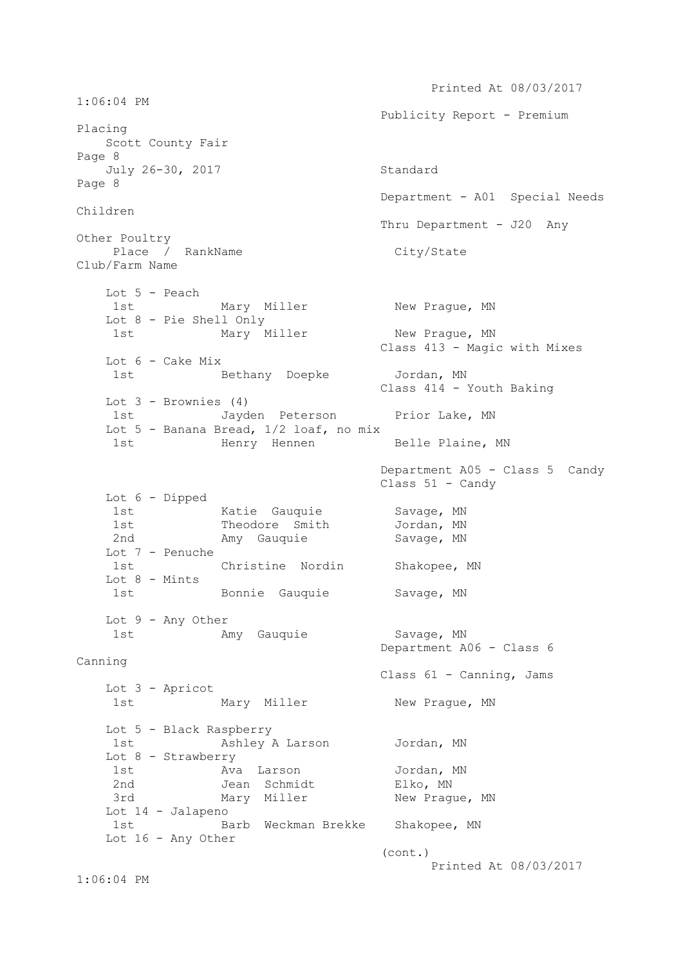Printed At 08/03/2017 1:06:04 PM Publicity Report - Premium Placing Scott County Fair Page 8 July 26-30, 2017 Standard Page 8 Department - A01 Special Needs Children Thru Department - J20 Any Other Poultry Place / RankName City/State Club/Farm Name Lot 5 - Peach 1st Mary Miller New Praque, MN Lot 8 - Pie Shell Only 1st Mary Miller New Prague, MN Class 413 - Magic with Mixes Lot 6 - Cake Mix 1st Bethany Doepke Jordan, MN Class 414 - Youth Baking Lot  $3$  - Brownies  $(4)$ 1st Jayden Peterson Prior Lake, MN Lot 5 - Banana Bread, 1/2 loaf, no mix 1st Menry Hennen Belle Plaine, MN Department A05 - Class 5 Candy Class 51 - Candy Lot 6 - Dipped 1st Matie Gauquie Savage, MN 1st **Theodore Smith** Jordan, MN 2nd Many Gauquie Savage, MN Lot 7 - Penuche 1st Christine Nordin Shakopee, MN Lot 8 - Mints 1st Bonnie Gauquie Savage, MN Lot 9 - Any Other 1st Many Gauquie Many Savage, MN Department A06 - Class 6 Canning Class 61 - Canning, Jams Lot 3 - Apricot 1st Mary Miller New Prague, MN Lot 5 - Black Raspberry 1st Mashley A Larson Jordan, MN Lot 8 - Strawberry 1st Manuel Ava Larson and Jordan, MN 1st ava harson<br>2nd Jean Schmidt Elko, MN<br>1011 Pragu 3rd Mary Miller New Prague, MN Lot 14 - Jalapeno 1st Barb Weckman Brekke Shakopee, MN Lot 16 - Any Other (cont.) Printed At 08/03/2017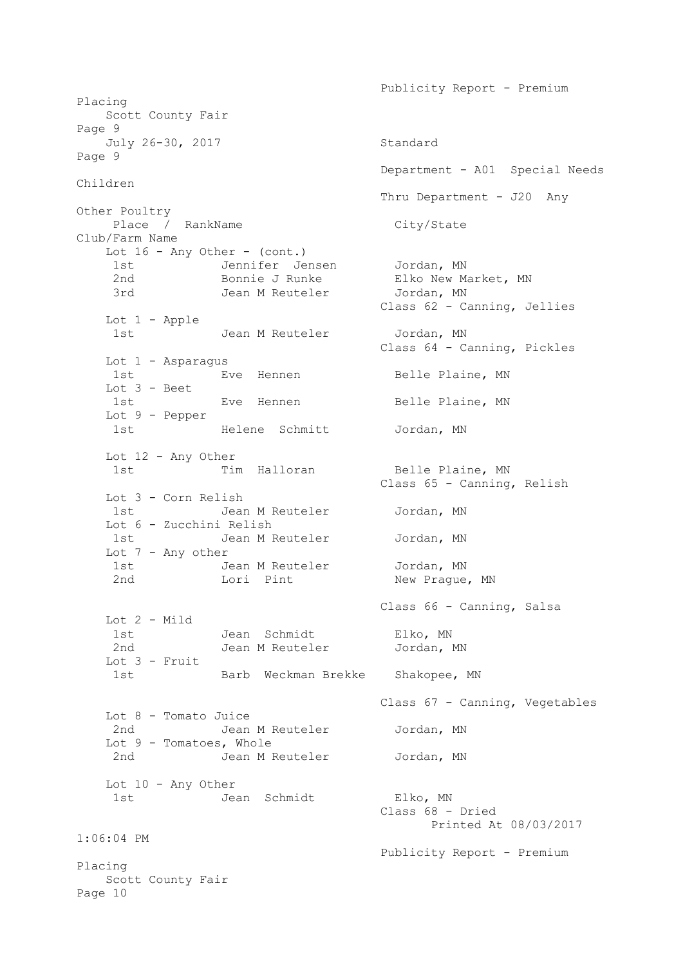Publicity Report - Premium Placing Scott County Fair Page 9 July 26-30, 2017 Standard Page 9 Department - A01 Special Needs Children Thru Department - J20 Any Other Poultry Place / RankName City/State Club/Farm Name Lot 16 - Any Other - (cont.) 1st Jennifer Jensen Jordan, MN 2nd Bonnie J Runke Elko New Market, MN 3rd Jean M Reuteler Jordan, MN Class 62 - Canning, Jellies Lot 1 - Apple 1st Jean M Reuteler Jordan, MN<br>1st Jean M Reuteler Jordan, MN Class 64 - Canning, Pickles Lot 1 - Asparagus 1st Eve Hennen Belle Plaine, MN Lot 3 - Beet 1st Eve Hennen Belle Plaine, MN Lot 9 - Pepper 1st Melene Schmitt Jordan, MN Lot 12 - Any Other 1st Tim Halloran Belle Plaine, MN Class 65 - Canning, Relish Lot 3 - Corn Relish 1st Jean M Reuteler Jordan, MN Lot 6 - Zucchini Relish 1st Jean M Reuteler Jordan, MN Lot 7 - Any other 1st 1.1, John M Reuteler Jordan, MN 2nd Lori Pint New Praque, MN Class 66 - Canning, Salsa Lot 2 - Mild<br>1st<br>2nd 1st Jean Schmidt Elko, MN 2nd Jean M Reuteler Jordan, MN Lot 3 - Fruit 1st Barb Weckman Brekke Shakopee, MN Class 67 - Canning, Vegetables Lot 8 - Tomato Juice 2nd Jean M Reuteler Jordan, MN Lot 9 - Tomatoes, Whole 2nd Jean M Reuteler Jordan, MN Lot 10 - Any Other 1st Jean Schmidt Elko, MN Class 68 - Dried Printed At 08/03/2017 1:06:04 PM Publicity Report - Premium Placing Scott County Fair Page 10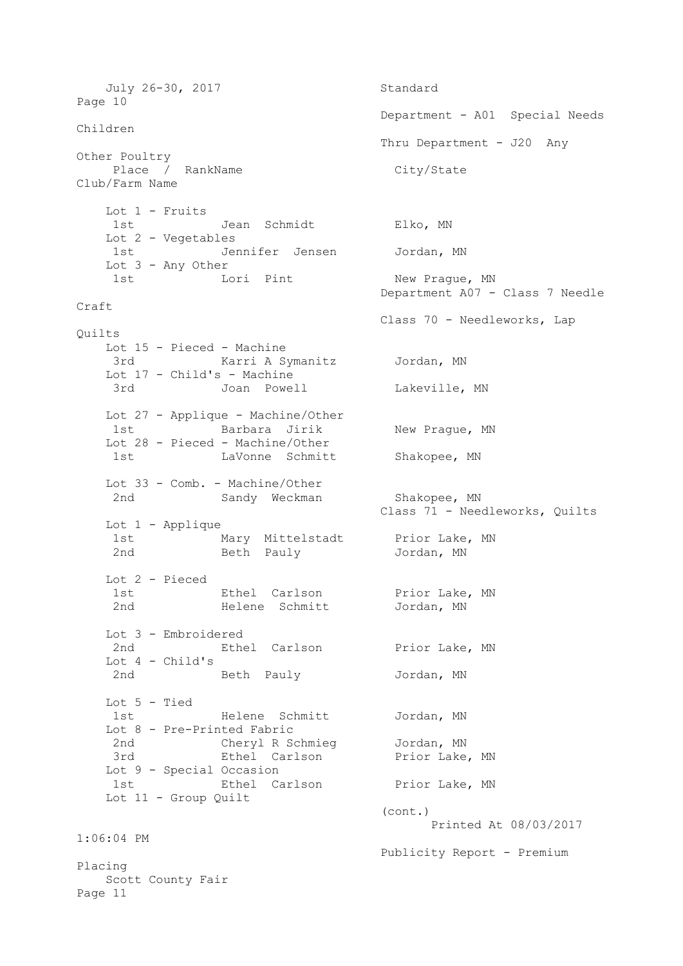July 26-30, 2017 Standard Page 10 Department - A01 Special Needs Children Thru Department - J20 Any Other Poultry Place / RankName City/State Club/Farm Name Lot 1 - Fruits 1st Jean Schmidt Elko, MN Lot 2 - Vegetables 1st Jennifer Jensen Jordan, MN Lot 3 - Any Other 1st Lori Pint New Prague, MN Department A07 - Class 7 Needle Craft Class 70 - Needleworks, Lap Quilts Lot 15 - Pieced - Machine 3rd Karri A Symanitz Jordan, MN Lot 17 - Child's - Machine 3rd Joan Powell Lakeville, MN Lot 27 - Applique - Machine/Other 1st Barbara Jirik New Prague, MN Lot 28 - Pieced - Machine/Other 1st LaVonne Schmitt Shakopee, MN Lot 33 - Comb. - Machine/Other 2nd Sandy Weckman Shakopee, MN SHANOPEC, ....<br>Class 71 - Needleworks, Quilts Lot 1 - Applique 1st 11 1 Mary Mittelstadt Prior Lake, MN 2nd Beth Pauly Jordan, MN Lot 2 - Pieced 1st **Ethel Carlson** Prior Lake, MN 2nd Melene Schmitt Jordan, MN Lot 3 - Embroidered 2nd Ethel Carlson Prior Lake, MN Lot 4 - Child's Beth Pauly **Jordan, MN**  Lot 5 - Tied 1st Helene Schmitt Jordan, MN Lot 8 - Pre-Printed Fabric 2nd Cheryl R Schmieg Jordan, MN 3rd **Ethel Carlson** Prior Lake, MN Lot 9 - Special Occasion 1st Ethel Carlson Prior Lake, MN Lot 11 - Group Quilt (cont.) Printed At 08/03/2017 1:06:04 PM Publicity Report - Premium Placing Scott County Fair Page 11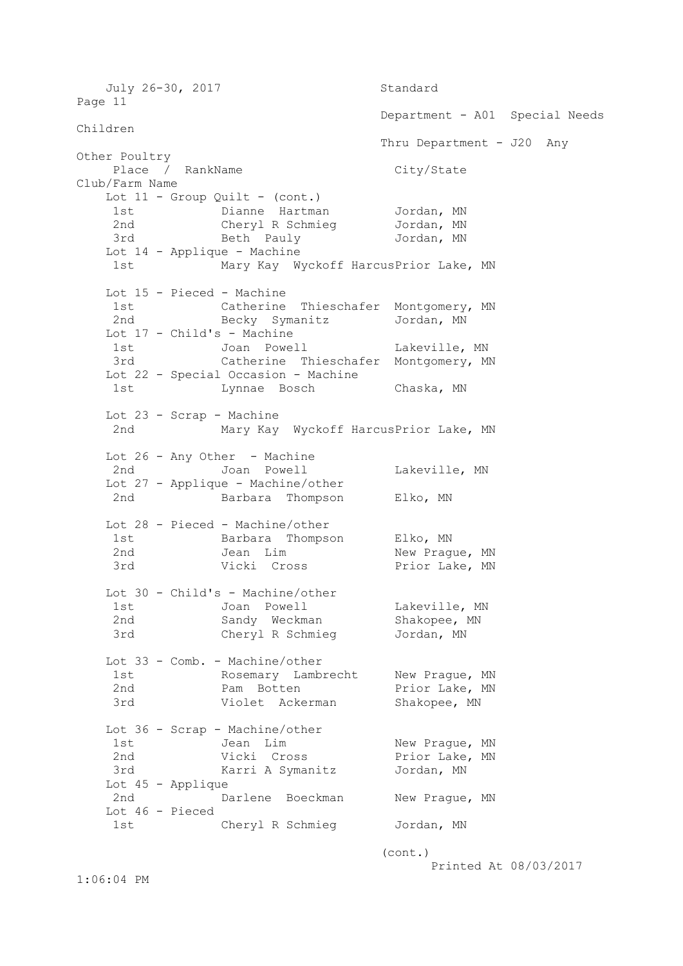July 26-30, 2017 Standard Page 11 Department - A01 Special Needs Children Thru Department - J20 Any Other Poultry Place / RankName City/State Club/Farm Name Lot  $11$  - Group Quilt - (cont.) 1st **Dianne Hartman** Jordan, MN 2nd Cheryl R Schmieg Jordan, MN 3rd Beth Pauly Jordan, MN Lot 14 - Applique - Machine 1st Mary Kay Wyckoff HarcusPrior Lake, MN Lot 15 - Pieced - Machine 1st Catherine Thieschafer Montgomery, MN 2nd Becky Symanitz Jordan, MN Lot 17 - Child's - Machine 1st Joan Powell Lakeville, MN<br>3rd Catherine Thieschafer Montgomery, M Catherine Thieschafer Montgomery, MN Lot 22 - Special Occasion - Machine 1st Lynnae Bosch Chaska, MN Lot 23 - Scrap - Machine 2nd Mary Kay Wyckoff HarcusPrior Lake, MN Lot 26 - Any Other - Machine 2nd Joan Powell Cakeville, MN Lot 27 - Applique - Machine/other 2nd Barbara Thompson Elko, MN Lot 28 - Pieced - Machine/other 1st Barbara Thompson Elko, MN 2nd Jean Lim New Prague, MN 3rd Vicki Cross Prior Lake, MN Lot 30 - Child's - Machine/other 1st Joan Powell **Lakeville, MN**  2nd Sandy Weckman Shakopee, MN 3rd Cheryl R Schmieg Jordan, MN Lot 33 - Comb. - Machine/other 1st Common Rosemary Lambrecht New Prague, MN 2nd **Pam Botten** Prior Lake, MN 3rd Violet Ackerman Shakopee, MN Lot 36 - Scrap - Machine/other 1st Jean Lim New Prague, MN 2nd Vicki Cross Prior Lake, MN 3rd Karri A Symanitz Jordan, MN Lot 45 - Applique 2nd Darlene Boeckman New Prague, MN Lot 46 - Pieced 1st Cheryl R Schmieg Jordan, MN (cont.)

Printed At 08/03/2017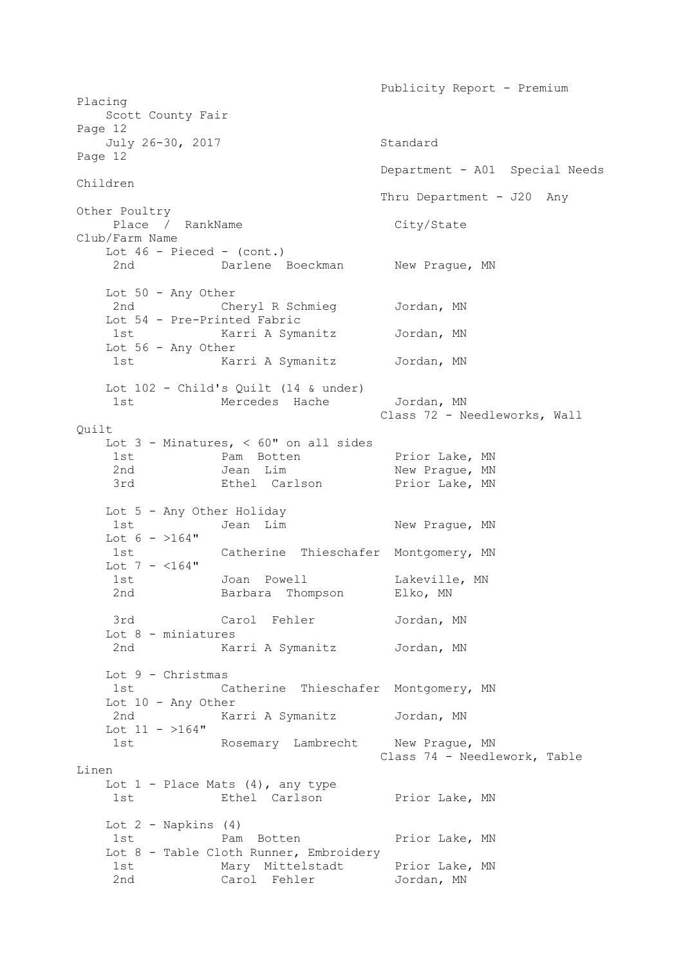Publicity Report - Premium Placing Scott County Fair Page 12 July 26-30, 2017 Standard Page 12 Department - A01 Special Needs Children Thru Department - J20 Any Other Poultry Place / RankName City/State Club/Farm Name Lot  $46$  - Pieced - (cont.) 2nd Darlene Boeckman New Prague, MN Lot 50 - Any Other 2nd Cheryl R Schmieg Jordan, MN Lot 54 - Pre-Printed Fabric 1st Karri A Symanitz Jordan, MN Lot 56 - Any Other 1st Karri A Symanitz Jordan, MN Lot 102 - Child's Quilt (14 & under) 1st Mercedes Hache Jordan, MN Class 72 - Needleworks, Wall Quilt Lot 3 - Minatures, < 60" on all sides 1st Pam Botten Prior Lake, MN 2nd Jean Lim New Prague, MN 3rd **Ethel Carlson** Prior Lake, MN Lot 5 - Any Other Holiday 1st Jean Lim New Prague, MN Lot  $6 - 164$ " 1st Catherine Thieschafer Montgomery, MN Lot 7 -  $<$ 164" 1st Joan Powell Cakeville, MN 2nd Barbara Thompson Elko, MN 3rd Carol Fehler Jordan, MN Lot 8 - miniatures 2nd Karri A Symanitz Jordan, MN Lot 9 - Christmas 1st Catherine Thieschafer Montgomery, MN Lot 10 - Any Other 2nd Karri A Symanitz Jordan, MN Lot  $11 - 164$ " 1st Rosemary Lambrecht New Prague, MN Class 74 - Needlework, Table Linen Lot  $1$  - Place Mats  $(4)$ , any type 1st **Ethel Carlson** Prior Lake, MN Lot  $2$  - Napkins  $(4)$ 1st Pam Botten Prior Lake, MN Lot 8 - Table Cloth Runner, Embroidery 1st Mary Mittelstadt Prior Lake, MN 2nd Carol Fehler Jordan, MN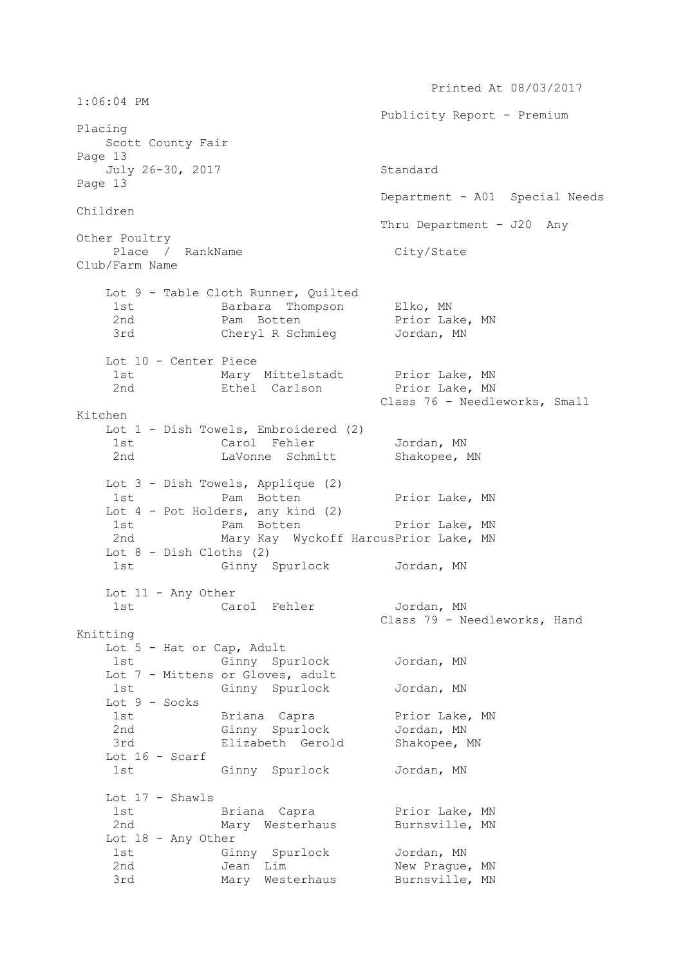Printed At 08/03/2017 1:06:04 PM Publicity Report - Premium Placing Scott County Fair Page 13 July 26-30, 2017 Standard Page 13 Department - A01 Special Needs Children Thru Department - J20 Any Other Poultry Place / RankName City/State Club/Farm Name Lot 9 - Table Cloth Runner, Quilted 1st Barbara Thompson Elko, MN 2nd Pam Botten Prior Lake, MN 3rd Cheryl R Schmieg Jordan, MN Lot 10 - Center Piece 1st Mary Mittelstadt Prior Lake, MN 2nd **Ethel Carlson** Prior Lake, MN Class 76 - Needleworks, Small Kitchen Lot 1 - Dish Towels, Embroidered (2) 1st Carol Fehler Jordan, MN 2nd Cavonne Schmitt Shakopee, MN Lot 3 - Dish Towels, Applique (2) 1st Pam Botten Prior Lake, MN Lot 4 - Pot Holders, any kind (2) 1st Pam Botten Prior Lake, MN 2nd Mary Kay Wyckoff HarcusPrior Lake, MN Lot 8 - Dish Cloths (2) 1st Ginny Spurlock Jordan, MN Lot 11 - Any Other 1st Carol Fehler Jordan, MN Class 79 - Needleworks, Hand Knitting Lot 5 - Hat or Cap, Adult 1st Ginny Spurlock Jordan, MN Lot 7 - Mittens or Gloves, adult 1st Ginny Spurlock Jordan, MN Lot 9 - Socks 1st Briana Capra Prior Lake, MN 2nd Ginny Spurlock Jordan, MN 3rd Elizabeth Gerold Shakopee, MN Lot 16 - Scarf 1st Ginny Spurlock Jordan, MN Lot 17 - Shawls 1st Briana Capra Prior Lake, MN Mary Westerhaus Burnsville, MN Lot 18 - Any Other 1st Ginny Spurlock Jordan, MN 2nd Jean Lim New Prague, MN 3rd Mary Westerhaus Burnsville, MN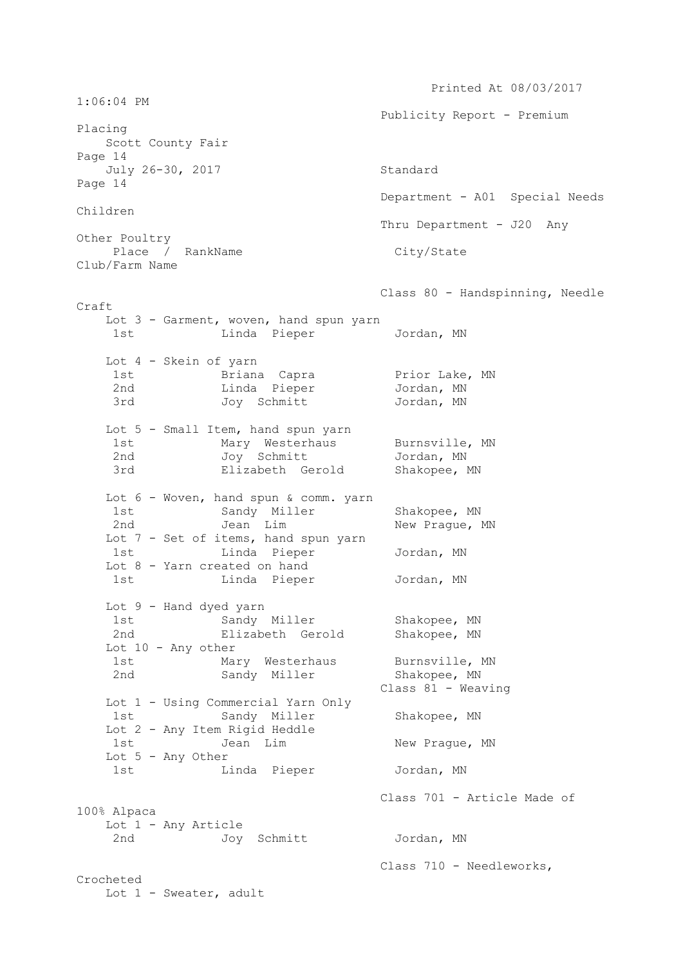Printed At 08/03/2017 1:06:04 PM Publicity Report - Premium Placing Scott County Fair Page 14 July 26-30, 2017 Standard Page 14 Department - A01 Special Needs Children Thru Department - J20 Any Other Poultry Place / RankName City/State Club/Farm Name Class 80 - Handspinning, Needle Craft Lot 3 - Garment, woven, hand spun yarn 1st Linda Pieper Jordan, MN Lot 4 - Skein of yarn 1st Briana Capra Prior Lake, MN 2nd Linda Pieper Jordan, MN 3rd Joy Schmitt Jordan, MN Lot 5 - Small Item, hand spun yarn 1st Mary Westerhaus Burnsville, MN 2nd Joy Schmitt Jordan, MN 3rd Elizabeth Gerold Shakopee, MN Lot 6 - Woven, hand spun & comm. yarn 1st Sandy Miller Shakopee, MN 2nd Jean Lim New Prague, MN Lot 7 - Set of items, hand spun yarn 1st Linda Pieper Jordan, MN Lot 8 - Yarn created on hand 1st Linda Pieper Jordan, MN Lot 9 - Hand dyed yarn 1st Sandy Miller Shakopee, MN 2nd Elizabeth Gerold Shakopee, MN Lot 10 - Any other<br>1st Mary Westerhaus 1st Mary Westerhaus Burnsville, MN 2nd Sandy Miller Shakopee, MN Class 81 - Weaving Lot 1 - Using Commercial Yarn Only 1st Sandy Miller Shakopee, MN Lot 2 - Any Item Rigid Heddle 1st Jean Lim New Prague, MN Lot 5 - Any Other 1st Linda Pieper Jordan, MN Class 701 - Article Made of 100% Alpaca Lot 1 - Any Article<br>2nd Joy Joy Schmitt Jordan, MN Class 710 - Needleworks, Crocheted Lot 1 - Sweater, adult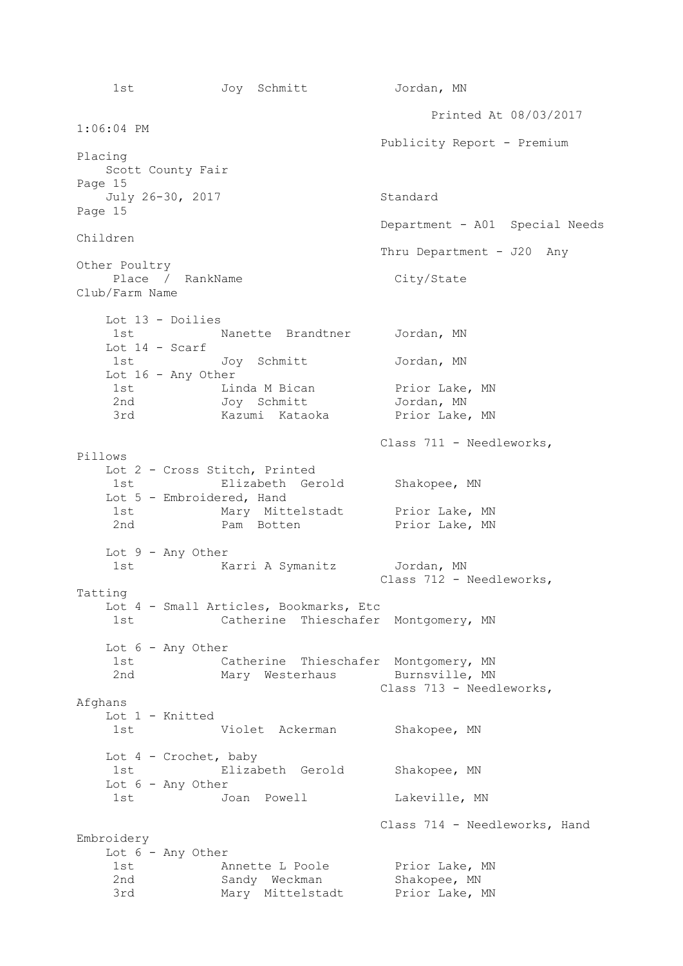1st Joy Schmitt Jordan, MN Printed At 08/03/2017 1:06:04 PM Publicity Report - Premium Placing Scott County Fair Page 15 July 26-30, 2017 Standard Page 15 Department - A01 Special Needs Children Thru Department - J20 Any Other Poultry Place / RankName City/State Club/Farm Name Lot 13 - Doilies 1st Nanette Brandtner Jordan, MN Lot 14 - Scarf 1st Joy Schmitt Jordan, MN Lot 16 - Any Other 1st Linda M Bican Prior Lake, MN 2nd Joy Schmitt Jordan, MN 3rd Kazumi Kataoka Prior Lake, MN Class 711 - Needleworks, Pillows Lot 2 - Cross Stitch, Printed 1st Elizabeth Gerold Shakopee, MN Lot 5 - Embroidered, Hand 1st Mary Mittelstadt Prior Lake, MN 2nd **Pam Botten** Prior Lake, MN Lot 9 - Any Other 1st Marri A Symanitz Jordan, MN Class 712 - Needleworks, Tatting Lot 4 - Small Articles, Bookmarks, Etc 1st Catherine Thieschafer Montgomery, MN Lot 6 - Any Other 1st Catherine Thieschafer Montgomery, MN<br>2nd Mary Westerhaus Burnsville, MN Mary Westerhaus Burnsville, MN Class 713 - Needleworks, Afghans Lot 1 - Knitted 1st Violet Ackerman Shakopee, MN Lot 4 - Crochet, baby 1st Elizabeth Gerold Shakopee, MN Lot 6 - Any Other 1st Joan Powell **Lakeville, MN**  Class 714 - Needleworks, Hand Embroidery Lot 6 - Any Other 1st Monette L Poole Prior Lake, MN 2nd Sandy Weckman Shakopee, MN 3rd Mary Mittelstadt Prior Lake, MN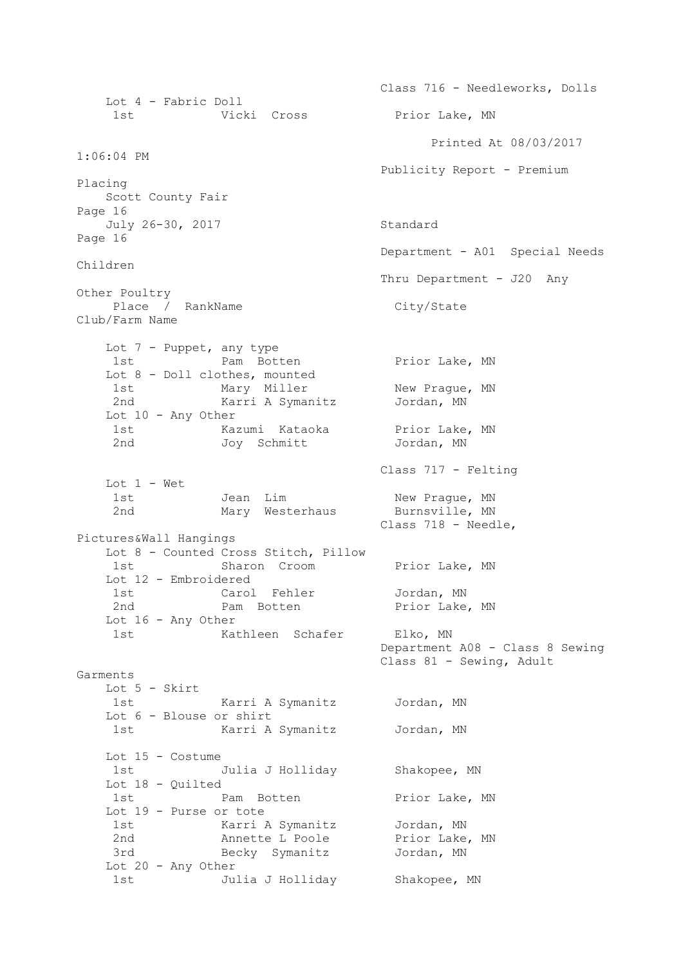Class 716 - Needleworks, Dolls Lot 4 - Fabric Doll 1st Vicki Cross Prior Lake, MN Printed At 08/03/2017 1:06:04 PM Publicity Report - Premium Placing Scott County Fair Page 16 July 26-30, 2017 Standard Page 16 Department - A01 Special Needs Children Thru Department - J20 Any Other Poultry Place / RankName City/State Club/Farm Name Lot 7 - Puppet, any type 1st Pam Botten Prior Lake, MN Lot 8 - Doll clothes, mounted 1st Mary Miller New Prague, MN 2nd Karri A Symanitz Jordan, MN Lot 10 - Any Other 1st Kazumi Kataoka Prior Lake, MN 2nd Joy Schmitt Jordan, MN Class 717 - Felting Lot 1 - Wet Jean Lim New Prague, MN<br>Mary Westerhaus Burnsville, MN Mary Westerhaus Class 718 - Needle, Pictures&Wall Hangings Lot 8 - Counted Cross Stitch, Pillow 1st Sharon Croom Prior Lake, MN Lot 12 - Embroidered 1st Carol Fehler Jordan, MN 2nd **Pam Botten** Prior Lake, MN Lot 16 - Any Other 1st Kathleen Schafer Elko, MN Department A08 - Class 8 Sewing Class 81 - Sewing, Adult Garments Lot 5 - Skirt 1st Karri A Symanitz Jordan, MN Lot 6 - Blouse or shirt 1st Karri A Symanitz Jordan, MN Lot 15 - Costume 1st Julia J Holliday Shakopee, MN Lot 18 - Quilted 1st Pam Botten Prior Lake, MN Lot 19 - Purse or tote 1st Karri A Symanitz Jordan, MN 2nd Monette L Poole Prior Lake, MN 3rd Becky Symanitz Jordan, MN Lot 20 - Any Other 1st Julia J Holliday Shakopee, MN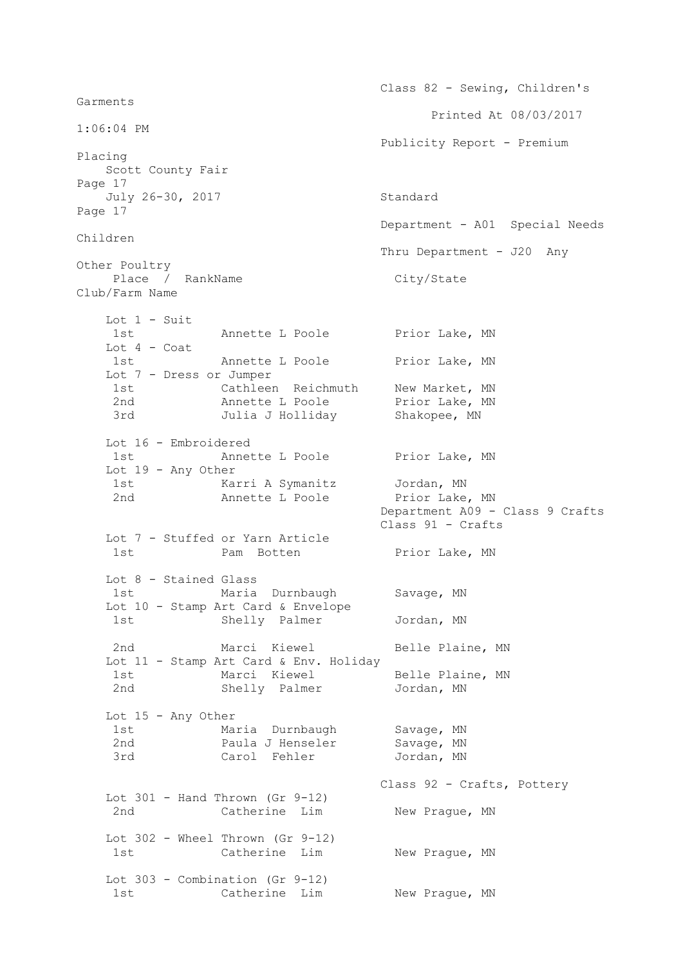Class 82 - Sewing, Children's Garments Printed At 08/03/2017 1:06:04 PM Publicity Report - Premium Placing Scott County Fair Page 17 July 26-30, 2017 Standard Page 17 Department - A01 Special Needs Children Thru Department - J20 Any Other Poultry Place / RankName City/State Club/Farm Name Lot 1 - Suit 1st Monette L Poole Prior Lake, MN Lot 4 - Coat 1st Mannette L Poole Prior Lake, MN Lot 7 - Dress or Jumper 1st Cathleen Reichmuth New Market, MN 2nd Monette L Poole Prior Lake, MN 3rd Julia J Holliday Shakopee, MN Lot 16 - Embroidered 1st **Annette L** Poole Prior Lake, MN Lot 19 - Any Other 1st Karri A Symanitz Jordan, MN 2nd Mannette L Poole Prior Lake, MN Department A09 - Class 9 Crafts Class 91 - Crafts Lot 7 - Stuffed or Yarn Article 1st Pam Botten Prior Lake, MN Lot 8 - Stained Glass 1st Maria Durnbaugh Savage, MN Lot 10 - Stamp Art Card & Envelope 1st Shelly Palmer Jordan, MN 2nd Marci Kiewel Belle Plaine, MN Lot 11 - Stamp Art Card & Env. Holiday<br>1st Marci Kiewel Belle Plaine, MN 1st Marci Kiewel Belle Plaine, MN 2nd Shelly Palmer Jordan, MN Lot 15 - Any Other 1st Maria Durnbaugh Savage, MN 2nd **Paula J Henseler** Savage, MN 3rd Carol Fehler Jordan, MN Class 92 - Crafts, Pottery Lot  $301$  - Hand Thrown (Gr  $9-12$ ) 2nd Catherine Lim New Prague, MN Lot 302 - Wheel Thrown (Gr 9-12) 1st Catherine Lim New Prague, MN Lot 303 - Combination (Gr 9-12) 1st Catherine Lim New Praque, MN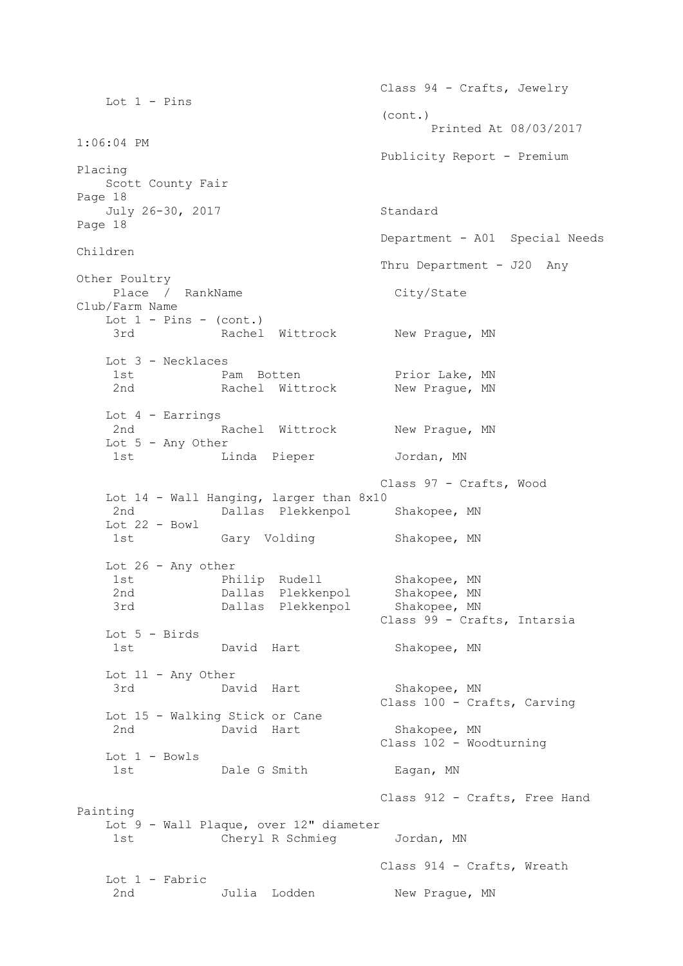Class 94 - Crafts, Jewelry Lot  $1$  - Pins (cont.) Printed At 08/03/2017 1:06:04 PM Publicity Report - Premium Placing Scott County Fair Page 18 July 26-30, 2017 Standard Page 18 Department - A01 Special Needs Children Thru Department - J20 Any Other Poultry Place / RankName City/State Club/Farm Name Lot  $1$  - Pins - (cont.) 3rd Rachel Wittrock New Prague, MN Lot 3 - Necklaces 1st Pam Botten Prior Lake, MN 2nd Rachel Wittrock New Prague, MN Lot 4 - Earrings 2nd Rachel Wittrock New Praque, MN Lot 5 - Any Other 1st Linda Pieper Jordan, MN Class 97 - Crafts, Wood Lot 14 - Wall Hanging, larger than 8x10 2nd Dallas Plekkenpol Shakopee, MN Lot  $22 - Bowl$ 1st Gary Volding Shakopee, MN Lot 26 - Any other 1st **Philip Rudell** Shakopee, MN 2nd Dallas Plekkenpol Shakopee, MN 3rd Dallas Plekkenpol Shakopee, MN Class 99 - Crafts, Intarsia Lot 5 - Birds 1st David Hart Shakopee, MN Lot 11 - Any Other 3rd David Hart Shakopee, MN Class 100 - Crafts, Carving Lot 15 - Walking Stick or Cane 2nd David Hart Shakopee, MN Class 102 - Woodturning Lot 1 - Bowls 1st Dale G Smith Eagan, MN Class 912 - Crafts, Free Hand Painting Lot 9 - Wall Plaque, over 12" diameter 1st Cheryl R Schmieg Jordan, MN Class 914 - Crafts, Wreath Lot 1 - Fabric 2nd Julia Lodden New Prague, MN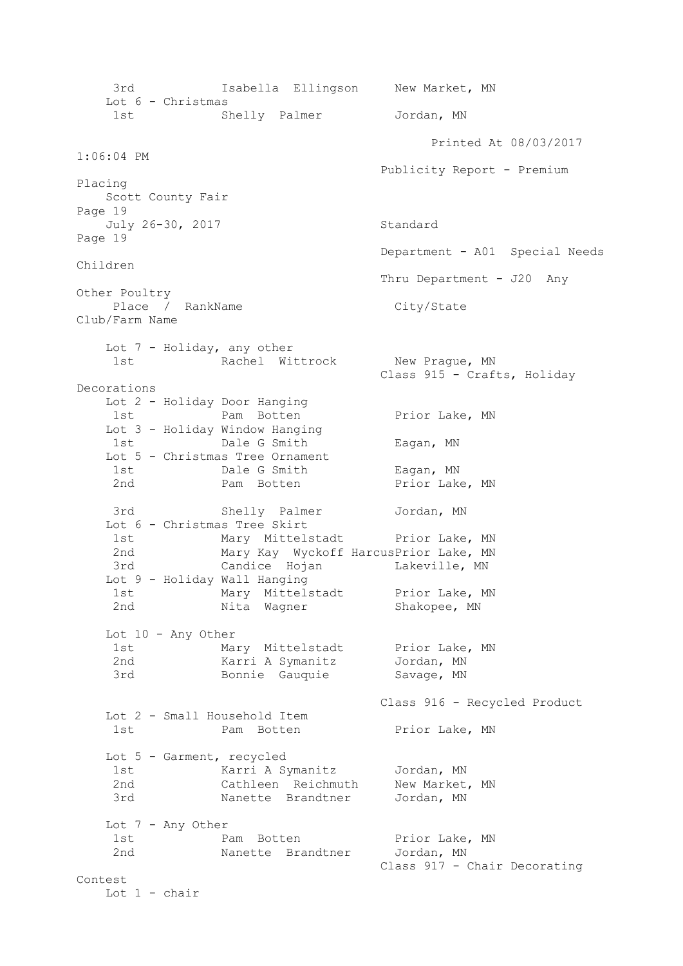3rd Isabella Ellingson New Market, MN Lot 6 - Christmas 1st Shelly Palmer Jordan, MN Printed At 08/03/2017 1:06:04 PM Publicity Report - Premium Placing Scott County Fair Page 19 July 26-30, 2017 Standard Page 19 Department - A01 Special Needs Children Thru Department - J20 Any Other Poultry Place / RankName City/State Club/Farm Name Lot 7 - Holiday, any other 1st Machel Wittrock New Prague, MN Class 915 - Crafts, Holiday Decorations Lot 2 - Holiday Door Hanging 1st Pam Botten Prior Lake, MN Lot 3 - Holiday Window Hanging 1st **Dale G Smith** Eagan, MN Lot 5 - Christmas Tree Ornament 1st Dale G Smith Eagan, MN 2nd **Pam Botten** Prior Lake, MN 3rd Shelly Palmer Jordan, MN Lot 6 - Christmas Tree Skirt 1st Charles Mary Mittelstadt Prior Lake, MN 2nd Mary Kay Wyckoff HarcusPrior Lake, MN 3rd Candice Hojan Lakeville, MN Lot 9 - Holiday Wall Hanging 1st Mary Mittelstadt Prior Lake, MN 2nd Mita Wagner Shakopee, MN Lot 10 - Any Other 1st Mary Mittelstadt Prior Lake, MN 2nd Karri A Symanitz Jordan, MN 3rd Bonnie Gauquie Savage, MN Class 916 - Recycled Product Lot 2 - Small Household Item 1st Pam Botten Prior Lake, MN Lot 5 - Garment, recycled 1st Karri A Symanitz Jordan, MN 2nd Cathleen Reichmuth New Market, MN 3rd Manette Brandtner Jordan, MN Lot 7 - Any Other 1st Pam Botten Prior Lake, MN 2nd Manette Brandtner Jordan, MN Class 917 - Chair Decorating Contest Lot 1 - chair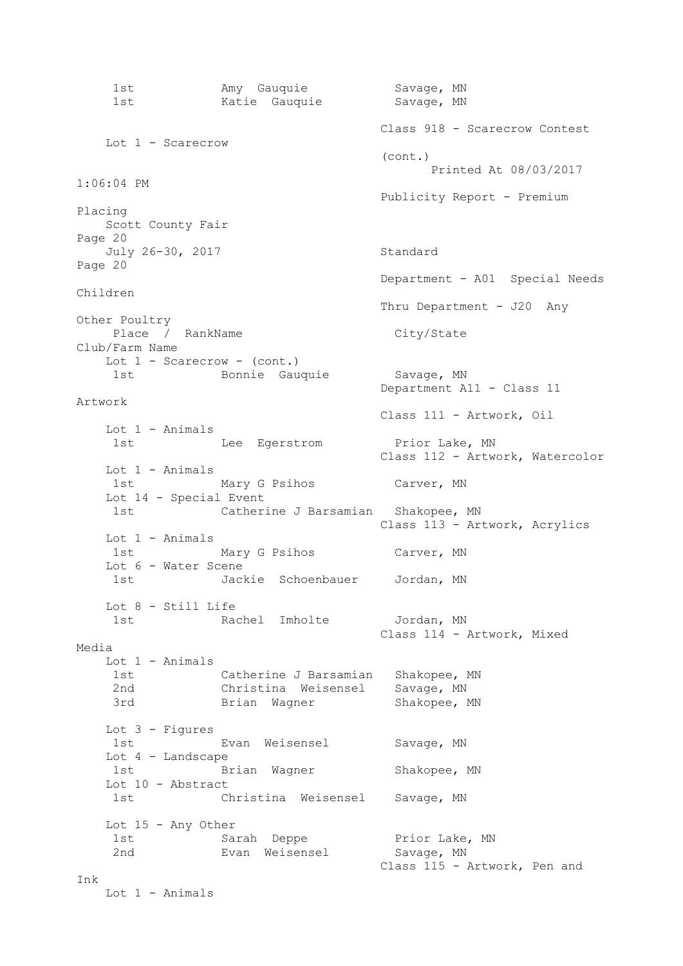1st Many Gauquie Savage, MN 1st Matie Gauquie Savage, MN Class 918 - Scarecrow Contest Lot 1 - Scarecrow (cont.) Printed At 08/03/2017 1:06:04 PM Publicity Report - Premium Placing Scott County Fair Page 20 July 26-30, 2017 Standard Page 20 Department - A01 Special Needs Children Thru Department - J20 Any Other Poultry Place / RankName City/State Club/Farm Name Lot 1 - Scarecrow - (cont.) 1st Bonnie Gauquie Savage, MN Department A11 - Class 11 Artwork Class 111 - Artwork, Oil Lot 1 - Animals 1st Animals Lee Egerstrom Prior Lake, MN Class 112 - Artwork, Watercolor Lot 1 - Animals 1st Mary G Psihos Carver, MN Lot 14 - Special Event 1st Catherine J Barsamian Shakopee, MN Class 113 - Artwork, Acrylics Lot 1 - Animals 1st Mary G Psihos Carver, MN Lot 6 - Water Scene 1st Jackie Schoenbauer Jordan, MN Lot 8 - Still Life 1st Contracted Imholte Jordan, MN Class 114 - Artwork, Mixed Media Lot 1 - Animals 1st Catherine J Barsamian Shakopee, MN 2nd Christina Weisensel Savage, MN<br>3rd Brian Wagner Shakonee. Brian Wagner Shakopee, MN Lot 3 - Figures 1st Evan Weisensel Savage, MN Lot 4 - Landscape 1st Brian Wagner Shakopee, MN Lot 10 - Abstract 1st Christina Weisensel Savage, MN Lot 15 - Any Other 1st Sarah Deppe **Prior Lake, MN**  2nd Evan Weisensel Savage, MN Class 115 - Artwork, Pen and Ink Lot 1 - Animals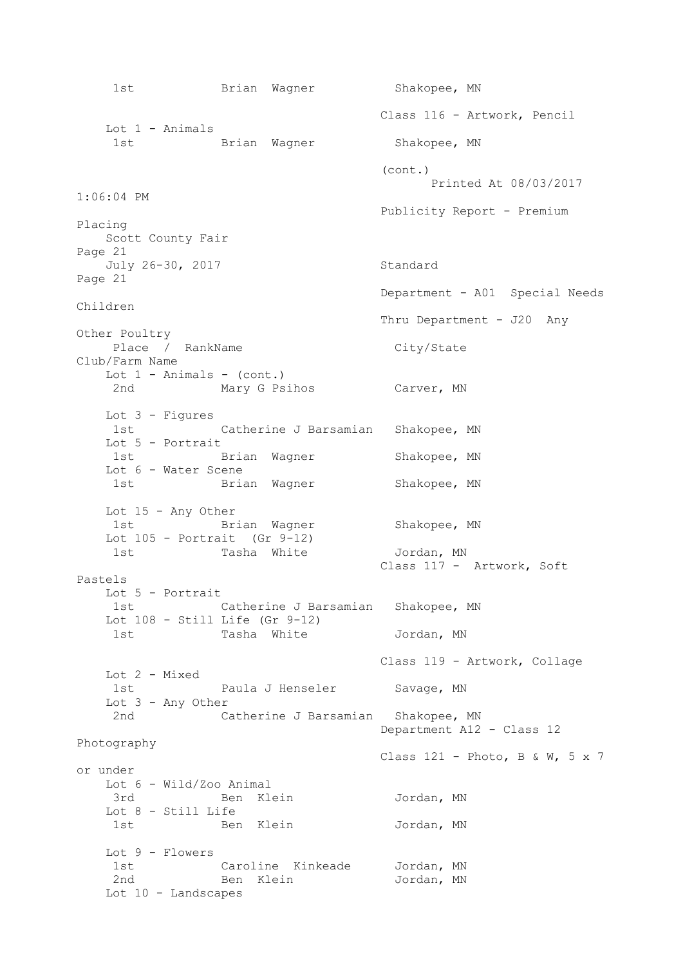1st Brian Wagner Shakopee, MN Class 116 - Artwork, Pencil Lot 1 - Animals 1st Brian Wagner Shakopee, MN (cont.) Printed At 08/03/2017 1:06:04 PM Publicity Report - Premium Placing Scott County Fair Page 21 July 26-30, 2017 Standard Page 21 Department - A01 Special Needs Children Thru Department - J20 Any Other Poultry Place / RankName City/State Club/Farm Name Lot  $1$  - Animals - (cont.) 2nd Mary G Psihos Carver, MN Lot 3 - Figures 1st Catherine J Barsamian Shakopee, MN Lot 5 - Portrait 1st Brian Wagner Shakopee, MN Lot 6 - Water Scene 1st Brian Wagner Shakopee, MN Lot  $15$  - Any Other<br> $1st$  Bri 1st Brian Wagner Shakopee, MN Lot  $105$  - Portrait (Gr  $9-12$ ) 1st Tasha White  $Jordan, MN$  Class 117 - Artwork, Soft Pastels Lot 5 - Portrait 1st Catherine J Barsamian Shakopee, MN Lot 108 - Still Life (Gr 9-12) 1st Tasha White **Jordan, MN**  Class 119 - Artwork, Collage Lot 2 - Mixed 1st Faula J Henseler Savage, MN Lot 3 - Any Other 2nd Catherine J Barsamian Shakopee, MN Department A12 - Class 12 Photography Class  $121$  - Photo, B & W, 5 x 7 or under Lot 6 - Wild/Zoo Animal 3rd Ben Klein Jordan, MN Lot 8 - Still Life 1st Ben Klein Jordan, MN Lot 9 - Flowers 1st Caroline Kinkeade Jordan, MN 2nd Ben Klein **Jordan, MN** Lot 10 - Landscapes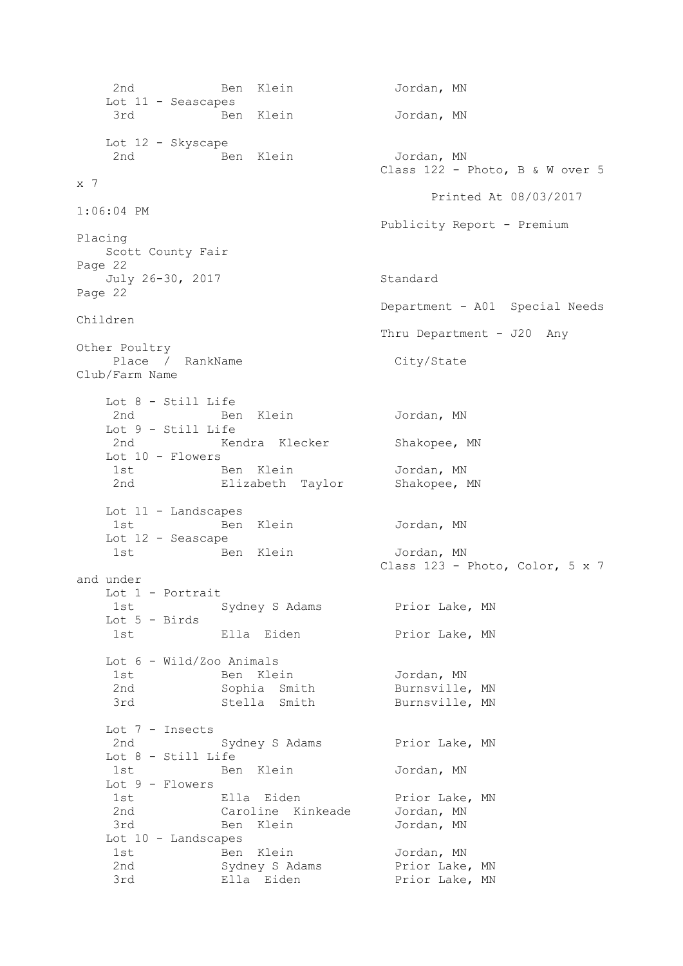2nd Ben Klein Jordan, MN Lot 11 - Seascapes 3rd Ben Klein Jordan, MN Lot 12 - Skyscape 2nd **Ben** Klein **Jordan**, MN Class 122 - Photo, B & W over 5 x 7 Printed At 08/03/2017 1:06:04 PM Publicity Report - Premium Placing Scott County Fair Page 22 July 26-30, 2017 Standard Page 22 Department - A01 Special Needs Children Thru Department - J20 Any Other Poultry Place / RankName City/State Club/Farm Name Lot 8 - Still Life 2nd Ben Klein Jordan, MN Lot 9 - Still Life Kendra Klecker Shakopee, MN Lot 10 - Flowers 1st Ben Klein Jordan, MN 2nd Elizabeth Taylor Shakopee, MN Lot 11 - Landscapes 1st Ben Klein Jordan, MN Lot 12 - Seascape 1st Ben Klein Jordan, MN Class 123 - Photo, Color, 5 x 7 and under Lot 1 - Portrait 1st Sydney S Adams Prior Lake, MN Lot 5 - Birds 1st 1st Ella Eiden 15 Prior Lake, MN Lot 6 - Wild/Zoo Animals 1st Ben Klein Jordan, MN 2nd Sophia Smith Burnsville, MN 3rd Stella Smith Burnsville, MN Lot 7 - Insects 2nd Sydney S Adams Prior Lake, MN Lot 8 - Still Life 1st Ben Klein Jordan, MN Lot 9 - Flowers 1st Ella Eiden Prior Lake, MN 2nd Caroline Kinkeade Jordan, MN 3rd Ben Klein Jordan, MN Lot 10 - Landscapes 1st Ben Klein 10rdan, MN 2nd Sydney S Adams Prior Lake, MN 3rd Ella Eiden Prior Lake, MN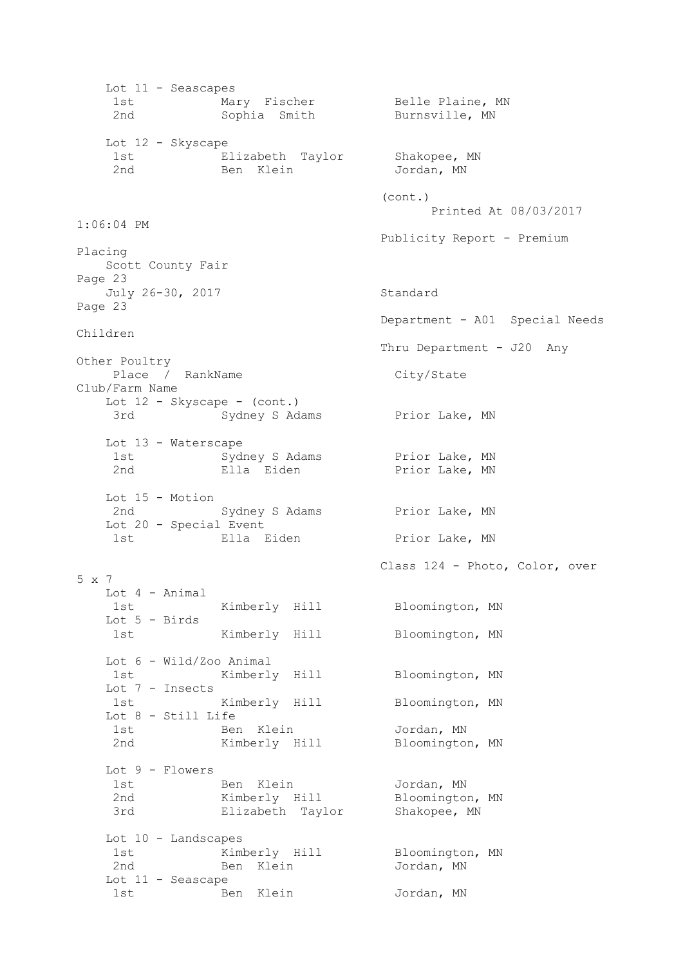Lot 11 - Seascapes 1st Mary Fischer Belle Plaine, MN 2nd Sophia Smith Burnsville, MN Lot 12 - Skyscape 1st Elizabeth Taylor Shakopee, MN 2nd Ben Klein Jordan, MN (cont.) Printed At 08/03/2017 1:06:04 PM Publicity Report - Premium Placing Scott County Fair Page 23 July 26-30, 2017 Standard Page 23 Department - A01 Special Needs Children Thru Department - J20 Any Other Poultry Place / RankName City/State Club/Farm Name Lot  $12$  - Skyscape - (cont.) 3rd Sydney S Adams Prior Lake, MN Lot 13 - Waterscape 1st Sydney S Adams Prior Lake, MN 2nd Ella Eiden Prior Lake, MN Lot 15 - Motion 2nd Sydney S Adams Prior Lake, MN Lot 20 - Special Event 1st Ella Eiden Prior Lake, MN Class 124 - Photo, Color, over 5 x 7 Lot 4 - Animal 1st Kimberly Hill Bloomington, MN Lot 5 - Birds 1st Kimberly Hill Bloomington, MN Lot 6 - Wild/Zoo Animal 1st Kimberly Hill Bloomington, MN Lot 7 - Insects 1st Kimberly Hill Bloomington, MN Lot 8 - Still Life 1st Ben Klein Jordan, MN 2nd Kimberly Hill Bloomington, MN Lot 9 - Flowers 1st Ben Klein Jordan, MN 2nd Kimberly Hill Bloomington, MN 3rd Elizabeth Taylor Shakopee, MN Lot 10 - Landscapes 1st Kimberly Hill Bloomington, MN 2nd Ben Klein **Jordan, MN**  Lot 11 - Seascape 1st Ben Klein Jordan, MN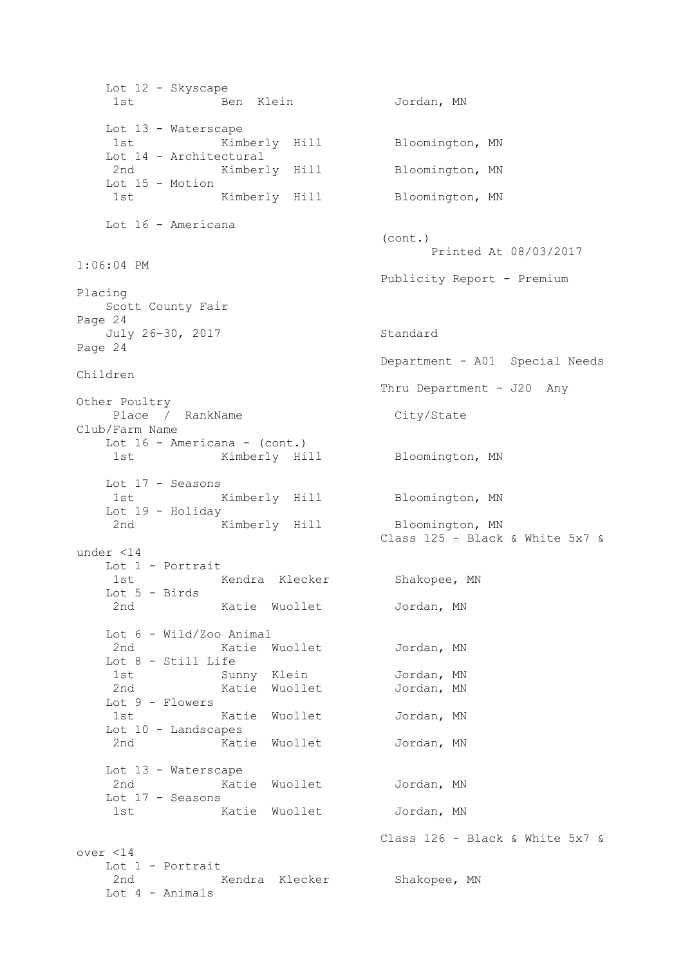Lot 12 - Skyscape 1st Ben Klein Jordan, MN Lot 13 - Waterscape 1st Kimberly Hill Bloomington, MN Lot 14 - Architectural 2nd Kimberly Hill Bloomington, MN Lot 15 - Motion 1st Kimberly Hill Bloomington, MN Lot 16 - Americana (cont.) Printed At 08/03/2017 1:06:04 PM Publicity Report - Premium Placing Scott County Fair Page 24 July 26-30, 2017 Standard Page 24 Department - A01 Special Needs Children Thru Department - J20 Any Other Poultry Place / RankName City/State Club/Farm Name Lot 16 - Americana - (cont.) 1st Kimberly Hill Bloomington, MN Lot 17 - Seasons 1st Kimberly Hill Bloomington, MN Lot 19 - Holiday 2nd Kimberly Hill Bloomington, MN Class 125 - Black & White 5x7 & under <14 Lot 1 - Portrait 1st Kendra Klecker Shakopee, MN Lot 5 - Birds 2nd Katie Wuollet Jordan, MN Lot 6 - Wild/Zoo Animal 2nd Katie Wuollet Jordan, MN Lot 8 - Still Life 1st Sunny Klein Jordan, MN 2nd Katie Wuollet Jordan, MN Lot 9 - Flowers 1st Katie Wuollet Jordan, MN Lot 10 - Landscapes 2nd Matie Wuollet Jordan, MN Lot 13 - Waterscape 2nd Katie Wuollet Jordan, MN Lot 17 - Seasons 1st Katie Wuollet Jordan, MN Class 126 - Black & White 5x7 & over <14 Lot 1 - Portrait 2nd Kendra Klecker Shakopee, MN Lot 4 - Animals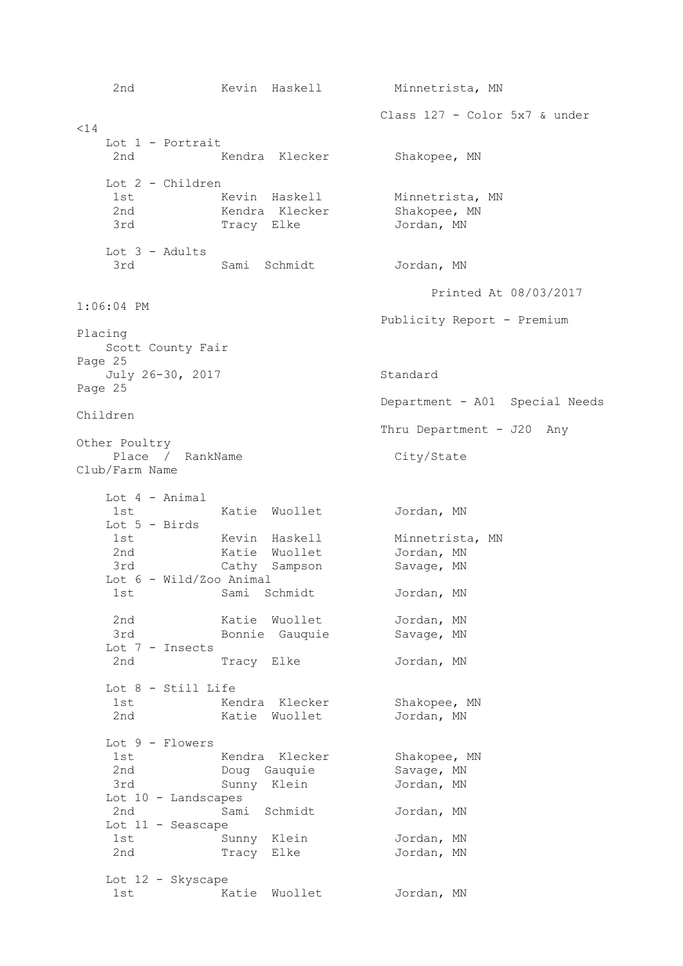2nd 6. Kevin Haskell Minnetrista, MN Class 127 - Color 5x7 & under  $< 14$  Lot 1 - Portrait 2nd Kendra Klecker Shakopee, MN Lot 2 - Children 1st Minnetrista, MN 2nd Kendra Klecker Shakopee, MN 3rd Tracy Elke Jordan, MN Lot 3 - Adults 3rd Sami Schmidt Jordan, MN Printed At 08/03/2017 1:06:04 PM Publicity Report - Premium Placing Scott County Fair Page 25 July 26-30, 2017 Standard Page 25 Department - A01 Special Needs Children Thru Department - J20 Any Other Poultry Place / RankName City/State Club/Farm Name Lot 4 - Animal 1st Matie Wuollet Jordan, MN Lot 5 - Birds 1st 6 Kevin Haskell Minnetrista, MN 2nd Katie Wuollet Jordan, MN 3rd Cathy Sampson Savage, MN Lot 6 - Wild/Zoo Animal 1st Sami Schmidt Jordan, MN 2nd Katie Wuollet Jordan, MN 3rd Bonnie Gauquie Savage, MN Lot 7 - Insects 2nd Tracy Elke Jordan, MN Lot 8 - Still Life 1st Kendra Klecker Shakopee, MN 2nd Matie Wuollet Jordan, MN Lot 9 - Flowers 1st Kendra Klecker Shakopee, MN 2nd Doug Gauquie Savage, MN 3rd Sunny Klein Jordan, MN Lot 10 - Landscapes 2nd Sami Schmidt Jordan, MN Lot 11 - Seascape 1st Sunny Klein Jordan, MN Tracy Elke Jordan, MN Lot 12 - Skyscape 1st Matie Wuollet Jordan, MN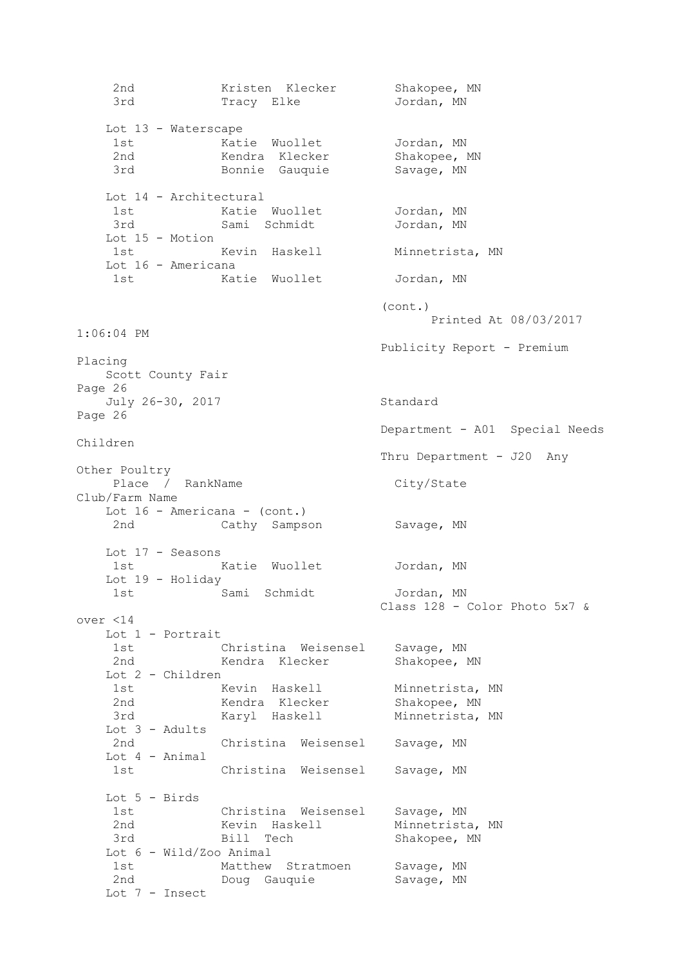2nd Kristen Klecker Shakopee, MN 3rd Tracy Elke Jordan, MN Lot 13 - Waterscape 1st Matie Wuollet Jordan, MN 2nd Kendra Klecker Shakopee, MN 3rd Bonnie Gauquie Savage, MN Lot 14 - Architectural 1st Matie Wuollet Jordan, MN 3rd Sami Schmidt Jordan, MN Lot 15 - Motion 1st Mevin Haskell Minnetrista, MN Lot 16 - Americana 1st Matie Wuollet Jordan, MN (cont.) Printed At 08/03/2017 1:06:04 PM Publicity Report - Premium Placing Scott County Fair Page 26 July 26-30, 2017 Standard Page 26 Department - A01 Special Needs Children Thru Department - J20 Any Other Poultry Place / RankName City/State Club/Farm Name Lot 16 - Americana - (cont.) 2nd Cathy Sampson Savage, MN Lot 17 - Seasons 1st Katie Wuollet Jordan, MN Lot 19 - Holiday 1st Sami Schmidt Jordan, MN Class 128 - Color Photo 5x7 & over <14 Lot 1 - Portrait 1st Christina Weisensel Savage, MN 2nd Kendra Klecker Shakopee, MN Lot 2 - Children 1st Kevin Haskell Minnetrista, MN 2nd Kendra Klecker Shakopee, MN 3rd Karyl Haskell Minnetrista, MN Lot 3 - Adults 2nd Christina Weisensel Savage, MN Lot 4 - Animal 1st Christina Weisensel Savage, MN Lot 5 - Birds 1st Christina Weisensel Savage, MN 2nd Kevin Haskell Minnetrista, MN 3rd Bill Tech Shakopee, MN Lot 6 - Wild/Zoo Animal 1st Matthew Stratmoen Savage, MN 2nd Doug Gauquie Savage, MN Lot 7 - Insect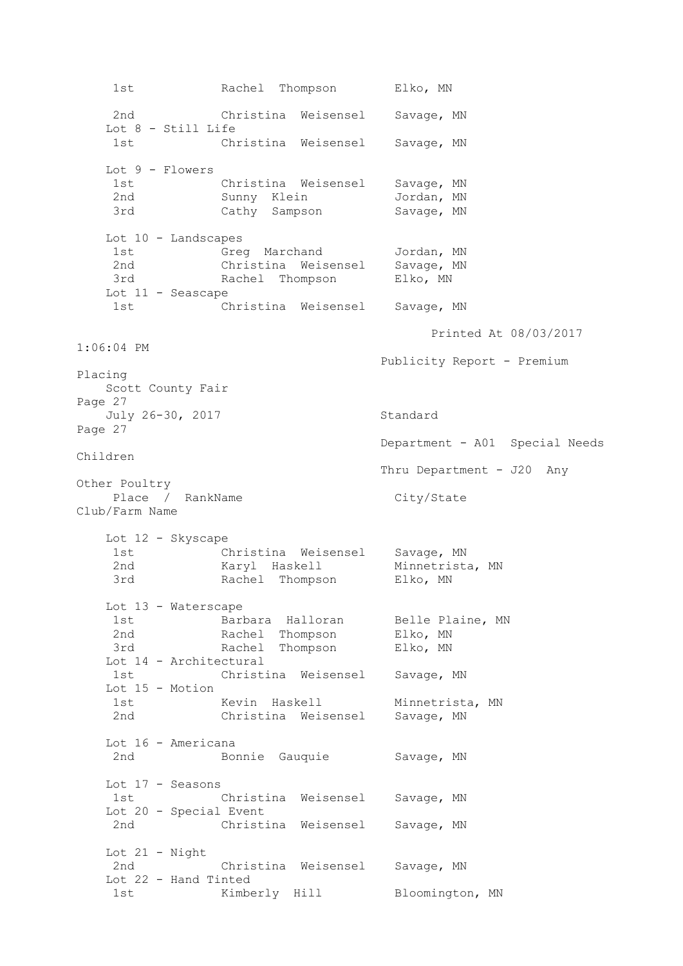1st Rachel Thompson Elko, MN 2nd Christina Weisensel Savage, MN Lot 8 - Still Life 1st Christina Weisensel Savage, MN Lot 9 - Flowers 1st Christina Weisensel Savage, MN 2nd Sunny Klein Jordan, MN 3rd Cathy Sampson Savage, MN Lot 10 - Landscapes 1st Greg Marchand Jordan, MN 2nd Christina Weisensel Savage, MN 3rd Rachel Thompson Elko, MN Lot 11 - Seascape 1st Christina Weisensel Savage, MN Printed At 08/03/2017 1:06:04 PM Publicity Report - Premium Placing Scott County Fair Page 27 July 26-30, 2017 Standard Page 27 Department - A01 Special Needs Children Thru Department - J20 Any Other Poultry Place / RankName City/State Club/Farm Name Lot 12 - Skyscape 1st Christina Weisensel Savage, MN 2nd Maryl Haskell Minnetrista, MN 3rd **Rachel Thompson** Elko, MN Lot 13 - Waterscape 1st Barbara Halloran Belle Plaine, MN 2nd Rachel Thompson Elko, MN 3rd Rachel Thompson Elko, MN Lot 14 - Architectural 1st Christina Weisensel Savage, MN Lot 15 - Motion 1st Kevin Haskell Minnetrista, MN 2nd Christina Weisensel Savage, MN Lot 16 - Americana 2nd Bonnie Gauquie Savage, MN Lot 17 - Seasons 1st Christina Weisensel Savage, MN Lot 20 - Special Event 2nd Christina Weisensel Savage, MN Lot 21 - Night 2nd Christina Weisensel Savage, MN Lot 22 - Hand Tinted 1st Kimberly Hill Bloomington, MN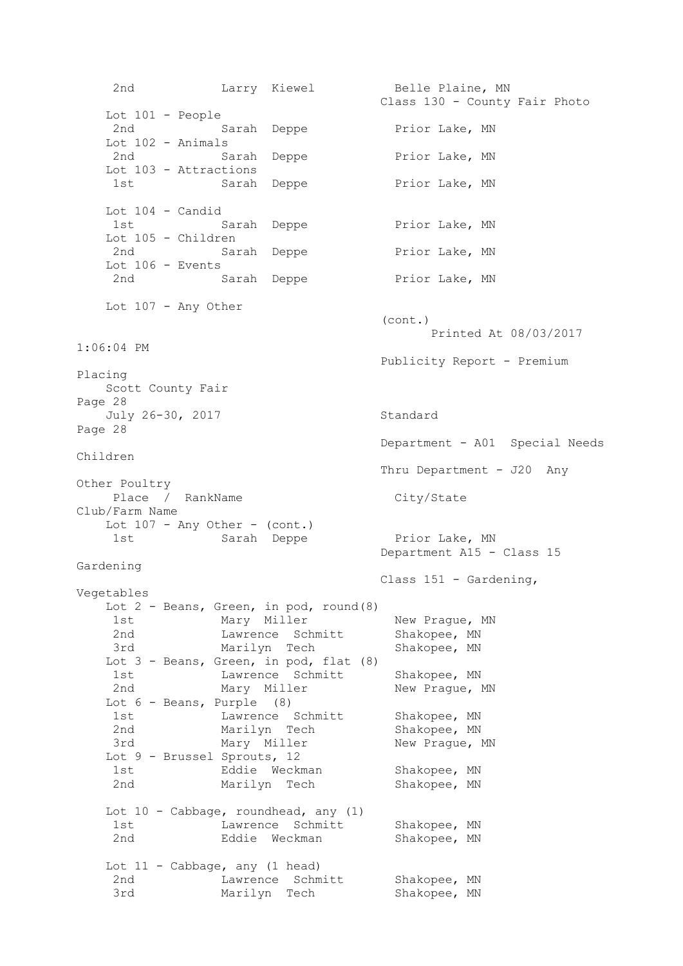2nd Larry Kiewel Belle Plaine, MN Class 130 - County Fair Photo Lot 101 - People 2nd Sarah Deppe Prior Lake, MN Lot 102 - Animals 2nd Sarah Deppe Prior Lake, MN Lot 103 - Attractions 1st Sarah Deppe Prior Lake, MN Lot 104 - Candid 1st Sarah Deppe Prior Lake, MN Lot 105 - Children 2nd Sarah Deppe Prior Lake, MN Lot 106 - Events 2nd Sarah Deppe Prior Lake, MN Lot 107 - Any Other (cont.) Printed At 08/03/2017 1:06:04 PM Publicity Report - Premium Placing Scott County Fair Page 28 July 26-30, 2017 Standard Page 28 Department - A01 Special Needs Children Thru Department - J20 Any Other Poultry Place / RankName City/State Club/Farm Name Lot  $107$  - Any Other - (cont.) 1st Sarah Deppe Prior Lake, MN Department A15 - Class 15 Gardening Class 151 - Gardening, Vegetables Lot 2 - Beans, Green, in pod, round(8) 1st Mary Miller New Prague, MN 2nd Cawrence Schmitt Shakopee, MN 3rd Marilyn Tech Shakopee, MN Lot  $3$  - Beans, Green, in pod, flat  $(8)$ 1st Mawrence Schmitt Shakopee, MN 2nd Mary Miller New Prague, MN Lot 6 - Beans, Purple (8) 1st Lawrence Schmitt Shakopee, MN 2nd Marilyn Tech Shakopee, MN 3rd Mary Miller New Prague, MN Lot 9 - Brussel Sprouts, 12 1st Eddie Weckman Shakopee, MN 2nd Marilyn Tech Shakopee, MN Lot 10 - Cabbage, roundhead, any (1) 1st Mawrence Schmitt Shakopee, MN 2nd Eddie Weckman Shakopee, MN Lot 11 - Cabbage, any (1 head) 2nd **Lawrence** Schmitt Shakopee, MN 3rd Marilyn Tech Shakopee, MN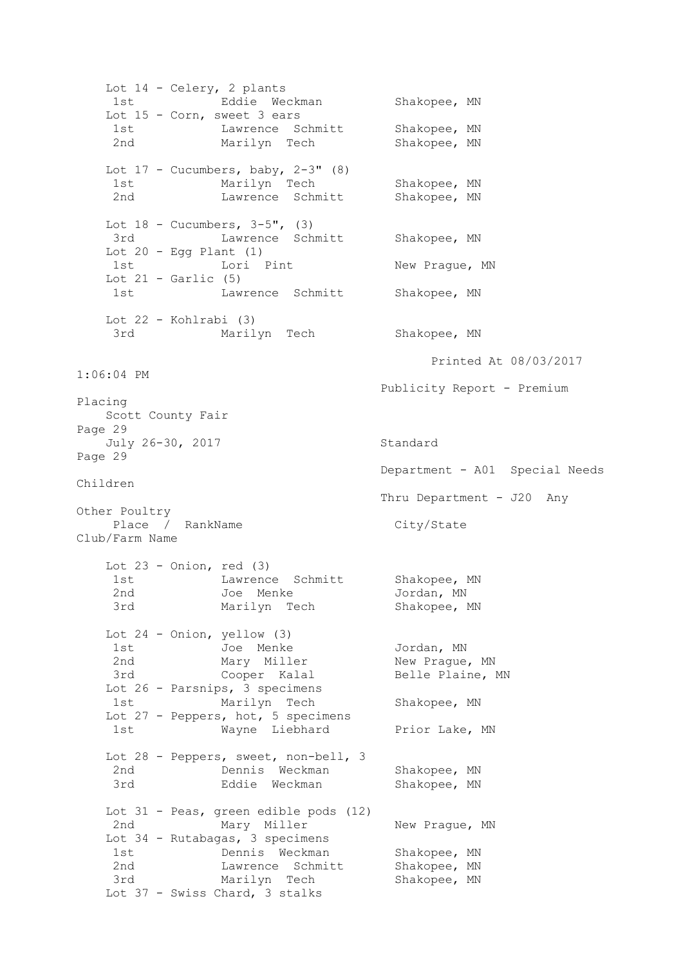Lot 14 - Celery, 2 plants 1st Eddie Weckman Shakopee, MN Lot 15 - Corn, sweet 3 ears 1st 1st Lawrence Schmitt Shakopee, MN<br>2nd Marilyn Tech Shakopee, MN Marilyn Tech Shakopee, MN Lot  $17$  - Cucumbers, baby,  $2-3$ " (8) 1st Marilyn Tech Shakopee, MN 2nd **Lawrence Schmitt** Shakopee, MN Lot  $18$  - Cucumbers,  $3-5$ ",  $(3)$ 3rd **Lawrence Schmitt** Shakopee, MN Lot  $20$  - Egg Plant  $(1)$ 1st Lori Pint New Prague, MN Lot  $21$  - Garlic  $(5)$ 1st Lawrence Schmitt Shakopee, MN Lot 22 - Kohlrabi (3) 3rd Marilyn Tech Shakopee, MN Printed At 08/03/2017 1:06:04 PM Publicity Report - Premium Placing Scott County Fair Page 29 July 26-30, 2017 Standard Page 29 Department - A01 Special Needs Children Thru Department - J20 Any Other Poultry Place / RankName City/State Club/Farm Name Lot  $23 -$  Onion, red  $(3)$ 1st Mawrence Schmitt Shakopee, MN 2nd Joe Menke Jordan, MN 3rd Marilyn Tech Shakopee, MN Lot 24 - Onion, yellow (3) 1st Joe Menke Jordan, MN 2nd Mary Miller New Prague, MN 3rd Cooper Kalal Belle Plaine, MN Lot 26 - Parsnips, 3 specimens 1st Marilyn Tech Shakopee, MN Lot 27 - Peppers, hot, 5 specimens 1st Wayne Liebhard Prior Lake, MN Lot 28 - Peppers, sweet, non-bell, 3 2nd Dennis Weckman Shakopee, MN 3rd Eddie Weckman Shakopee, MN Lot 31 - Peas, green edible pods (12) 2nd Mary Miller New Prague, MN Lot 34 - Rutabagas, 3 specimens 1st **Dennis Weckman** Shakopee, MN 2nd Lawrence Schmitt Shakopee, MN and a matter sommer strategies, and<br>3rd Marilyn Tech Shakopee, MN Lot 37 - Swiss Chard, 3 stalks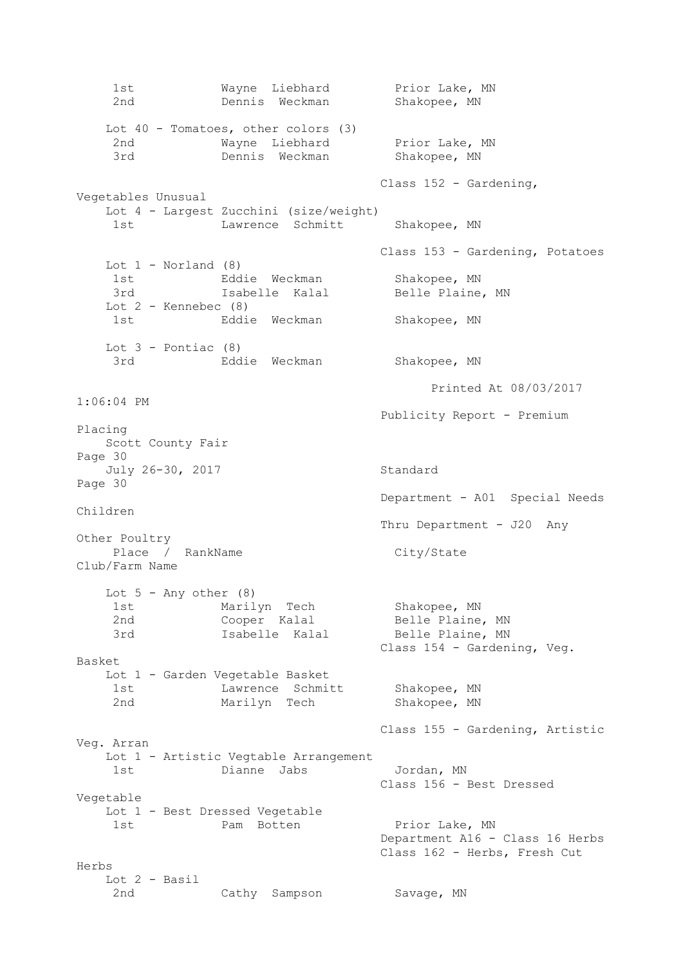1st Mayne Liebhard Prior Lake, MN 2nd Dennis Weckman Shakopee, MN Lot 40 - Tomatoes, other colors (3) 2nd Mayne Liebhard Prior Lake, MN 3rd Dennis Weckman Shakopee, MN Class 152 - Gardening, Vegetables Unusual Lot 4 - Largest Zucchini (size/weight) 1st Lawrence Schmitt Shakopee, MN Class 153 - Gardening, Potatoes Lot  $1$  - Norland  $(8)$ 1st Eddie Weckman Shakopee, MN 3rd Isabelle Kalal Belle Plaine, MN Lot  $2$  - Kennebec  $(8)$ 1st Eddie Weckman Shakopee, MN Lot  $3$  - Pontiac  $(8)$  3rd Eddie Weckman Shakopee, MN Printed At 08/03/2017 1:06:04 PM Publicity Report - Premium Placing Scott County Fair Page 30 July 26-30, 2017 Standard Page 30 Department - A01 Special Needs Children Thru Department - J20 Any Other Poultry Place / RankName City/State Club/Farm Name Lot  $5$  - Any other  $(8)$ 1st Marilyn Tech Shakopee, MN 2nd Cooper Kalal Belle Plaine, MN 3rd Isabelle Kalal Belle Plaine, MN Class 154 - Gardening, Veg. Basket Lot 1 - Garden Vegetable Basket 1st Lawrence Schmitt Shakopee, MN 2nd Marilyn Tech Shakopee, MN Class 155 - Gardening, Artistic Veg. Arran Lot 1 - Artistic Vegtable Arrangement 1st Dianne Jabs Jordan, MN Class 156 - Best Dressed Vegetable Lot 1 - Best Dressed Vegetable 1st Pam Botten Prior Lake, MN Department A16 - Class 16 Herbs Class 162 - Herbs, Fresh Cut Herbs Lot 2 - Basil 2nd Cathy Sampson Savage, MN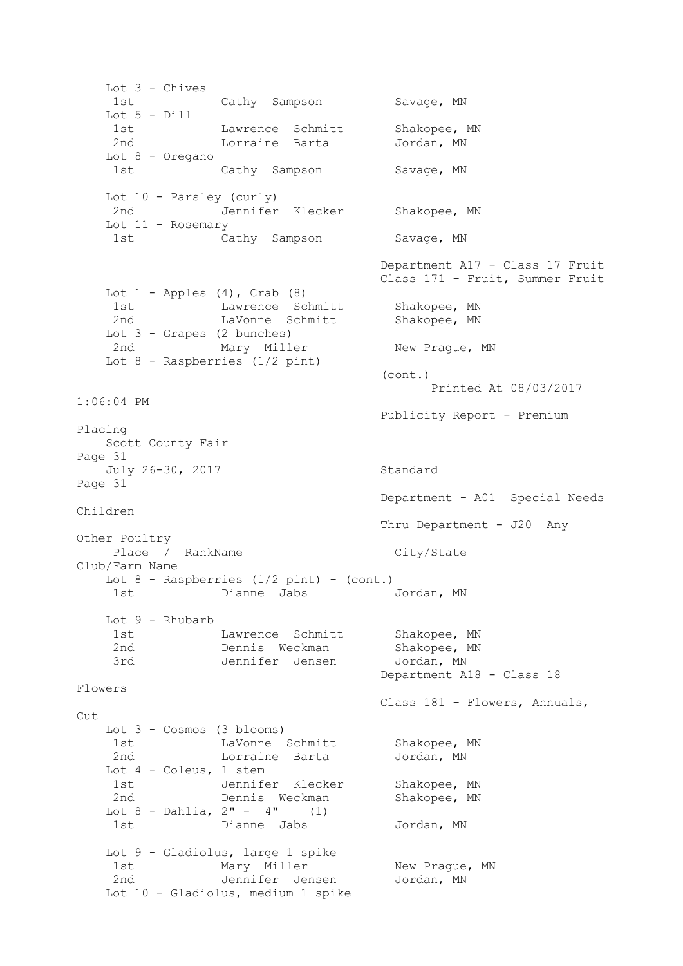Lot 3 - Chives 1st Cathy Sampson Savage, MN Lot 5 - Dill Lawrence Schmitt Shakopee, MN Lorraine Barta Jordan, MN Lot 8 - Oregano 1st Cathy Sampson Savage, MN Lot 10 - Parsley (curly) 2nd Jennifer Klecker Shakopee, MN Lot 11 - Rosemary 1st Cathy Sampson Savage, MN Department A17 - Class 17 Fruit Class 171 - Fruit, Summer Fruit Lot  $1$  - Apples  $(4)$ , Crab  $(8)$ 1st Lawrence Schmitt Shakopee, MN 2nd LaVonne Schmitt Shakopee, MN Lot 3 - Grapes (2 bunches) 2nd Mary Miller New Prague, MN Lot 8 - Raspberries (1/2 pint) (cont.) Printed At 08/03/2017 1:06:04 PM Publicity Report - Premium Placing Scott County Fair Page 31 July 26-30, 2017 Standard Page 31 Department - A01 Special Needs Children Thru Department - J20 Any Other Poultry Place / RankName City/State Club/Farm Name Lot  $8$  - Raspberries  $(1/2 \text{ pint})$  - (cont.) 1st Dianne Jabs Jordan, MN Lot 9 - Rhubarb 1st Lawrence Schmitt Shakopee, MN 2nd Dennis Weckman Shakopee, MN 3rd Jennifer Jensen Jordan, MN Department A18 - Class 18 Flowers Class 181 - Flowers, Annuals, Cut. Lot 3 - Cosmos (3 blooms) 1st LaVonne Schmitt Shakopee, MN 2nd Lorraine Barta Jordan, MN Lot 4 - Coleus, 1 stem 1st Jennifer Klecker Shakopee, MN 2nd Dennis Weckman Shakopee, MN Lot  $8$  - Dahlia,  $2" - 4"$  (1) 1st Dianne Jabs Jordan, MN Lot 9 - Gladiolus, large 1 spike 1st Mary Miller New Prague, MN 2nd Jennifer Jensen Mordan MN Jennifer Jensen Jordan, MN Lot 10 - Gladiolus, medium 1 spike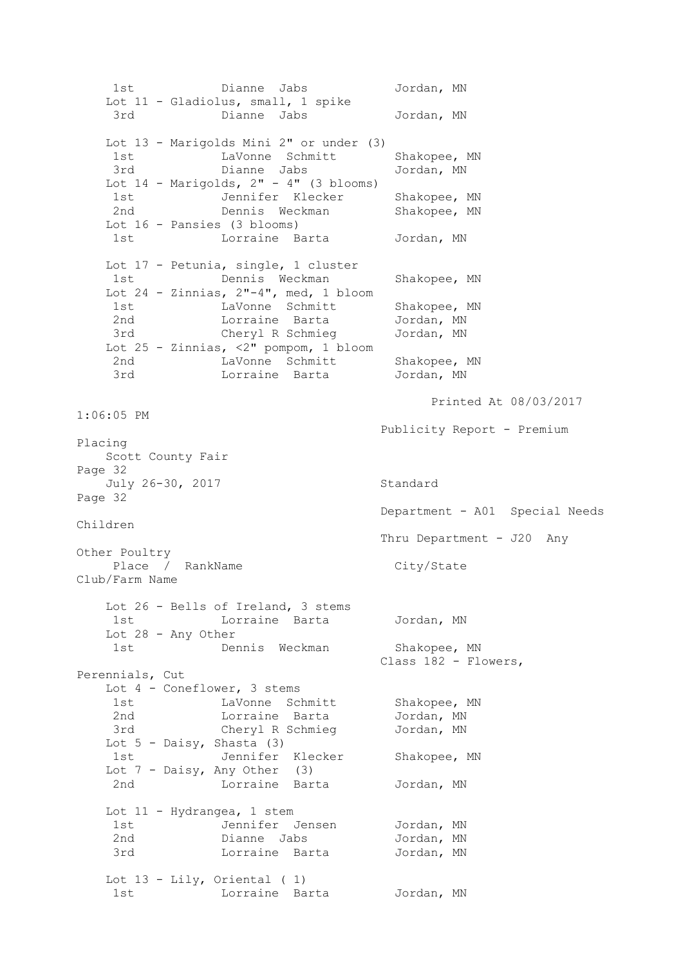1st Dianne Jabs Jordan, MN Lot 11 - Gladiolus, small, 1 spike 3rd Dianne Jabs Jordan, MN Lot 13 - Marigolds Mini 2" or under (3) 1st 1st LaVonne Schmitt Shakopee, MN 3rd Dianne Jabs Jordan, MN Lot  $14$  - Marigolds,  $2" - 4"$  (3 blooms) 1st Jennifer Klecker Shakopee, MN 2nd Dennis Weckman Shakopee, MN Lot 16 - Pansies (3 blooms) 1st Lorraine Barta Jordan, MN Lot 17 - Petunia, single, 1 cluster 1st Dennis Weckman Shakopee, MN Lot  $24$  - Zinnias,  $2"$ -4", med, 1 bloom 1st LaVonne Schmitt Shakopee, MN<br>2nd Lorraine Barta Jordan, MN 2nd Lorraine Barta Jordan, MN 3rd Cheryl R Schmieg Jordan, MN Lot 25 - Zinnias, <2" pompom, 1 bloom 2nd CaVonne Schmitt Shakopee, MN 3rd Lorraine Barta Jordan, MN Printed At 08/03/2017 1:06:05 PM Publicity Report - Premium Placing Scott County Fair Page 32 July 26-30, 2017 Standard Page 32 Department - A01 Special Needs Children Thru Department - J20 Any Other Poultry Place / RankName City/State Club/Farm Name Lot 26 - Bells of Ireland, 3 stems 1st Lorraine Barta Jordan, MN Lot 28 - Any Other 1st 1.11, 1911 Dennis Weckman Shakopee, MN SHakopoo,<br>Class 182 - Flowers, Perennials, Cut Lot 4 - Coneflower, 3 stems 1st 1.1 LaVonne Schmitt Shakopee, MN 2nd 1000 Lorraine Barta 1000 Jordan, MN 3rd Cheryl R Schmieg Jordan, MN Lot  $5$  - Daisy, Shasta (3) 1st Jennifer Klecker Shakopee, MN Lot  $7$  - Daisy, Any Other (3) 2nd Lorraine Barta Jordan, MN Lot 11 - Hydrangea, 1 stem 1st Jennifer Jensen Jordan, MN 2nd Dianne Jabs Jordan, MN 3rd Lorraine Barta Jordan, MN Lot 13 - Lily, Oriental ( 1) 1st Lorraine Barta Jordan, MN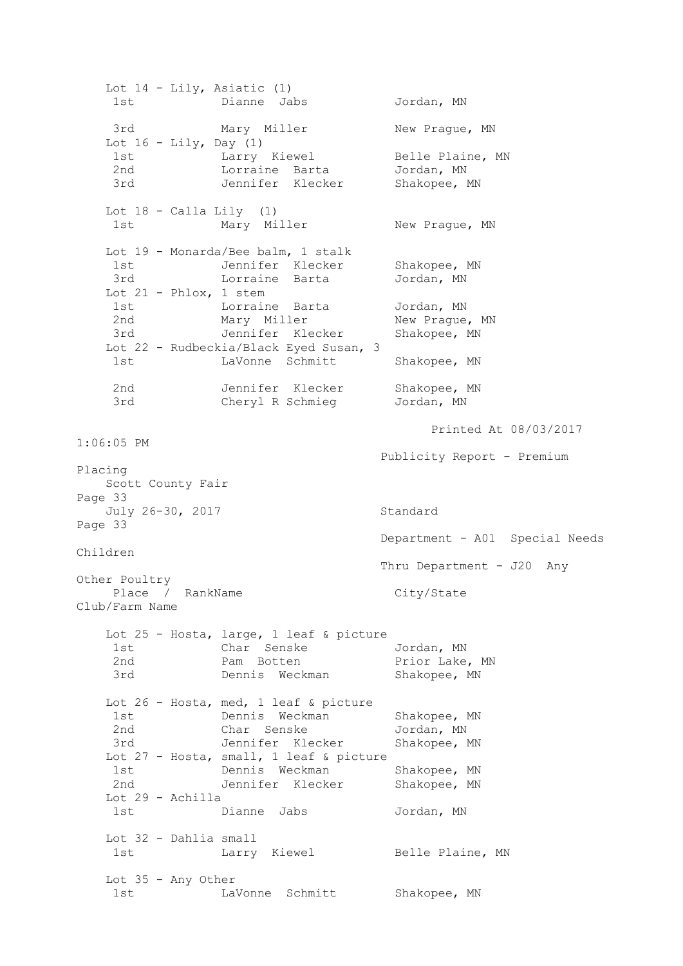Lot 14 - Lily, Asiatic (1) 1st Dianne Jabs Jordan, MN 3rd Mary Miller New Prague, MN Lot  $16 - \text{Lily, Day}$  (1) 1st Larry Kiewel Belle Plaine, MN 2nd Lorraine Barta Jordan, MN 3rd Jennifer Klecker Shakopee, MN Lot  $18 -$  Calla Lily  $(1)$ 1st Mary Miller New Praque, MN Lot 19 - Monarda/Bee balm, 1 stalk 1st Jennifer Klecker Shakopee, MN 3rd Lorraine Barta Jordan, MN Lot  $21$  - Phlox, 1 stem 1st Lorraine Barta Jordan, MN 2nd Mary Miller New Prague, MN 3rd Jennifer Klecker Shakopee, MN Lot 22 - Rudbeckia/Black Eyed Susan, 3 1st LaVonne Schmitt Shakopee, MN 2nd Jennifer Klecker Shakopee, MN 3rd Cheryl R Schmieg Jordan, MN Printed At 08/03/2017 1:06:05 PM Publicity Report - Premium Placing Scott County Fair Page 33 July 26-30, 2017 Standard Page 33 Department - A01 Special Needs Children Thru Department - J20 Any Other Poultry Place / RankName City/State Club/Farm Name Lot 25 - Hosta, large, 1 leaf & picture 1st Char Senske Jordan, MN 2nd **Pam Botten** Prior Lake, MN zna and tam Boeten and the rifer have, it Lot 26 - Hosta, med, 1 leaf & picture 1st Dennis Weckman Shakopee, MN 2nd Char Senske Jordan, MN 3rd Jennifer Klecker Shakopee, MN Lot 27 - Hosta, small, 1 leaf & picture 1st **Dennis Weckman** Shakopee, MN 2nd Jennifer Klecker Shakopee, MN Lot 29 - Achilla 1st Dianne Jabs Jordan, MN Lot 32 - Dahlia small 1st Charry Kiewel Belle Plaine, MN Lot 35 - Any Other 1st 1st LaVonne Schmitt Shakopee, MN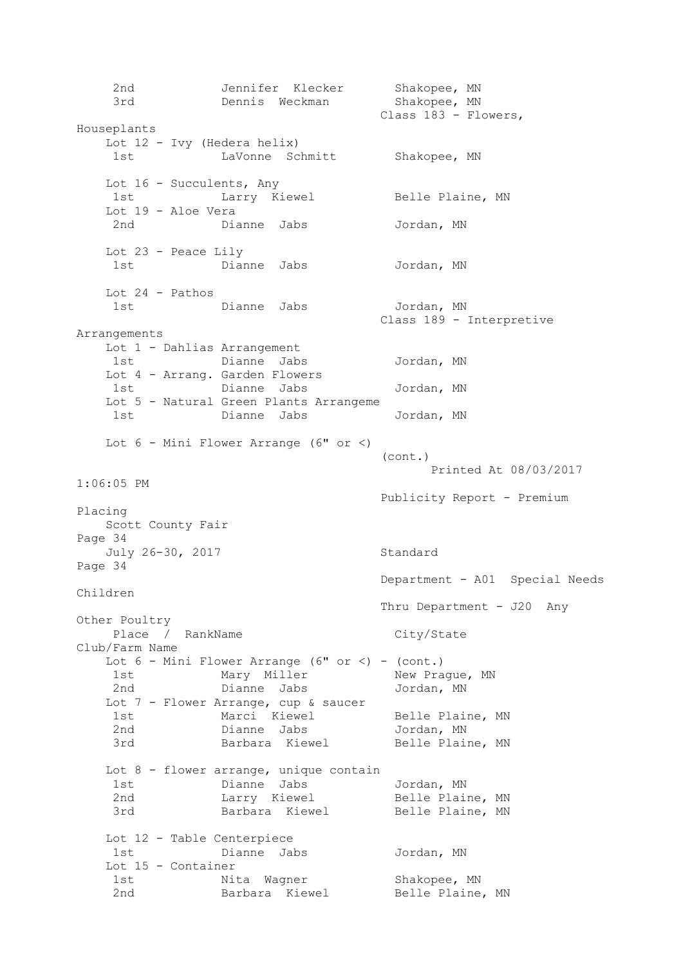2nd Jennifer Klecker Shakopee, MN 3rd Dennis Weckman Shakopee, MN Class 183 - Flowers, Houseplants Lot 12 - Ivy (Hedera helix) 1st LaVonne Schmitt Shakopee, MN Lot 16 - Succulents, Any 1st Charry Kiewel Belle Plaine, MN Lot 19 - Aloe Vera 2nd Dianne Jabs Jordan, MN Lot 23 - Peace Lily 1st Dianne Jabs Jordan, MN Lot 24 - Pathos 1st Dianne Jabs Jordan, MN Class 189 - Interpretive Arrangements Lot 1 - Dahlias Arrangement 1st Dianne Jabs Jordan, MN Lot 4 - Arrang. Garden Flowers 1st Dianne Jabs Jordan, MN Lot 5 - Natural Green Plants Arrangeme 1st Dianne Jabs Jordan, MN Lot  $6$  - Mini Flower Arrange ( $6"$  or  $\lt$ ) (cont.) Printed At 08/03/2017 1:06:05 PM Publicity Report - Premium Placing Scott County Fair Page 34 July 26-30, 2017 Standard Page 34 Department - A01 Special Needs Children Thru Department - J20 Any Other Poultry Place / RankName City/State Club/Farm Name Lot  $6$  - Mini Flower Arrange (6" or  $\langle$ ) - (cont.) 1st Mary Miller New Prague, MN 2nd Dianne Jabs Jordan, MN Lot 7 - Flower Arrange, cup & saucer<br>1st Marci Kiewel Marci Kiewel Belle Plaine, MN 2nd Dianne Jabs Jordan, MN and Barbara Kiewel Belle Plaine, MN Lot 8 - flower arrange, unique contain 1st Dianne Jabs Jordan, MN 2nd Larry Kiewel Belle Plaine, MN 3rd Barbara Kiewel Belle Plaine, MN Lot 12 - Table Centerpiece 1st Dianne Jabs Jordan, MN Lot 15 - Container 1st Mita Wagner Shakopee, MN 2nd Barbara Kiewel Belle Plaine, MN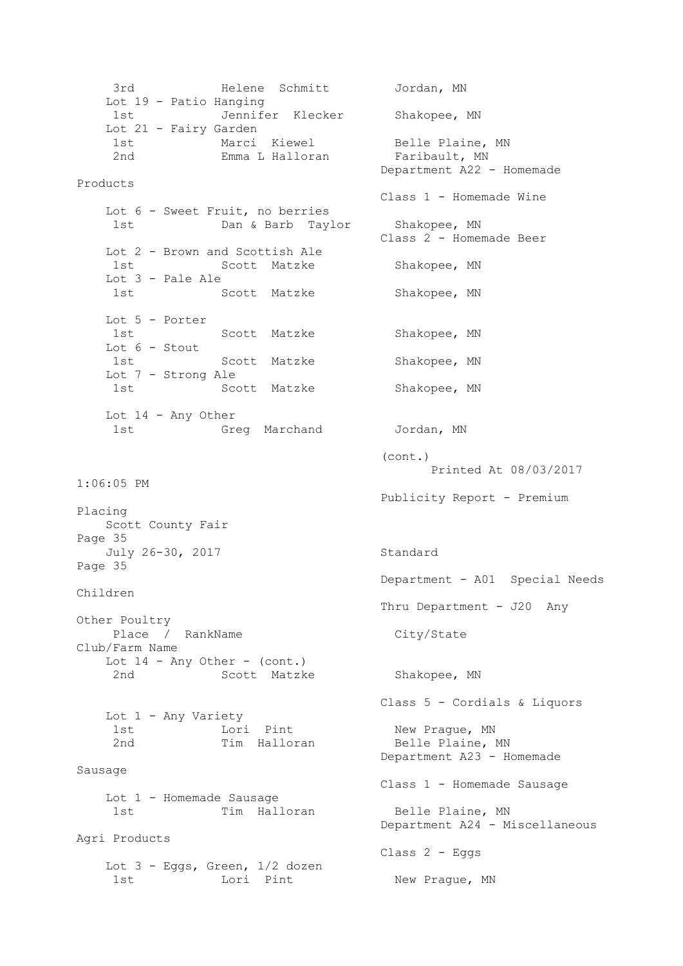3rd Helene Schmitt Jordan, MN Lot 19 - Patio Hanging 1st Jennifer Klecker Shakopee, MN Lot 21 - Fairy Garden 1st Marci Kiewel Belle Plaine, MN 2nd **Emma L Halloran** Faribault, MN Department A22 - Homemade Products Class 1 - Homemade Wine Lot 6 - Sweet Fruit, no berries 1st Dan & Barb Taylor Shakopee, MN Class 2 - Homemade Beer Lot 2 - Brown and Scottish Ale 1st Scott Matzke Shakopee, MN Lot 3 - Pale Ale 1st Scott Matzke Shakopee, MN Lot 5 - Porter 1st Scott Matzke Shakopee, MN Lot 6 - Stout 1st Scott Matzke Shakopee, MN Lot 7 - Strong Ale 1st Scott Matzke Shakopee, MN Lot 14 - Any Other 1st Greg Marchand Jordan, MN (cont.) Printed At 08/03/2017 1:06:05 PM Publicity Report - Premium Placing Scott County Fair Page 35 July 26-30, 2017 Standard Page 35 Department - A01 Special Needs Children Thru Department - J20 Any Other Poultry Place / RankName City/State Club/Farm Name Lot  $14$  - Any Other - (cont.) 2nd Scott Matzke Shakopee, MN Class 5 - Cordials & Liquors Lot 1 - Any Variety 1st  $\overline{\phantom{0}}$  Lori Pint  $\overline{\phantom{0}}$  New Prague, MN 2nd Tim Halloran Belle Plaine, MN Department A23 - Homemade Sausage Class 1 - Homemade Sausage Lot 1 - Homemade Sausage 1st Tim Halloran Belle Plaine, MN Department A24 - Miscellaneous Agri Products Class 2 - Eggs Lot 3 - Eggs, Green, 1/2 dozen 1st Lori Pint New Praque, MN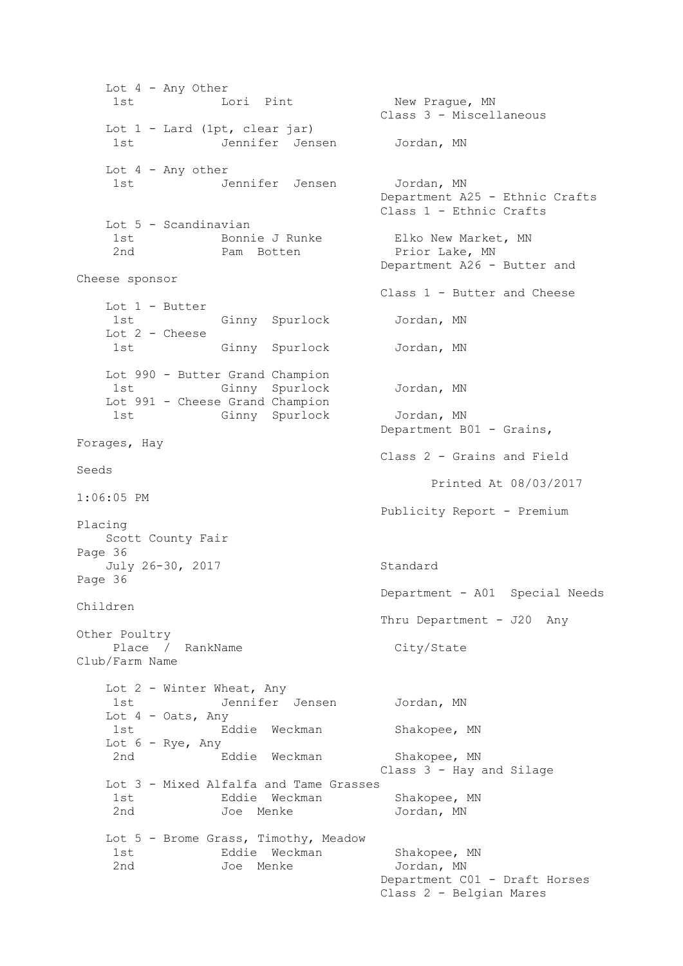Lot 4 - Any Other 1st Lori Pint New Prague, MN Class 3 - Miscellaneous Lot 1 - Lard (1pt, clear jar) 1st Jennifer Jensen Jordan, MN Lot 4 - Any other 1st Jennifer Jensen Jordan, MN Department A25 - Ethnic Crafts Class 1 - Ethnic Crafts Lot 5 - Scandinavian 1st Bonnie J Runke Elko New Market, MN 2nd Pam Botten Prior Lake, MN Department A26 - Butter and Cheese sponsor Class 1 - Butter and Cheese Lot 1 - Butter 1st Ginny Spurlock Jordan, MN Lot 2 - Cheese 1st Ginny Spurlock Jordan, MN Lot 990 - Butter Grand Champion 1st Ginny Spurlock Jordan, MN Lot 991 - Cheese Grand Champion 1st Ginny Spurlock Jordan, MN Department B01 - Grains, Forages, Hay Class 2 - Grains and Field Seeds Printed At 08/03/2017 1:06:05 PM Publicity Report - Premium Placing Scott County Fair Page 36 July 26-30, 2017 Standard Page 36 Department - A01 Special Needs Children Thru Department - J20 Any Other Poultry Place / RankName City/State Club/Farm Name Lot 2 - Winter Wheat, Any 1st Jennifer Jensen Jordan, MN Lot 4 - Oats, Any 1st **Eddie Weckman** Shakopee, MN Lot 6 - Rye, Any 2nd 6. Eddie Weckman Shakopee, MN Class 3 - Hay and Silage Lot 3 - Mixed Alfalfa and Tame Grasses 1st Eddie Weckman Shakopee, MN 2nd Joe Menke Jordan, MN Lot 5 - Brome Grass, Timothy, Meadow 1st 6. Eddie Weckman Shakopee, MN 2nd Joe Menke Jordan, MN Department C01 - Draft Horses Class 2 - Belgian Mares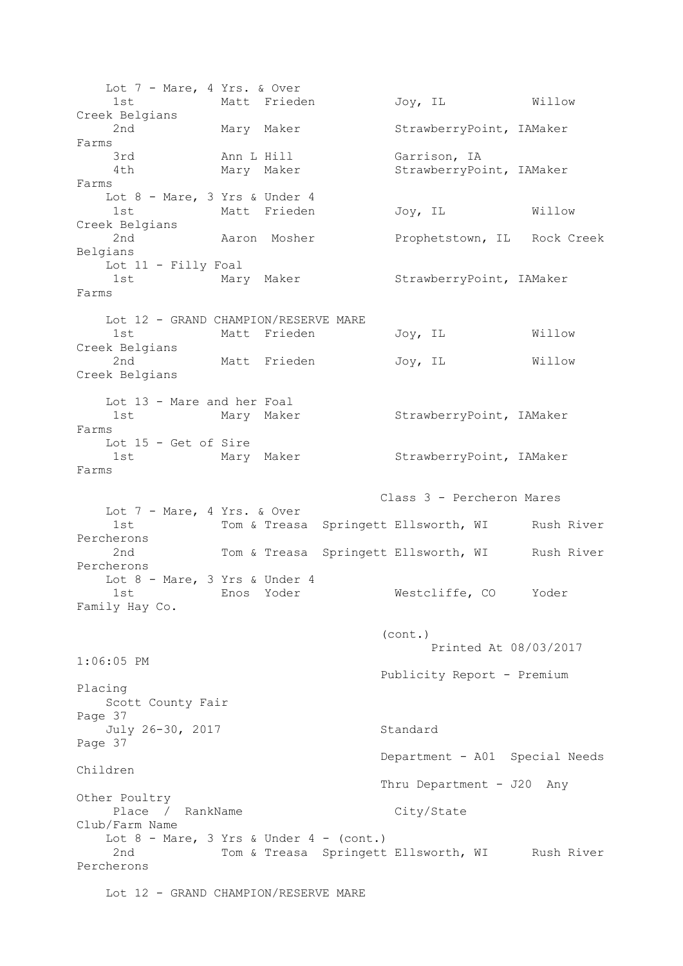Lot 7 - Mare, 4 Yrs. & Over 1st Matt Frieden Joy, IL Willow Creek Belgians 2nd Mary Maker StrawberryPoint, IAMaker Farms 3rd Ann L Hill Garrison, IA 4th Mary Maker StrawberryPoint, IAMaker Farms Lot 8 - Mare, 3 Yrs & Under 4 1st Matt Frieden Joy, IL Willow Creek Belgians 2nd 10 Aaron Mosher Prophetstown, IL Rock Creek Belgians Lot 11 - Filly Foal 1st Mary Maker StrawberryPoint, IAMaker Farms Lot 12 - GRAND CHAMPION/RESERVE MARE 1st Matt Frieden Joy, IL Willow Creek Belgians 2nd Matt Frieden Joy, IL Willow Creek Belgians Lot 13 - Mare and her Foal 1st Mary Maker StrawberryPoint, IAMaker Farms Lot 15 - Get of Sire 1st Mary Maker StrawberryPoint, IAMaker Farms Class 3 - Percheron Mares Lot 7 - Mare, 4 Yrs. & Over 1st 1000 Tom & Treasa Springett Ellsworth, WI Rush River Percherons 2nd Tom & Treasa Springett Ellsworth, WI Rush River Percherons Lot 8 - Mare, 3 Yrs & Under 4 1st Enos Yoder Westcliffe, CO Yoder Family Hay Co. (cont.) Printed At 08/03/2017 1:06:05 PM Publicity Report - Premium Placing Scott County Fair Page 37 July 26-30, 2017 Standard Page 37 Department - A01 Special Needs Children Thru Department - J20 Any Other Poultry Place / RankName City/State Club/Farm Name Lot  $8$  - Mare,  $3$  Yrs & Under  $4$  - (cont.) 2nd Tom & Treasa Springett Ellsworth, WI Rush River Percherons Lot 12 - GRAND CHAMPION/RESERVE MARE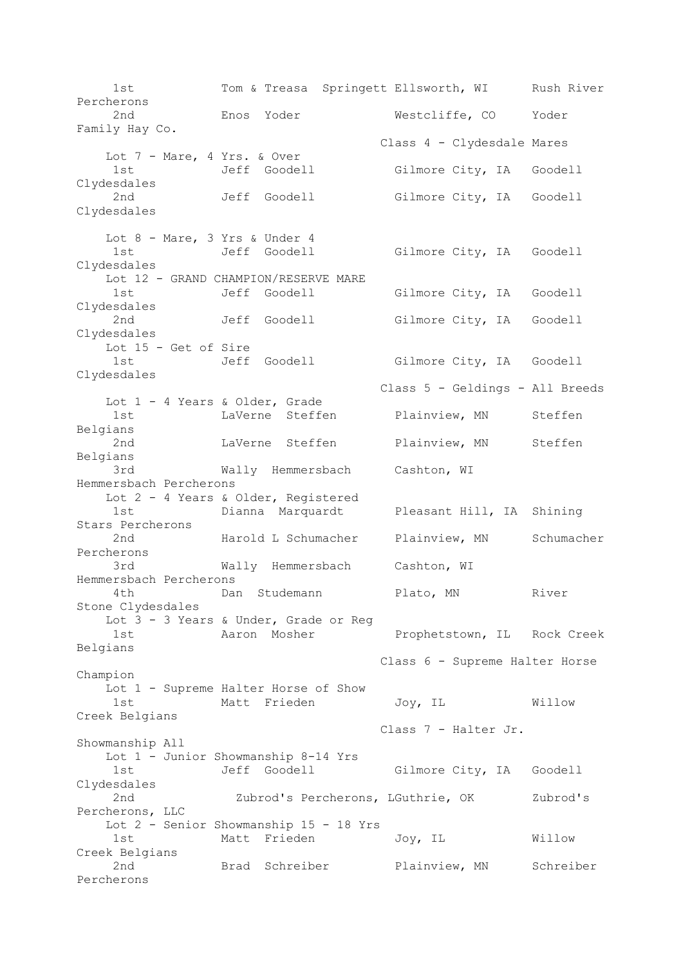1st Tom & Treasa Springett Ellsworth, WI Rush River Percherons 2nd Enos Yoder Westcliffe, CO Yoder Family Hay Co. Class 4 - Clydesdale Mares Lot 7 - Mare, 4 Yrs. & Over 1st Jeff Goodell Gilmore City, IA Goodell Clydesdales 2nd Jeff Goodell Gilmore City, IA Goodell Clydesdales Lot 8 - Mare, 3 Yrs & Under 4 1st Jeff Goodell Gilmore City, IA Goodell Clydesdales Lot 12 - GRAND CHAMPION/RESERVE MARE 1st Jeff Goodell Gilmore City, IA Goodell Clydesdales 2nd Jeff Goodell Gilmore City, IA Goodell Clydesdales Lot 15 - Get of Sire 1st Jeff Goodell Gilmore City, IA Goodell Clydesdales Class 5 - Geldings - All Breeds Lot 1 - 4 Years & Older, Grade 1st LaVerne Steffen Plainview, MN Steffen Belgians 2nd LaVerne Steffen Plainview, MN Steffen Belgians 3rd Wally Hemmersbach Cashton, WI Hemmersbach Percherons Lot 2 - 4 Years & Older, Registered 1st Dianna Marquardt Pleasant Hill, IA Shining Stars Percherons 2nd Marold L Schumacher Plainview, MN Schumacher Percherons 3rd Wally Hemmersbach Cashton, WI Hemmersbach Percherons 4th **Dan Studemann** Plato, MN River Stone Clydesdales Lot 3 - 3 Years & Under, Grade or Reg 1st Aaron Mosher Prophetstown, IL Rock Creek Belgians Class 6 - Supreme Halter Horse Champion Lot 1 - Supreme Halter Horse of Show 1st Matt Frieden Joy, IL Willow Creek Belgians Class 7 - Halter Jr. Showmanship All Lot 1 - Junior Showmanship 8-14 Yrs 1st Jeff Goodell Gilmore City, IA Goodell Clydesdales 2nd Zubrod's Percherons, LGuthrie, OK Zubrod's Percherons, LLC Lot 2 - Senior Showmanship 15 - 18 Yrs 1st Matt Frieden Joy, IL Willow Creek Belgians 2nd Brad Schreiber Plainview, MN Schreiber Percherons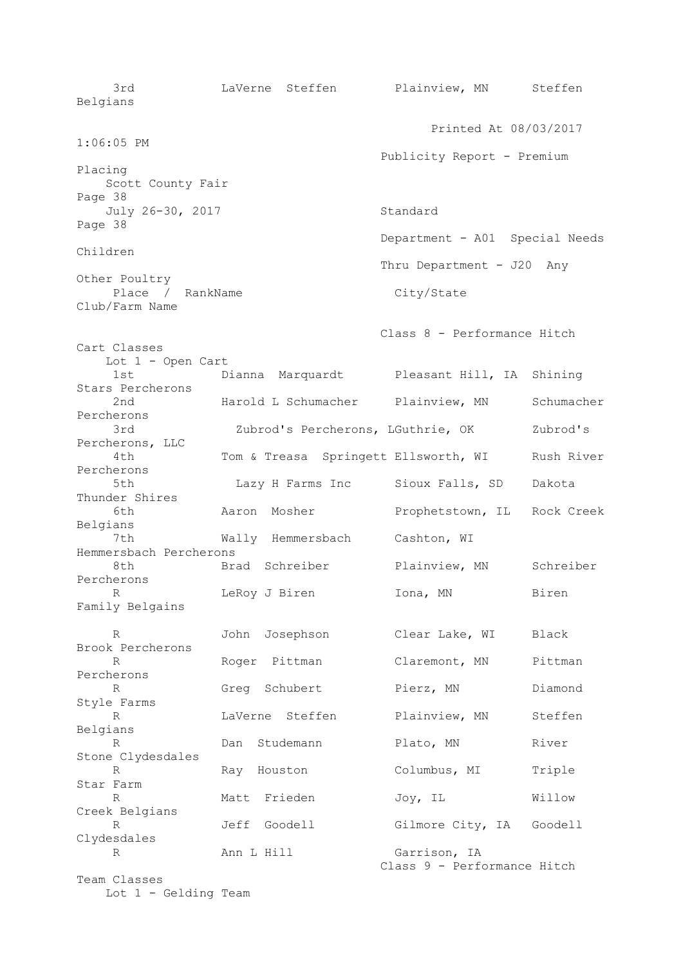3rd LaVerne Steffen Plainview, MN Steffen Belgians Printed At 08/03/2017 1:06:05 PM Publicity Report - Premium Placing Scott County Fair Page 38 July 26-30, 2017 Standard Page 38 Department - A01 Special Needs Children Thru Department - J20 Any Other Poultry Place / RankName City/State Club/Farm Name Class 8 - Performance Hitch Cart Classes Lot 1 - Open Cart 1st Dianna Marquardt Pleasant Hill, IA Shining Stars Percherons 2nd Marold L Schumacher Plainview, MN Schumacher Percherons 3rd Zubrod's Percherons, LGuthrie, OK Zubrod's Percherons, LLC 4th Tom & Treasa Springett Ellsworth, WI Rush River Percherons 5th Lazy H Farms Inc Sioux Falls, SD Dakota Thunder Shires 6th Aaron Mosher Prophetstown, IL Rock Creek Belgians 7th Wally Hemmersbach Cashton, WI Hemmersbach Percherons 8th Brad Schreiber Plainview, MN Schreiber Percherons R 1983 LeRoy J Biren 100 Lona, MN Biren Family Belgains R John Josephson Clear Lake, WI Black Brook Percherons R Roger Pittman Claremont, MN Pittman Percherons R Greg Schubert Pierz, MN Diamond Style Farms R LaVerne Steffen Plainview, MN Steffen Belgians R Dan Studemann Plato, MN River Stone Clydesdales R Ray Houston Columbus, MI Triple Star Farm R Matt Frieden Joy, IL Willow Creek Belgians R Jeff Goodell Gilmore City, IA Goodell Clydesdales R Ann L Hill Garrison, IA Class 9 - Performance Hitch Team Classes Lot 1 - Gelding Team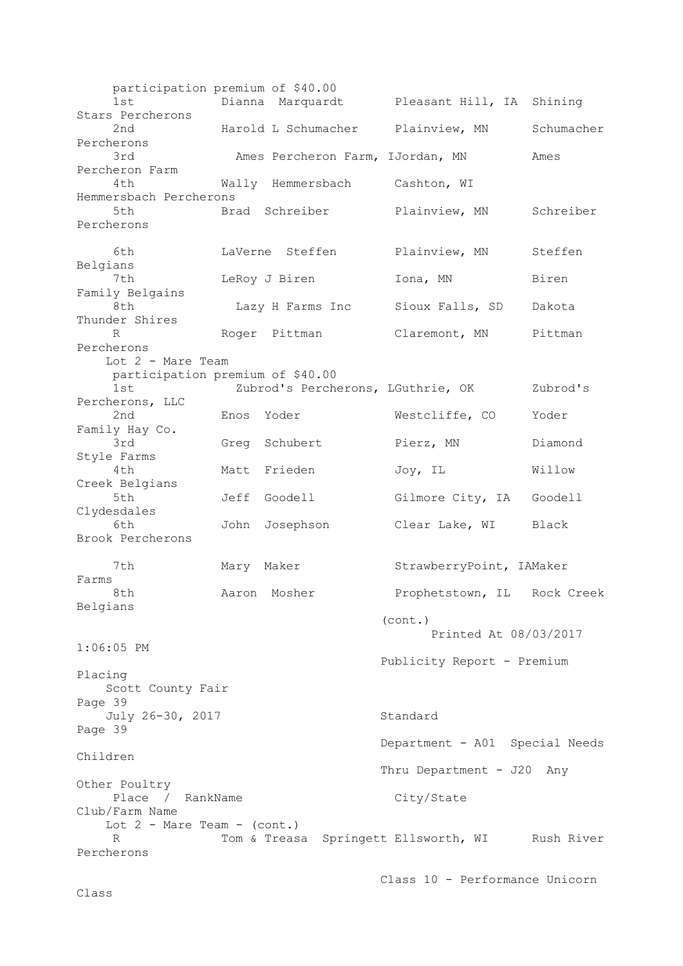participation premium of \$40.00 1st Dianna Marquardt Pleasant Hill, IA Shining Stars Percherons 2nd Harold L Schumacher Plainview, MN Schumacher Percherons 3rd Ames Percheron Farm, IJordan, MN Ames Percheron Farm 4th Wally Hemmersbach Cashton, WI Hemmersbach Percherons 5th Brad Schreiber Plainview, MN Schreiber Percherons 6th LaVerne Steffen Plainview, MN Steffen Belgians 7th LeRoy J Biren Iona, MN Biren Family Belgains 8th Lazy H Farms Inc Sioux Falls, SD Dakota Thunder Shires R Roger Pittman Claremont, MN Pittman Percherons Lot 2 - Mare Team participation premium of \$40.00 1st Zubrod's Percherons, LGuthrie, OK Zubrod's Percherons, LLC 2nd Enos Yoder Westcliffe, CO Yoder Family Hay Co. 3rd Greg Schubert Pierz, MN Diamond Style Farms 4th Matt Frieden Joy, IL Willow Creek Belgians 5th Jeff Goodell Gilmore City, IA Goodell Clydesdales 6th John Josephson Clear Lake, WI Black Brook Percherons 7th Mary Maker StrawberryPoint, IAMaker Farms 8th Maron Mosher Prophetstown, IL Rock Creek Belgians (cont.) Printed At 08/03/2017 1:06:05 PM Publicity Report - Premium Placing Scott County Fair Page 39 July 26-30, 2017 Standard Page 39 Department - A01 Special Needs Children Thru Department - J20 Any Other Poultry Place / RankName City/State Club/Farm Name Lot  $2$  - Mare Team - (cont.) R Tom & Treasa Springett Ellsworth, WI Rush River Percherons

```
 Class 10 - Performance Unicorn
```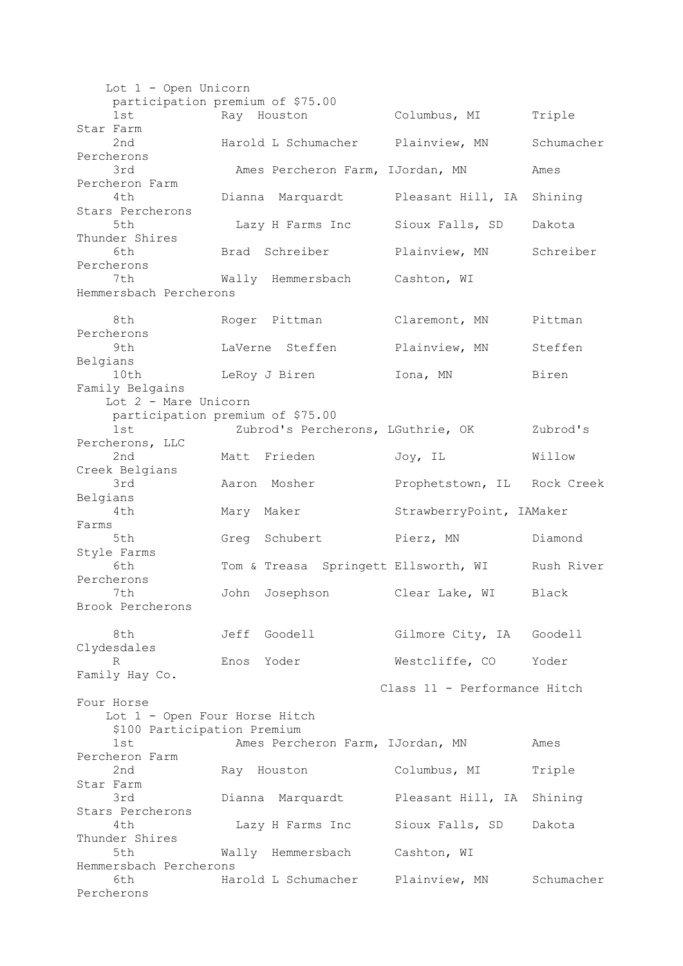Lot 1 - Open Unicorn participation premium of \$75.00 1st Ray Houston Columbus, MI Triple Star Farm 2nd Harold L Schumacher Plainview, MN Schumacher Percherons 3rd Ames Percheron Farm, IJordan, MN Ames Percheron Farm 4th Dianna Marquardt Pleasant Hill, IA Shining Stars Percherons 5th Lazy H Farms Inc Sioux Falls, SD Dakota Thunder Shires 6th Brad Schreiber Plainview, MN Schreiber Percherons 7th Wally Hemmersbach Cashton, WI Hemmersbach Percherons 8th Roger Pittman Claremont, MN Pittman Percherons 9th LaVerne Steffen Plainview, MN Steffen Belgians 10th LeRoy J Biren Iona, MN Biren Family Belgains Lot 2 - Mare Unicorn participation premium of \$75.00 1st Zubrod's Percherons, LGuthrie, OK Zubrod's Percherons, LLC 2nd Matt Frieden Joy, IL Willow Creek Belgians 3rd Aaron Mosher Prophetstown, IL Rock Creek Belgians 4th Mary Maker StrawberryPoint, IAMaker Farms 5th Greg Schubert Pierz, MN Diamond Style Farms 6th Tom & Treasa Springett Ellsworth, WI Rush River Percherons 7th John Josephson Clear Lake, WI Black Brook Percherons 8th Jeff Goodell Gilmore City, IA Goodell Clydesdales R Enos Yoder Westcliffe, CO Yoder Family Hay Co. Class 11 - Performance Hitch Four Horse Lot 1 - Open Four Horse Hitch \$100 Participation Premium 1st Ames Percheron Farm, IJordan, MN Ames Percheron Farm 2nd Ray Houston Columbus, MI Triple Star Farm 3rd Dianna Marquardt Pleasant Hill, IA Shining Stars Percherons 4th Lazy H Farms Inc Sioux Falls, SD Dakota Thunder Shires 5th Wally Hemmersbach Cashton, WI Hemmersbach Percherons 6th Harold L Schumacher Plainview, MN Schumacher Percherons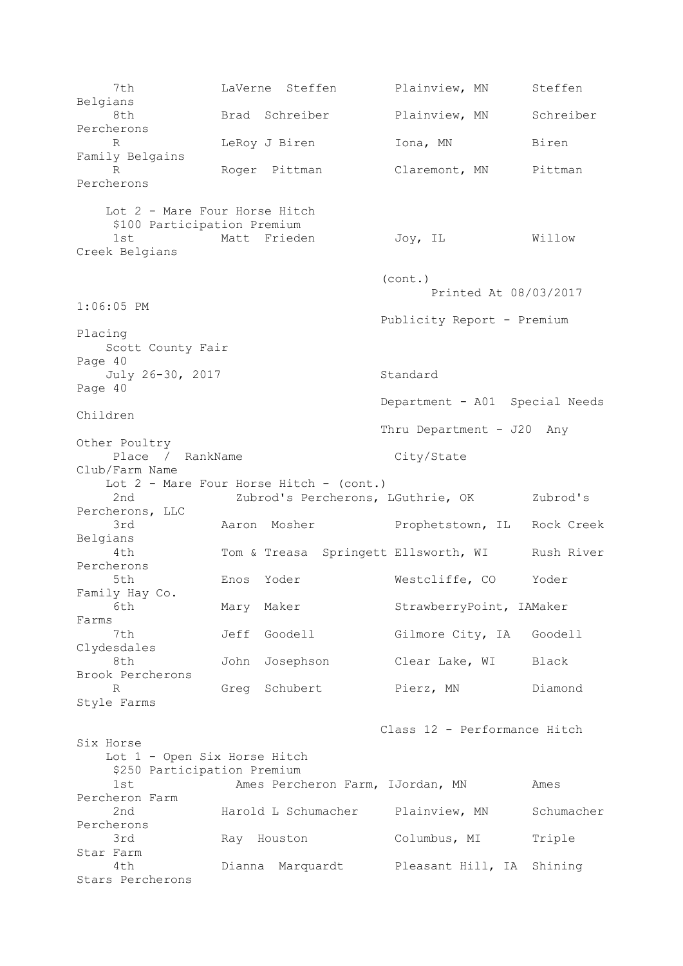7th LaVerne Steffen Plainview, MN Steffen Belgians 8th Brad Schreiber Plainview, MN Schreiber Percherons R 1995 LeRoy J Biren 101, MN Biren Family Belgains R Roger Pittman Claremont, MN Pittman Percherons Lot 2 - Mare Four Horse Hitch \$100 Participation Premium 1st Matt Frieden Joy, IL Willow Creek Belgians (cont.) Printed At 08/03/2017 1:06:05 PM Publicity Report - Premium Placing Scott County Fair Page 40 July 26-30, 2017 Standard Page 40 Department - A01 Special Needs Children Thru Department - J20 Any Other Poultry Place / RankName City/State Club/Farm Name Lot 2 - Mare Four Horse Hitch - (cont.) 2nd 2ubrod's Percherons, LGuthrie, OK Zubrod's Percherons, LLC 3rd Aaron Mosher Prophetstown, IL Rock Creek Belgians 4th Tom & Treasa Springett Ellsworth, WI Rush River Percherons 5th Enos Yoder Westcliffe, CO Yoder Family Hay Co. Mary Maker StrawberryPoint, IAMaker Farms 7th Jeff Goodell Gilmore City, IA Goodell Clydesdales 8th John Josephson Clear Lake, WI Black Brook Percherons R Greg Schubert Pierz, MN Diamond Style Farms Class 12 - Performance Hitch Six Horse Lot 1 - Open Six Horse Hitch \$250 Participation Premium 1st Ames Percheron Farm, IJordan, MN Ames Percheron Farm 2nd Harold L Schumacher Plainview, MN Schumacher Percherons 3rd Ray Houston Columbus, MI Triple Star Farm 4th Dianna Marquardt Pleasant Hill, IA Shining Stars Percherons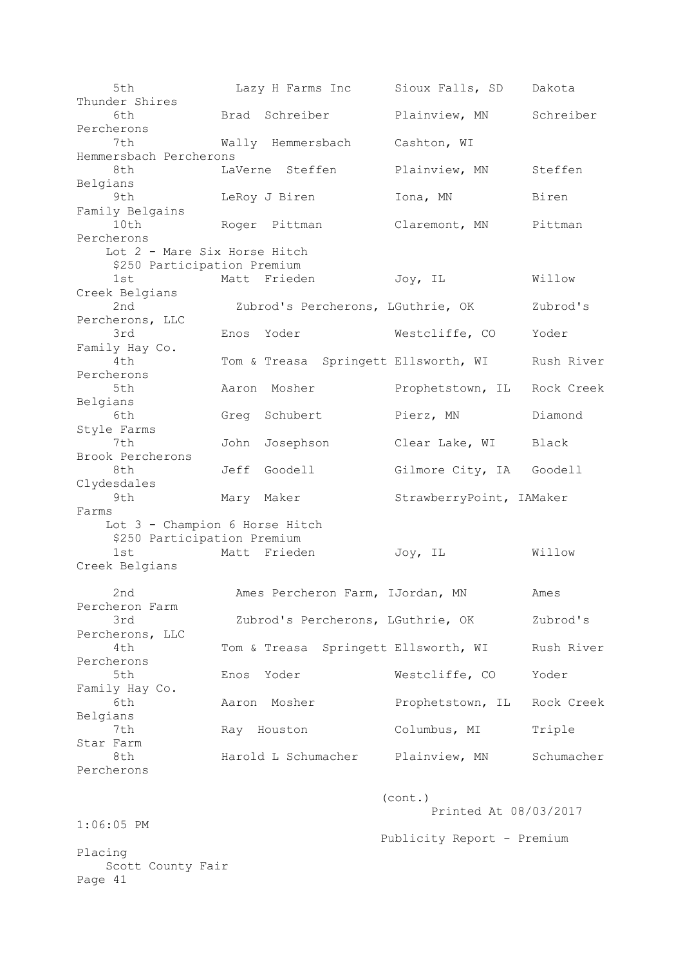5th Lazy H Farms Inc Sioux Falls, SD Dakota Thunder Shires 6th Brad Schreiber Plainview, MN Schreiber Percherons 7th Wally Hemmersbach Cashton, WI Hemmersbach Percherons 8th LaVerne Steffen Plainview, MN Steffen Belgians 9th LeRoy J Biren Iona, MN Biren Family Belgains 10th Roger Pittman Claremont, MN Pittman Percherons Lot 2 - Mare Six Horse Hitch \$250 Participation Premium 1st Matt Frieden Joy, IL Willow Creek Belgians 2nd Zubrod's Percherons, LGuthrie, OK Zubrod's Percherons, LLC 3rd Enos Yoder Westcliffe, CO Yoder Family Hay Co. 4th Tom & Treasa Springett Ellsworth, WI Rush River Percherons 5th Aaron Mosher Prophetstown, IL Rock Creek Belgians 6th Greg Schubert Pierz, MN Diamond Style Farms 7th John Josephson Clear Lake, WI Black Brook Percherons 8th Jeff Goodell Gilmore City, IA Goodell Clydesdales 9th Mary Maker StrawberryPoint, IAMaker Farms Lot 3 - Champion 6 Horse Hitch \$250 Participation Premium 1st Matt Frieden Joy, IL Willow Creek Belgians 2nd Ames Percheron Farm, IJordan, MN Ames Percheron Farm 3rd Zubrod's Percherons, LGuthrie, OK Zubrod's Percherons, LLC 4th Tom & Treasa Springett Ellsworth, WI Rush River Percherons 5th Enos Yoder Westcliffe, CO Yoder Family Hay Co. 6th Aaron Mosher Prophetstown, IL Rock Creek Belgians 7th Ray Houston Columbus, MI Triple Star Farm 8th Harold L Schumacher Plainview, MN Schumacher Percherons (cont.) Printed At 08/03/2017 1:06:05 PM Publicity Report - Premium Placing Scott County Fair Page 41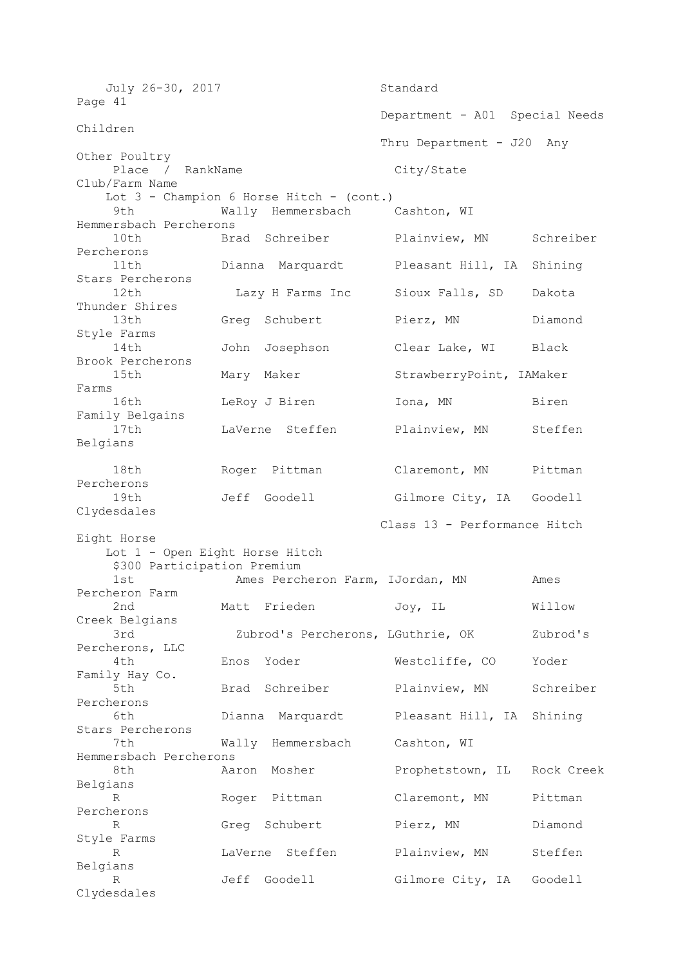| July 26-30, 2017                            |      |                                   | Standard                       |            |
|---------------------------------------------|------|-----------------------------------|--------------------------------|------------|
| Page 41                                     |      |                                   |                                |            |
| Children                                    |      |                                   | Department - A01 Special Needs |            |
|                                             |      |                                   | Thru Department - J20<br>Any   |            |
| Other Poultry<br>Place / RankName           |      |                                   | City/State                     |            |
| Club/Farm Name                              |      |                                   |                                |            |
| Lot $3$ - Champion 6 Horse Hitch - (cont.)  |      |                                   |                                |            |
| 9th<br>Wally Hemmersbach<br>Cashton, WI     |      |                                   |                                |            |
| Hemmersbach Percherons                      |      |                                   |                                |            |
| 10th                                        |      | Brad Schreiber                    | Plainview, MN                  | Schreiber  |
| Percherons                                  |      |                                   |                                |            |
| 11th                                        |      | Dianna Marquardt                  | Pleasant Hill, IA              | Shining    |
| Stars Percherons                            |      |                                   |                                |            |
| 12th                                        |      | Lazy H Farms Inc                  | Sioux Falls, SD                | Dakota     |
| Thunder Shires<br>13th                      |      | Greg Schubert                     | Pierz, MN                      | Diamond    |
| Style Farms                                 |      |                                   |                                |            |
| 14th                                        | John | Josephson                         | Clear Lake, WI                 | Black      |
| Brook Percherons                            |      |                                   |                                |            |
| 15th                                        |      | Mary Maker                        | StrawberryPoint, IAMaker       |            |
| Farms                                       |      |                                   |                                |            |
| 16th                                        |      | LeRoy J Biren                     | Iona, MN                       | Biren      |
| Family Belgains                             |      |                                   |                                |            |
| 17th                                        |      | LaVerne Steffen                   | Plainview, MN                  | Steffen    |
| Belgians                                    |      |                                   |                                |            |
|                                             |      |                                   |                                |            |
| 18th                                        |      | Roger Pittman                     | Claremont, MN                  | Pittman    |
| Percherons                                  |      |                                   |                                |            |
| 19th                                        |      | Jeff Goodell                      | Gilmore City, IA Goodell       |            |
| Clydesdales                                 |      |                                   |                                |            |
| Class 13 - Performance Hitch<br>Eight Horse |      |                                   |                                |            |
| Lot 1 - Open Eight Horse Hitch              |      |                                   |                                |            |
| \$300 Participation Premium                 |      |                                   |                                |            |
| 1st                                         |      | Ames Percheron Farm, IJordan, MN  |                                | Ames       |
| Percheron Farm                              |      |                                   |                                |            |
| 2nd                                         |      | Matt Frieden                      | Joy, IL                        | Willow     |
| Creek Belgians                              |      |                                   |                                |            |
| 3rd                                         |      | Zubrod's Percherons, LGuthrie, OK |                                | Zubrod's   |
| Percherons, LLC                             |      |                                   |                                |            |
| 4th                                         | Enos | Yoder                             | Westcliffe, CO                 | Yoder      |
| Family Hay Co.                              |      |                                   |                                |            |
| 5th                                         | Brad | Schreiber                         | Plainview, MN                  | Schreiber  |
| Percherons<br>6th                           |      | Dianna Marquardt                  | Pleasant Hill, IA              |            |
| Stars Percherons                            |      |                                   |                                | Shining    |
| 7th                                         |      | Wally Hemmersbach                 | Cashton, WI                    |            |
| Hemmersbach Percherons                      |      |                                   |                                |            |
| 8th                                         |      | Aaron Mosher                      | Prophetstown, IL               | Rock Creek |
| Belgians                                    |      |                                   |                                |            |
| R                                           |      | Roger Pittman                     | Claremont, MN                  | Pittman    |
| Percherons                                  |      |                                   |                                |            |
| R                                           | Greg | Schubert                          | Pierz, MN                      | Diamond    |
| Style Farms                                 |      |                                   |                                |            |
| R                                           |      | LaVerne Steffen                   | Plainview, MN                  | Steffen    |
| Belgians                                    |      |                                   |                                |            |
| R                                           | Jeff | Goodell                           | Gilmore City, IA               | Goodell    |
| Clydesdales                                 |      |                                   |                                |            |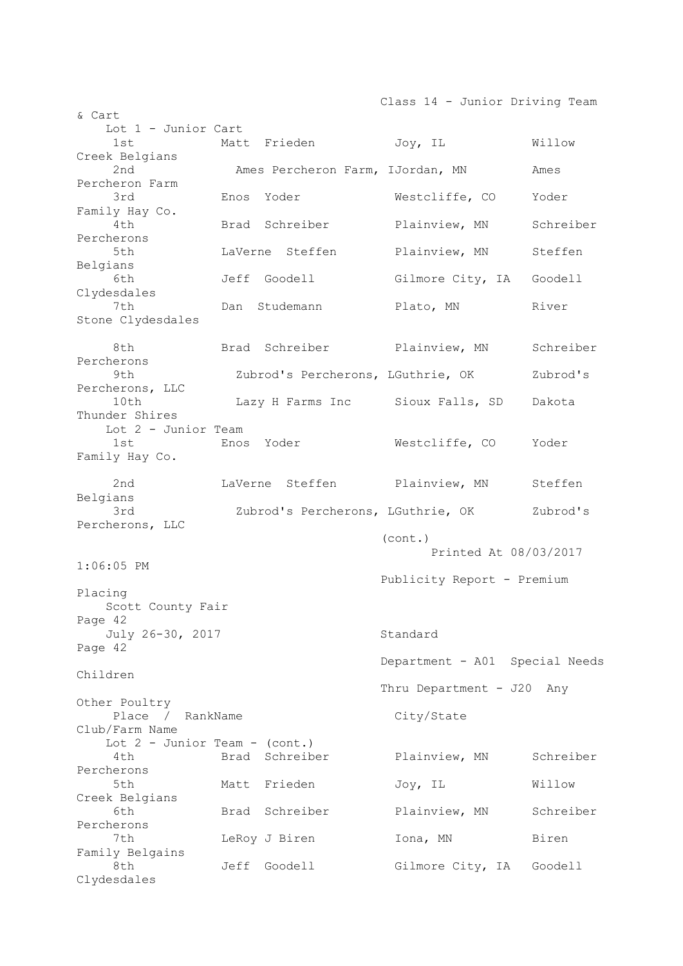Class 14 - Junior Driving Team & Cart Lot 1 - Junior Cart 1st Matt Frieden Joy, IL Willow Creek Belgians 2nd Ames Percheron Farm, IJordan, MN Ames Percheron Farm 3rd **Enos** Yoder **Westcliffe, CO** Yoder Family Hay Co. 4th Brad Schreiber Plainview, MN Schreiber Percherons 5th LaVerne Steffen Plainview, MN Steffen Belgians 6th Jeff Goodell Gilmore City, IA Goodell Clydesdales 7th Dan Studemann Plato, MN River Stone Clydesdales 8th Brad Schreiber Plainview, MN Schreiber Percherons 9th Zubrod's Percherons, LGuthrie, OK Zubrod's Percherons, LLC 10th Lazy H Farms Inc Sioux Falls, SD Dakota Thunder Shires Lot 2 - Junior Team 1st Enos Yoder Westcliffe, CO Yoder Family Hay Co. 2nd LaVerne Steffen Plainview, MN Steffen Belgians 3rd Zubrod's Percherons, LGuthrie, OK Zubrod's Percherons, LLC (cont.) Printed At 08/03/2017 1:06:05 PM Publicity Report - Premium Placing Scott County Fair Page 42 July 26-30, 2017 Standard Page 42 Department - A01 Special Needs Children Thru Department - J20 Any Other Poultry Place / RankName City/State Club/Farm Name Lot 2 - Junior Team - (cont.) 4th Brad Schreiber Plainview, MN Schreiber Percherons 5th Matt Frieden Moy, IL Willow Creek Belgians 6th Brad Schreiber Plainview, MN Schreiber Percherons 7th **LeRoy J Biren Iona, MN** Biren Family Belgains 8th Jeff Goodell Gilmore City, IA Goodell Clydesdales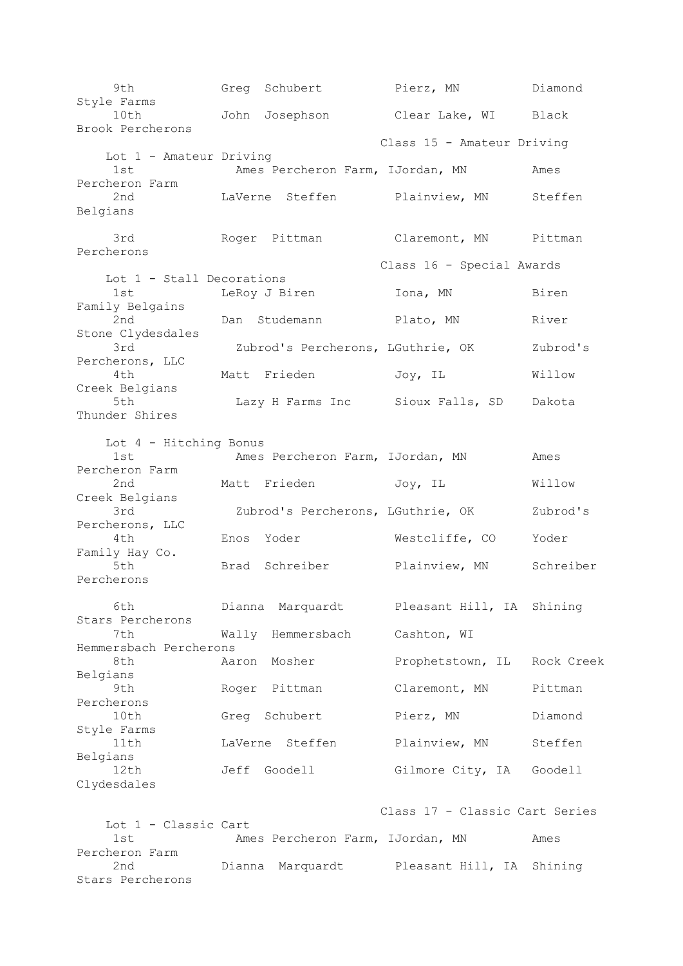9th Greg Schubert Pierz, MN Diamond Style Farms 10th John Josephson Clear Lake, WI Black Brook Percherons Class 15 - Amateur Driving Lot 1 - Amateur Driving 1st Ames Percheron Farm, IJordan, MN Ames Percheron Farm 2nd LaVerne Steffen Plainview, MN Steffen Belgians 3rd Roger Pittman Claremont, MN Pittman Percherons Class 16 - Special Awards Lot 1 - Stall Decorations 1st LeRoy J Biren Iona, MN Biren Family Belgains 2nd Dan Studemann Plato, MN River Stone Clydesdales 3rd Zubrod's Percherons, LGuthrie, OK Zubrod's Percherons, LLC 4th Matt Frieden Joy, IL Willow Creek Belgians 5th Lazy H Farms Inc Sioux Falls, SD Dakota Thunder Shires Lot 4 - Hitching Bonus 1st Ames Percheron Farm, IJordan, MN Ames Percheron Farm 2nd Matt Frieden Joy, IL Willow Creek Belgians 3rd Zubrod's Percherons, LGuthrie, OK Zubrod's Percherons, LLC 4th Enos Yoder Westcliffe, CO Yoder Family Hay Co. 5th Brad Schreiber Plainview, MN Schreiber Percherons 6th Dianna Marquardt Pleasant Hill, IA Shining Stars Percherons 7th Wally Hemmersbach Cashton, WI Hemmersbach Percherons 8th Aaron Mosher Prophetstown, IL Rock Creek Belgians 9th Roger Pittman Claremont, MN Pittman Percherons 10th Greg Schubert Pierz, MN Diamond Style Farms 11th LaVerne Steffen Plainview, MN Steffen Belgians<br>12th Jeff Goodell Gilmore City, IA Goodell Clydesdales Class 17 - Classic Cart Series Lot 1 - Classic Cart 1st Ames Percheron Farm, IJordan, MN Ames Percheron Farm 2nd Dianna Marquardt Pleasant Hill, IA Shining Stars Percherons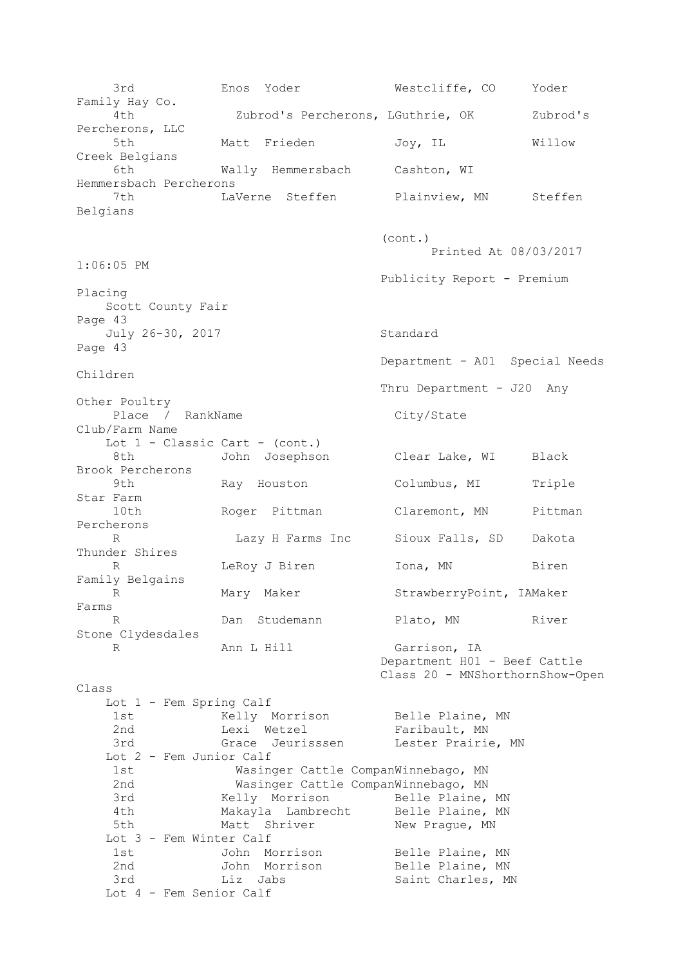3rd Enos Yoder Westcliffe, CO Yoder Family Hay Co. 4th Zubrod's Percherons, LGuthrie, OK Zubrod's Percherons, LLC 5th Matt Frieden Joy, IL Willow Creek Belgians 6th Wally Hemmersbach Cashton, WI Hemmersbach Percherons 7th LaVerne Steffen Plainview, MN Steffen Belgians (cont.) Printed At 08/03/2017 1:06:05 PM Publicity Report - Premium Placing Scott County Fair Page 43 July 26-30, 2017 Standard Page 43 Department - A01 Special Needs Children Thru Department - J20 Any Other Poultry Place / RankName City/State Club/Farm Name Lot  $1 -$  Classic Cart - (cont.) 8th John Josephson Clear Lake, WI Black Brook Percherons 9th Ray Houston Columbus, MI Triple Star Farm 10th Roger Pittman Claremont, MN Pittman Percherons R Lazy H Farms Inc Sioux Falls, SD Dakota Thunder Shires R 1995 LeRoy J Biren 1001, MN Biren Family Belgains R Mary Maker StrawberryPoint, IAMaker Farms R Dan Studemann Plato, MN River Stone Clydesdales R Ann L Hill Garrison, IA Department H01 - Beef Cattle Class 20 - MNShorthornShow-Open Class Lot 1 - Fem Spring Calf 1st Kelly Morrison Belle Plaine, MN 2nd Lexi Wetzel **Faribault**, MN 3rd Grace Jeurisssen Lester Prairie, MN Lot 2 - Fem Junior Calf 1st Wasinger Cattle CompanWinnebago, MN 2nd Wasinger Cattle CompanWinnebago, MN 3rd Melly Morrison Belle Plaine, MN 4th Makayla Lambrecht Belle Plaine, MN 5th Matt Shriver New Prague, MN Lot 3 - Fem Winter Calf 1st John Morrison Belle Plaine, MN 2nd 30hn Morrison Belle Plaine, MN 3rd Liz Jabs Saint Charles, MN Lot 4 - Fem Senior Calf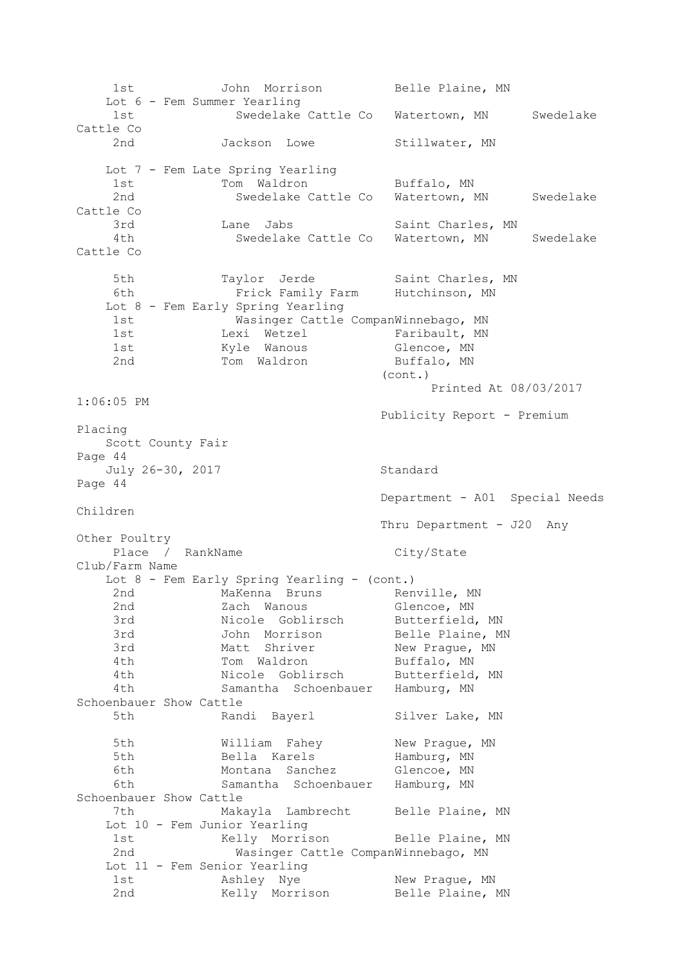1st John Morrison Belle Plaine, MN Lot 6 - Fem Summer Yearling 1st Swedelake Cattle Co Watertown, MN Swedelake Cattle Co 2nd Jackson Lowe Stillwater, MN Lot 7 - Fem Late Spring Yearling 1st 100 m Maldron Buffalo, MN 2nd Swedelake Cattle Co Watertown, MN Swedelake Cattle Co 3rd Lane Jabs Saint Charles, MN 4th Swedelake Cattle Co Watertown, MN Swedelake Cattle Co 5th Taylor Jerde Saint Charles, MN 6th Frick Family Farm Hutchinson, MN Lot 8 - Fem Early Spring Yearling 1st Wasinger Cattle CompanWinnebago, MN 1st 1888 Lexi Wetzel Charibault, MN 1st Manous Glencoe, MN 2nd Tom Waldron Buffalo, MN (cont.) Printed At 08/03/2017 1:06:05 PM Publicity Report - Premium Placing Scott County Fair Page 44 July 26-30, 2017 Standard Page 44 Department - A01 Special Needs Children Thru Department - J20 Any Other Poultry Place / RankName City/State Club/Farm Name Lot 8 - Fem Early Spring Yearling - (cont.)<br>2nd Makenna Bruns Ren 2nd MaKenna Bruns Renville, MN 2nd  $Zach$  Wanous Glencoe, MN 3rd Micole Goblirsch Butterfield, MN 3rd John Morrison Belle Plaine, MN 3rd Matt Shriver New Prague, MN 4th Tom Waldron Buffalo, MN 4th Nicole Goblirsch Butterfield, MN 4th Samantha Schoenbauer Hamburg, MN Schoenbauer Show Cattle 5th Randi Bayerl Silver Lake, MN 5th Milliam Fahey New Prague, MN<br>5th Bolla Karols Hamburg MN 5th Bella Karels Hamburg, MN 6th Montana Sanchez Glencoe, MN 6th Samantha Schoenbauer Hamburg, MN Schoenbauer Show Cattle 7th Makayla Lambrecht Belle Plaine, MN Lot 10 - Fem Junior Yearling 1st Kelly Morrison Belle Plaine, MN 2nd Wasinger Cattle CompanWinnebago, MN Lot 11 - Fem Senior Yearling 1st Mondaley Nye New Prague, MN 2nd Melly Morrison Belle Plaine, MN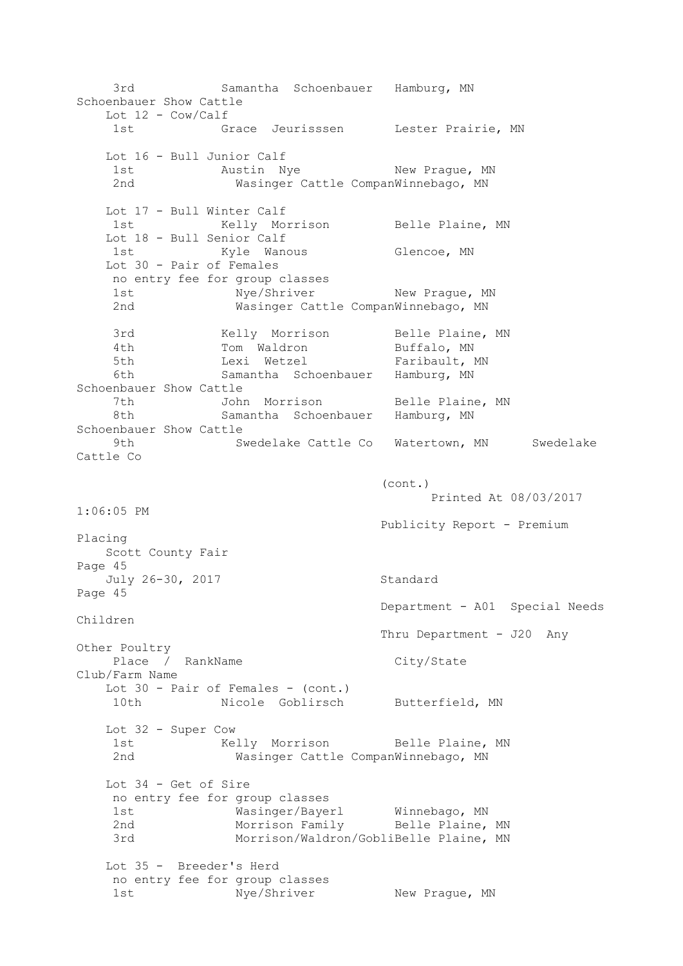3rd Samantha Schoenbauer Hamburg, MN Schoenbauer Show Cattle Lot  $12 - \text{Cow/Calf}$ 1st 6race Jeurisssen bester Prairie, MN Lot 16 - Bull Junior Calf 1st Mustin Nye New Prague, MN 2nd Wasinger Cattle CompanWinnebago, MN Lot 17 - Bull Winter Calf 1st Kelly Morrison Belle Plaine, MN Lot 18 - Bull Senior Calf<br>1st Kyle Wand Kyle Wanous Glencoe, MN Lot 30 - Pair of Females no entry fee for group classes 1st Mye/Shriver New Prague, MN 2nd Wasinger Cattle CompanWinnebago, MN 3rd Melly Morrison Belle Plaine, MN 4th Tom Waldron Buffalo, MN 5th Lexi Wetzel Faribault, MN 6th Samantha Schoenbauer Hamburg, MN Schoenbauer Show Cattle 7th John Morrison Belle Plaine, MN 8th Samantha Schoenbauer Hamburg, MN Schoenbauer Show Cattle 9th Swedelake Cattle Co Watertown, MN Swedelake Cattle Co (cont.) Printed At 08/03/2017 1:06:05 PM Publicity Report - Premium Placing Scott County Fair Page 45 July 26-30, 2017 Standard Page 45 Department - A01 Special Needs Children Thru Department - J20 Any Other Poultry Place / RankName City/State Club/Farm Name Lot 30 - Pair of Females - (cont.) 10th **Nicole Goblirsch** Butterfield, MN Lot 32 - Super Cow 1st 1st Kelly Morrison Belle Plaine, MN 2nd Wasinger Cattle CompanWinnebago, MN Lot 34 - Get of Sire no entry fee for group classes 1st Wasinger/Bayerl Winnebago, MN 2nd Morrison Family Belle Plaine, MN 3rd Morrison/Waldron/GobliBelle Plaine, MN Lot 35 - Breeder's Herd no entry fee for group classes 1st Nye/Shriver New Praque, MN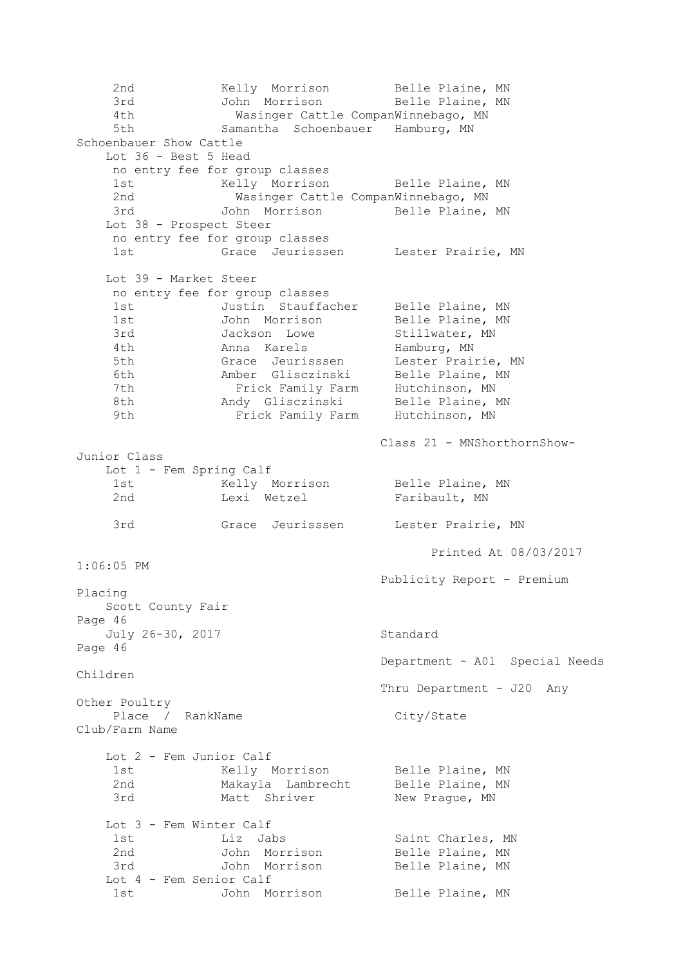2nd Melly Morrison Belle Plaine, MN 3rd John Morrison Belle Plaine, MN 4th Wasinger Cattle CompanWinnebago, MN 5th Samantha Schoenbauer Hamburg, MN Schoenbauer Show Cattle Lot 36 - Best 5 Head no entry fee for group classes 1st Kelly Morrison Belle Plaine, MN 2nd Wasinger Cattle CompanWinnebago, MN 3rd John Morrison Belle Plaine, MN Lot 38 - Prospect Steer no entry fee for group classes 1st Grace Jeurisssen Lester Prairie, MN Lot 39 - Market Steer no entry fee for group classes 1st Justin Stauffacher Belle Plaine, MN 1st John Morrison Belle Plaine, MN 3rd Jackson Lowe Stillwater, MN 4th Manna Karels Hamburg, MN 5th Grace Jeurisssen Lester Prairie, MN 6th Amber Glisczinski Belle Plaine, MN 7th **Frick Family Farm** Hutchinson, MN 8th Mandy Glisczinski Belle Plaine, MN 9th **Frick Family Farm** Hutchinson, MN Class 21 - MNShorthornShow-Junior Class Lot 1 - Fem Spring Calf 1st Kelly Morrison Belle Plaine, MN 2nd Lexi Wetzel Faribault, MN 3rd Grace Jeurisssen Lester Prairie, MN Printed At 08/03/2017 1:06:05 PM Publicity Report - Premium Placing Scott County Fair Page 46 July 26-30, 2017 Standard Page 46 Department - A01 Special Needs Children Thru Department - J20 Any Other Poultry Place / RankName City/State Club/Farm Name Lot 2 - Fem Junior Calf 1st 6 Kelly Morrison 6 Belle Plaine, MN 2nd Makayla Lambrecht Belle Plaine, MN 3rd Matt Shriver New Prague, MN Lot 3 - Fem Winter Calf 1st Liz Jabs Saint Charles, MN 2nd John Morrison Belle Plaine, MN 3rd John Morrison Belle Plaine, MN Lot 4 - Fem Senior Calf 1st John Morrison Belle Plaine, MN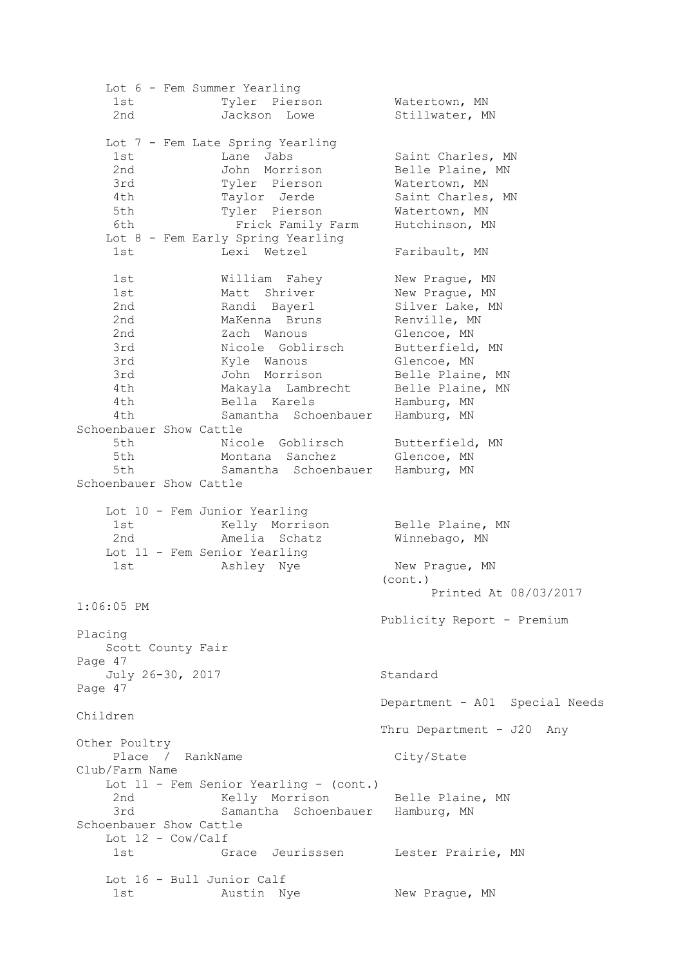Lot 6 - Fem Summer Yearling 1st Tyler Pierson Watertown, MN 2nd Jackson Lowe Stillwater, MN Lot 7 - Fem Late Spring Yearling 1st Lane Jabs Saint Charles, MN 2nd John Morrison Belle Plaine, MN 3rd Tyler Pierson Watertown, MN 4th Taylor Jerde Saint Charles, MN 5th Tyler Pierson Watertown, MN 6th **Frick Family Farm** Hutchinson, MN Lot 8 - Fem Early Spring Yearling 1st Lexi Wetzel Faribault, MN 1st Milliam Fahey New Prague, MN 1st Matt Shriver New Prague, MN 2nd Randi Bayerl Silver Lake, MN 2nd MaKenna Bruns Renville, MN 2nd  $Zach$  Wanous Glencoe, MN 3rd Nicole Goblirsch Butterfield, MN 3rd Myle Wanous Glencoe, MN 3rd John Morrison Belle Plaine, MN 4th Makayla Lambrecht Belle Plaine, MN 4th Bella Karels Hamburg, MN 4th Samantha Schoenbauer Hamburg, MN Schoenbauer Show Cattle 5th Micole Goblirsch Butterfield, MN 5th Montana Sanchez Glencoe, MN 5th Samantha Schoenbauer Hamburg, MN Schoenbauer Show Cattle Lot 10 - Fem Junior Yearling 1st 6 Kelly Morrison 6 Belle Plaine, MN 2nd Melia Schatz Minnebago, MN Lot 11 - Fem Senior Yearling 1st Monday Nye New Prague, MN (cont.) Printed At 08/03/2017 1:06:05 PM Publicity Report - Premium Placing Scott County Fair Page 47 July 26-30, 2017 Standard Page 47 Department - A01 Special Needs Children Thru Department - J20 Any Other Poultry Place / RankName City/State Club/Farm Name Lot 11 - Fem Senior Yearling - (cont.) 2nd Kelly Morrison Belle Plaine, MN<br>3rd Samantha Gabasahausu Wawk 1977 3rd Samantha Schoenbauer Hamburg, MN Schoenbauer Show Cattle Lot 12 - Cow/Calf 1st Grace Jeurisssen Lester Prairie, MN Lot 16 - Bull Junior Calf 1st Mustin Nye New Praque, MN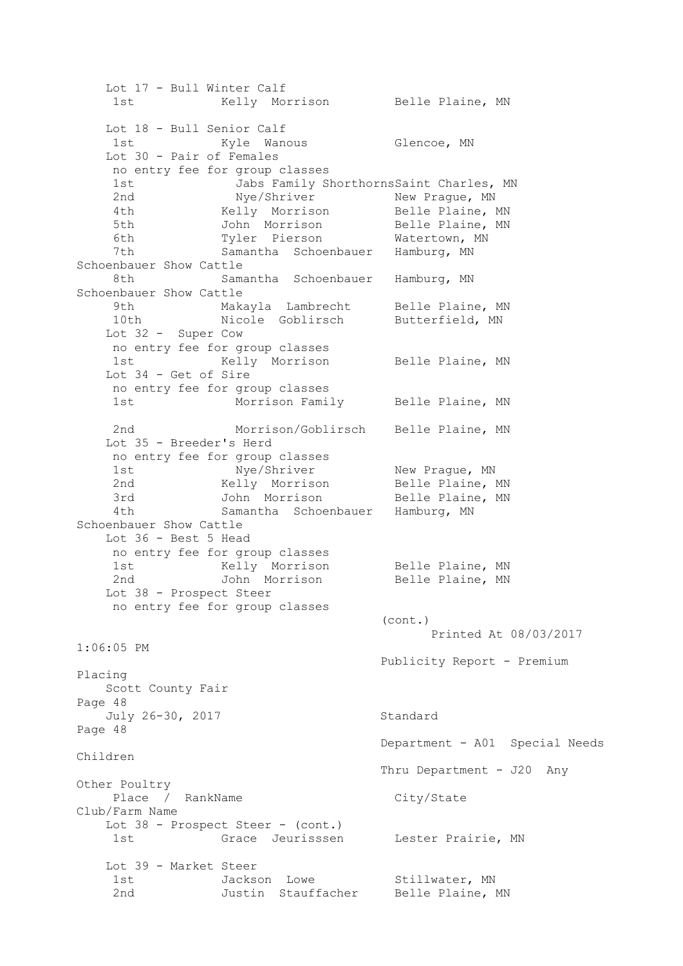Lot 17 - Bull Winter Calf 1st Kelly Morrison Belle Plaine, MN Lot 18 - Bull Senior Calf 1st Myle Wanous Glencoe, MN Lot 30 - Pair of Females no entry fee for group classes 1st Jabs Family ShorthornsSaint Charles, MN 2nd Mye/Shriver New Prague, MN 4th Kelly Morrison Belle Plaine, MN 5th John Morrison Belle Plaine, MN 6th Tyler Pierson Watertown, MN 7th Samantha Schoenbauer Hamburg, MN Schoenbauer Show Cattle 8th Samantha Schoenbauer Hamburg, MN Schoenbauer Show Cattle 9th Makayla Lambrecht Belle Plaine, MN 10th Micole Goblirsch Butterfield, MN Lot 32 - Super Cow no entry fee for group classes 1st 69 Kelly Morrison Belle Plaine, MN Lot 34 - Get of Sire no entry fee for group classes 1st Morrison Family Belle Plaine, MN 2nd Morrison/Goblirsch Belle Plaine, MN Lot 35 - Breeder's Herd no entry fee for group classes 1st Mye/Shriver New Prague, MN 2nd Melly Morrison Belle Plaine, MN 3rd John Morrison Belle Plaine, MN 4th Samantha Schoenbauer Hamburg, MN Schoenbauer Show Cattle Lot 36 - Best 5 Head no entry fee for group classes 1st Kelly Morrison Belle Plaine, MN 2nd 30hn Morrison Belle Plaine, MN Lot 38 - Prospect Steer no entry fee for group classes (cont.) Printed At 08/03/2017 1:06:05 PM Publicity Report - Premium Placing Scott County Fair Page 48 July 26-30, 2017 Standard Page 48 Department - A01 Special Needs Children Thru Department - J20 Any Other Poultry Place / RankName City/State Club/Farm Name Lot 38 - Prospect Steer - (cont.) 1st Grace Jeurisssen Lester Prairie, MN Lot 39 - Market Steer 1st Jackson Lowe Stillwater, MN 2nd Justin Stauffacher Belle Plaine, MN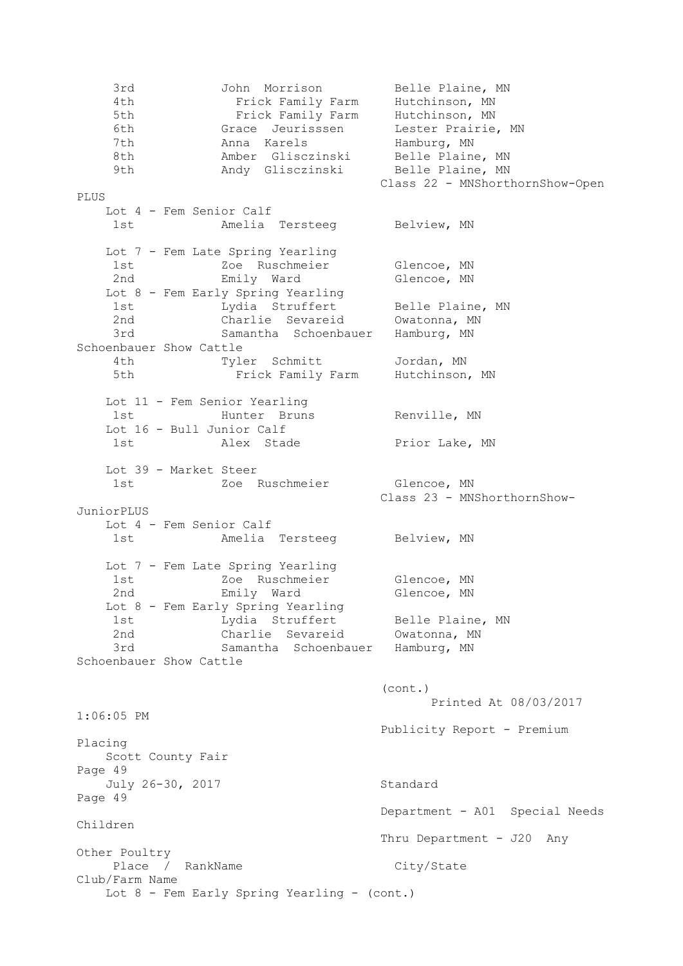3rd John Morrison Belle Plaine, MN 4th Frick Family Farm Hutchinson, MN 5th **Frick Family Farm** Hutchinson, MN 6th Grace Jeurisssen Lester Prairie, MN 7th Manna Karels Hamburg, MN 8th Mamber Glisczinski Belle Plaine, MN 9th Mandy Glisczinski Belle Plaine, MN Class 22 - MNShorthornShow-Open PLUS Lot 4 - Fem Senior Calf 1st Minelia Tersteeg Belview, MN Lot 7 - Fem Late Spring Yearling 1st  $Z$ oe Ruschmeier Glencoe, MN 2nd Emily Ward Glencoe, MN Lot 8 - Fem Early Spring Yearling 1st 1983 Lydia Struffert Belle Plaine, MN 2nd Charlie Sevareid Owatonna, MN 3rd Samantha Schoenbauer Hamburg, MN Schoenbauer Show Cattle 4th Tyler Schmitt Jordan, MN 5th **Frick Family Farm** Hutchinson, MN Lot 11 - Fem Senior Yearling 1st Munter Bruns Renville, MN Lot 16 - Bull Junior Calf 1st Malex Stade **Prior Lake, MN**  Lot 39 - Market Steer 1st  $Z$ oe Ruschmeier Glencoe, MN Class 23 - MNShorthornShow-JuniorPLUS Lot 4 - Fem Senior Calf 1st Melia Tersteeg Belview, MN Lot 7 - Fem Late Spring Yearling 1st  $Z$ oe Ruschmeier Glencoe, MN 2nd Emily Ward Glencoe, MN Lot 8 - Fem Early Spring Yearling 1st 1983 Lydia Struffert Belle Plaine, MN 2nd Charlie Sevareid Owatonna, MN 3rd Samantha Schoenbauer Hamburg, MN Schoenbauer Show Cattle (cont.) Printed At 08/03/2017 1:06:05 PM Publicity Report - Premium Placing Scott County Fair Page 49 July 26-30, 2017 Standard Page 49 Department - A01 Special Needs Children Thru Department - J20 Any Other Poultry Place / RankName City/State Club/Farm Name Lot 8 - Fem Early Spring Yearling - (cont.)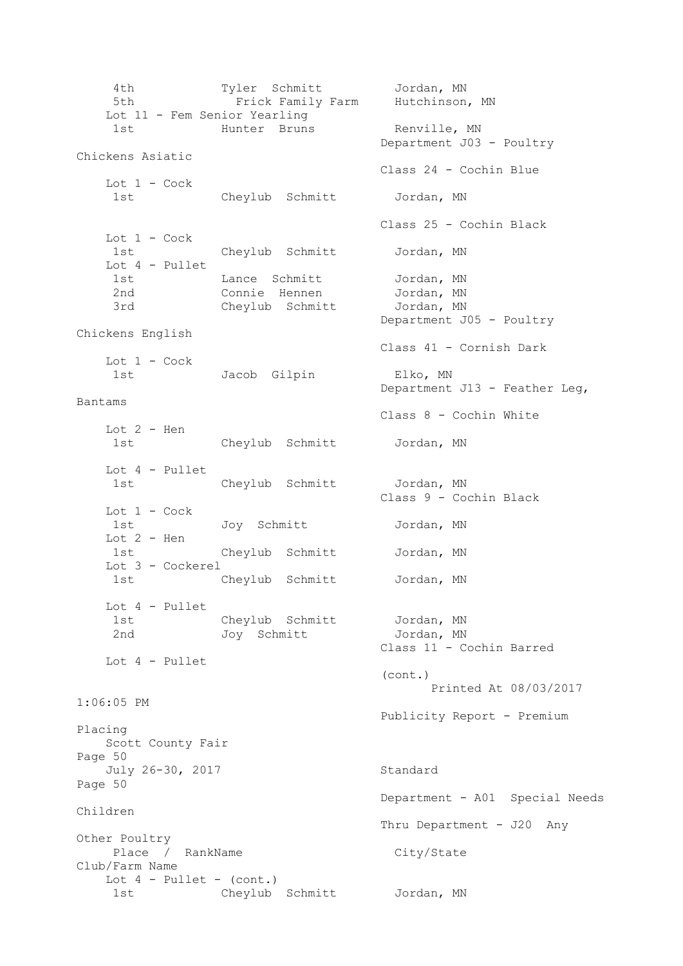4th Tyler Schmitt Jordan, MN 5th Frick Family Farm Hutchinson, MN Lot 11 - Fem Senior Yearling 1st - Fem Jensen Fearth Hunter Bruns Renville, MN Department J03 - Poultry Chickens Asiatic Class 24 - Cochin Blue Lot  $1 - \mathrm{Cock}$  1st Cheylub Schmitt Jordan, MN Class 25 - Cochin Black Lot 1 - Cock 1st Cheylub Schmitt Jordan, MN Lot 4 - Pullet 1st Lance Schmitt Jordan, MN 2nd Connie Hennen Jordan, MN 2nd 2nd Connie Hennen Jordan, MN<br>3rd Cheylub Schmitt Jordan, MN Department J05 - Poultry Chickens English Class 41 - Cornish Dark Lot  $1 - \mathrm{Cock}$  1st Jacob Gilpin Elko, MN Department J13 - Feather Leg, Bantams Class 8 - Cochin White Lot  $2$  - Hen 1st Cheylub Schmitt Jordan, MN Lot 4 - Pullet 1st Cheylub Schmitt Jordan, MN Class 9 - Cochin Black Lot 1 - Cock 1st Joy Schmitt Jordan, MN Lot 2 - Hen 1st Cheylub Schmitt Jordan, MN Lot 3 - Cockerel 1st Cheylub Schmitt Jordan, MN Lot 4 - Pullet 1st Cheylub Schmitt Jordan, MN 2nd Joy Schmitt Jordan, MN Class 11 - Cochin Barred Lot 4 - Pullet (cont.) Printed At 08/03/2017 1:06:05 PM Publicity Report - Premium Placing Scott County Fair Page 50 July 26-30, 2017 Standard Page 50 Department - A01 Special Needs Children Thru Department - J20 Any Other Poultry Place / RankName City/State Club/Farm Name Lot  $4$  - Pullet - (cont.) 1st Cheylub Schmitt Jordan, MN